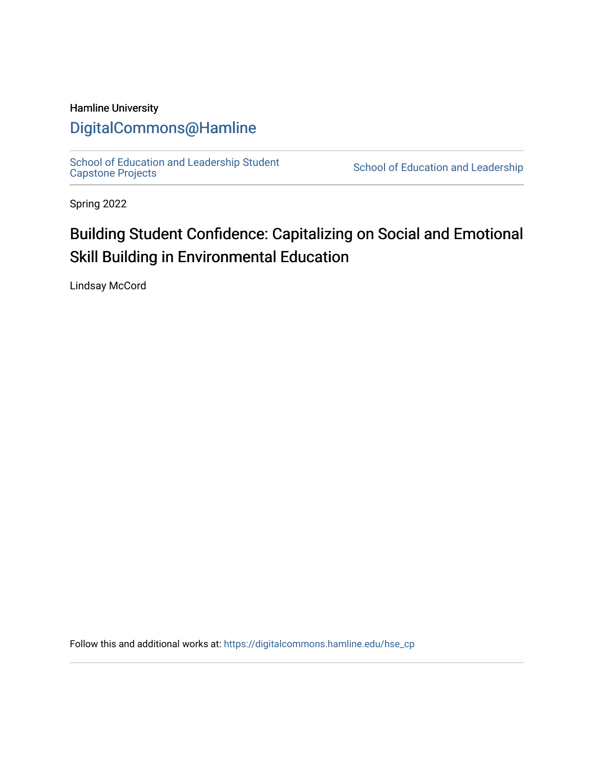## Hamline University

## [DigitalCommons@Hamline](https://digitalcommons.hamline.edu/)

[School of Education and Leadership Student](https://digitalcommons.hamline.edu/hse_cp)<br>Capstone Projects

School of Education and Leadership

Spring 2022

# Building Student Confidence: Capitalizing on Social and Emotional Skill Building in Environmental Education

Lindsay McCord

Follow this and additional works at: [https://digitalcommons.hamline.edu/hse\\_cp](https://digitalcommons.hamline.edu/hse_cp?utm_source=digitalcommons.hamline.edu%2Fhse_cp%2F810&utm_medium=PDF&utm_campaign=PDFCoverPages)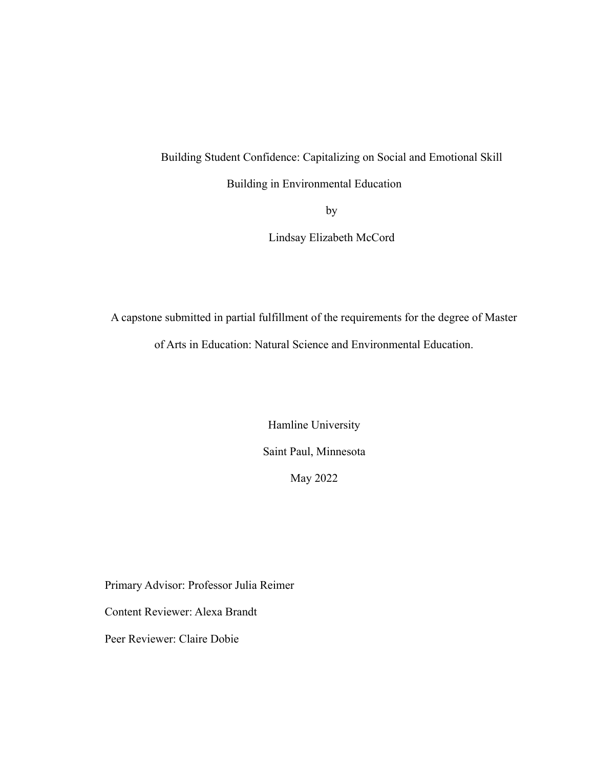### Building Student Confidence: Capitalizing on Social and Emotional Skill

Building in Environmental Education

by

Lindsay Elizabeth McCord

A capstone submitted in partial fulfillment of the requirements for the degree of Master of Arts in Education: Natural Science and Environmental Education.

> Hamline University Saint Paul, Minnesota May 2022

Primary Advisor: Professor Julia Reimer

Content Reviewer: Alexa Brandt

Peer Reviewer: Claire Dobie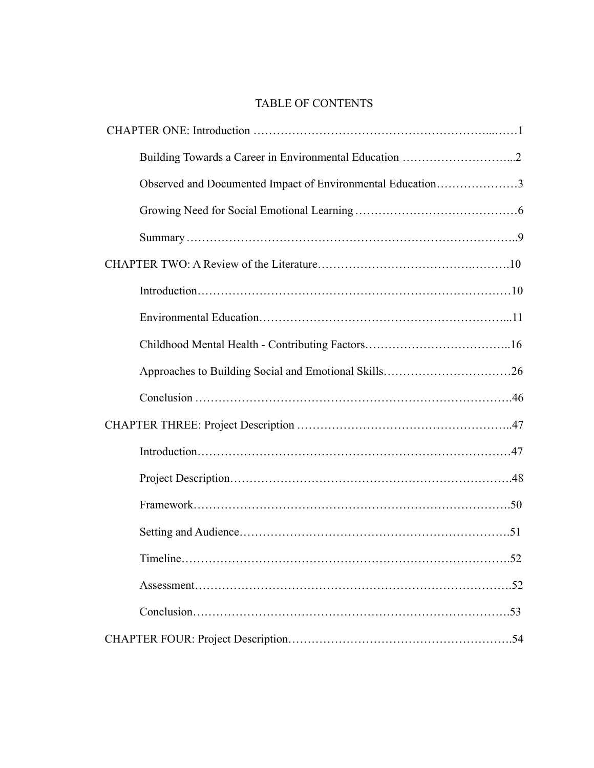## TABLE OF CONTENTS

| Observed and Documented Impact of Environmental Education3 |    |
|------------------------------------------------------------|----|
|                                                            |    |
|                                                            |    |
|                                                            |    |
|                                                            |    |
|                                                            |    |
|                                                            |    |
|                                                            |    |
|                                                            |    |
|                                                            |    |
|                                                            |    |
|                                                            |    |
|                                                            |    |
|                                                            |    |
|                                                            | 52 |
|                                                            |    |
|                                                            |    |
|                                                            |    |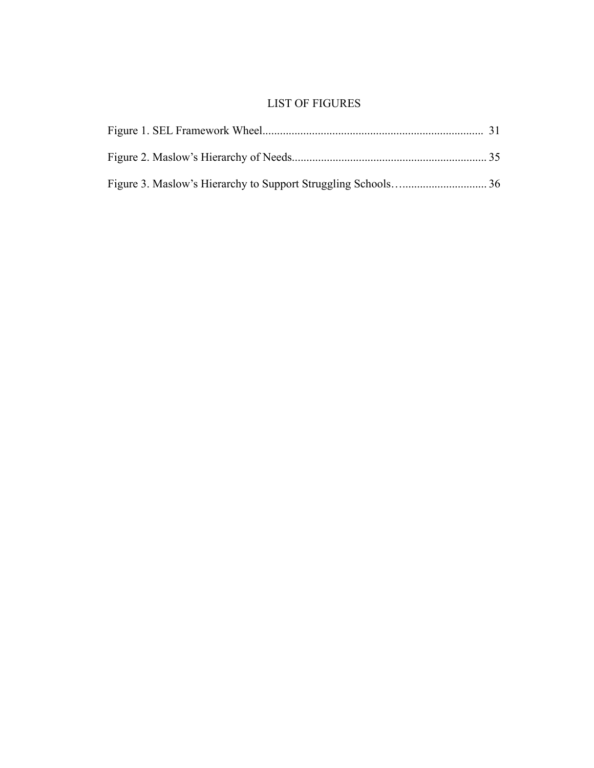## LIST OF FIGURES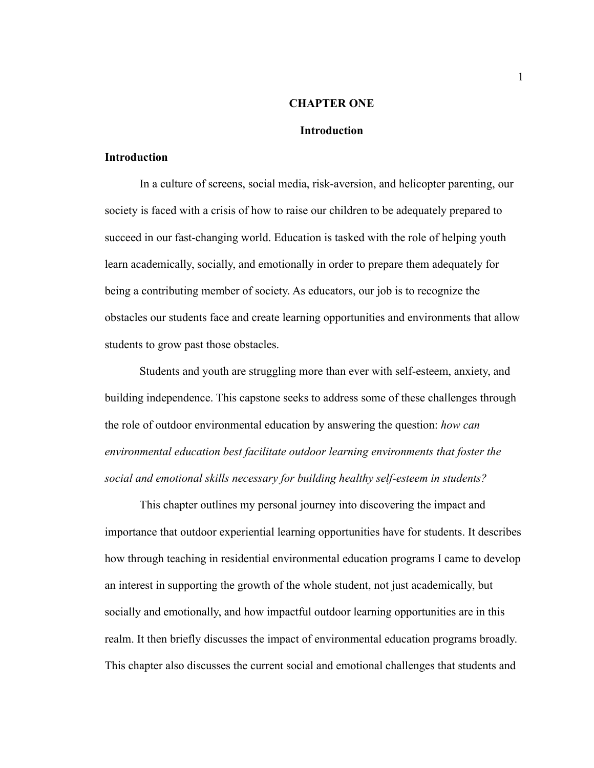#### **CHAPTER ONE**

#### **Introduction**

#### <span id="page-5-1"></span><span id="page-5-0"></span>**Introduction**

In a culture of screens, social media, risk-aversion, and helicopter parenting, our society is faced with a crisis of how to raise our children to be adequately prepared to succeed in our fast-changing world. Education is tasked with the role of helping youth learn academically, socially, and emotionally in order to prepare them adequately for being a contributing member of society. As educators, our job is to recognize the obstacles our students face and create learning opportunities and environments that allow students to grow past those obstacles.

Students and youth are struggling more than ever with self-esteem, anxiety, and building independence. This capstone seeks to address some of these challenges through the role of outdoor environmental education by answering the question: *how can environmental education best facilitate outdoor learning environments that foster the social and emotional skills necessary for building healthy self-esteem in students?*

This chapter outlines my personal journey into discovering the impact and importance that outdoor experiential learning opportunities have for students. It describes how through teaching in residential environmental education programs I came to develop an interest in supporting the growth of the whole student, not just academically, but socially and emotionally, and how impactful outdoor learning opportunities are in this realm. It then briefly discusses the impact of environmental education programs broadly. This chapter also discusses the current social and emotional challenges that students and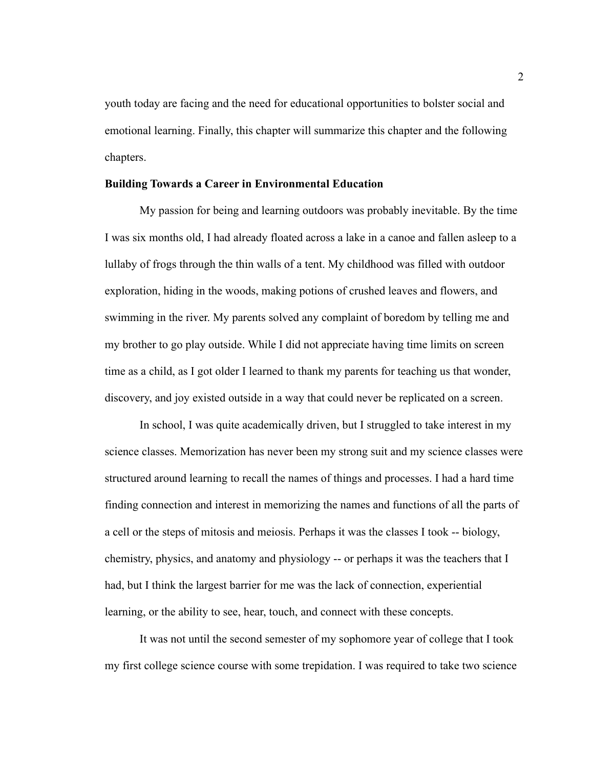youth today are facing and the need for educational opportunities to bolster social and emotional learning. Finally, this chapter will summarize this chapter and the following chapters.

#### <span id="page-6-0"></span>**Building Towards a Career in Environmental Education**

My passion for being and learning outdoors was probably inevitable. By the time I was six months old, I had already floated across a lake in a canoe and fallen asleep to a lullaby of frogs through the thin walls of a tent. My childhood was filled with outdoor exploration, hiding in the woods, making potions of crushed leaves and flowers, and swimming in the river. My parents solved any complaint of boredom by telling me and my brother to go play outside. While I did not appreciate having time limits on screen time as a child, as I got older I learned to thank my parents for teaching us that wonder, discovery, and joy existed outside in a way that could never be replicated on a screen.

In school, I was quite academically driven, but I struggled to take interest in my science classes. Memorization has never been my strong suit and my science classes were structured around learning to recall the names of things and processes. I had a hard time finding connection and interest in memorizing the names and functions of all the parts of a cell or the steps of mitosis and meiosis. Perhaps it was the classes I took -- biology, chemistry, physics, and anatomy and physiology -- or perhaps it was the teachers that I had, but I think the largest barrier for me was the lack of connection, experiential learning, or the ability to see, hear, touch, and connect with these concepts.

It was not until the second semester of my sophomore year of college that I took my first college science course with some trepidation. I was required to take two science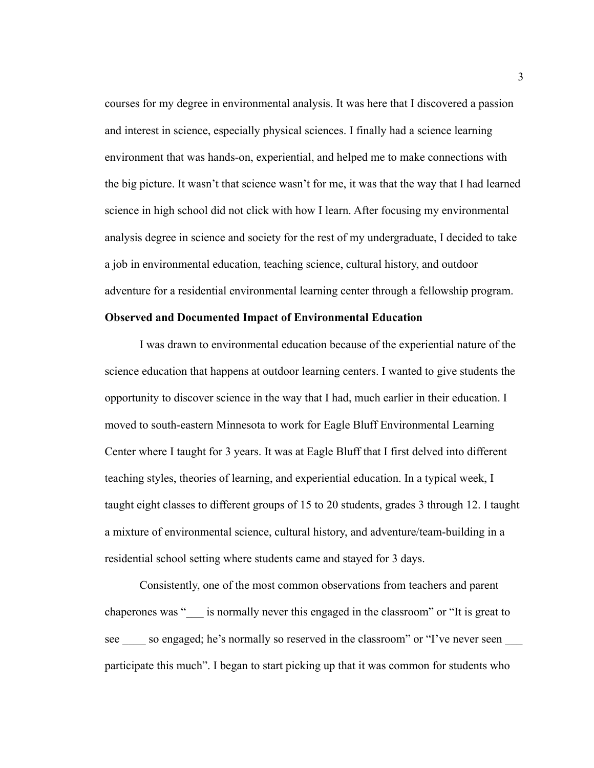courses for my degree in environmental analysis. It was here that I discovered a passion and interest in science, especially physical sciences. I finally had a science learning environment that was hands-on, experiential, and helped me to make connections with the big picture. It wasn't that science wasn't for me, it was that the way that I had learned science in high school did not click with how I learn. After focusing my environmental analysis degree in science and society for the rest of my undergraduate, I decided to take a job in environmental education, teaching science, cultural history, and outdoor adventure for a residential environmental learning center through a fellowship program.

#### <span id="page-7-0"></span>**Observed and Documented Impact of Environmental Education**

I was drawn to environmental education because of the experiential nature of the science education that happens at outdoor learning centers. I wanted to give students the opportunity to discover science in the way that I had, much earlier in their education. I moved to south-eastern Minnesota to work for Eagle Bluff Environmental Learning Center where I taught for 3 years. It was at Eagle Bluff that I first delved into different teaching styles, theories of learning, and experiential education. In a typical week, I taught eight classes to different groups of 15 to 20 students, grades 3 through 12. I taught a mixture of environmental science, cultural history, and adventure/team-building in a residential school setting where students came and stayed for 3 days.

Consistently, one of the most common observations from teachers and parent chaperones was " \_\_\_ is normally never this engaged in the classroom" or "It is great to see so engaged; he's normally so reserved in the classroom" or "I've never seen participate this much". I began to start picking up that it was common for students who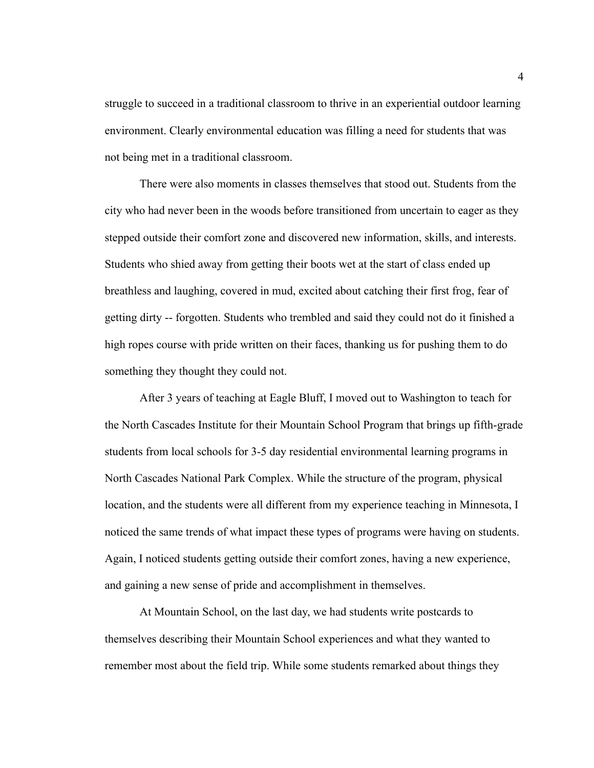struggle to succeed in a traditional classroom to thrive in an experiential outdoor learning environment. Clearly environmental education was filling a need for students that was not being met in a traditional classroom.

There were also moments in classes themselves that stood out. Students from the city who had never been in the woods before transitioned from uncertain to eager as they stepped outside their comfort zone and discovered new information, skills, and interests. Students who shied away from getting their boots wet at the start of class ended up breathless and laughing, covered in mud, excited about catching their first frog, fear of getting dirty -- forgotten. Students who trembled and said they could not do it finished a high ropes course with pride written on their faces, thanking us for pushing them to do something they thought they could not.

After 3 years of teaching at Eagle Bluff, I moved out to Washington to teach for the North Cascades Institute for their Mountain School Program that brings up fifth-grade students from local schools for 3-5 day residential environmental learning programs in North Cascades National Park Complex. While the structure of the program, physical location, and the students were all different from my experience teaching in Minnesota, I noticed the same trends of what impact these types of programs were having on students. Again, I noticed students getting outside their comfort zones, having a new experience, and gaining a new sense of pride and accomplishment in themselves.

At Mountain School, on the last day, we had students write postcards to themselves describing their Mountain School experiences and what they wanted to remember most about the field trip. While some students remarked about things they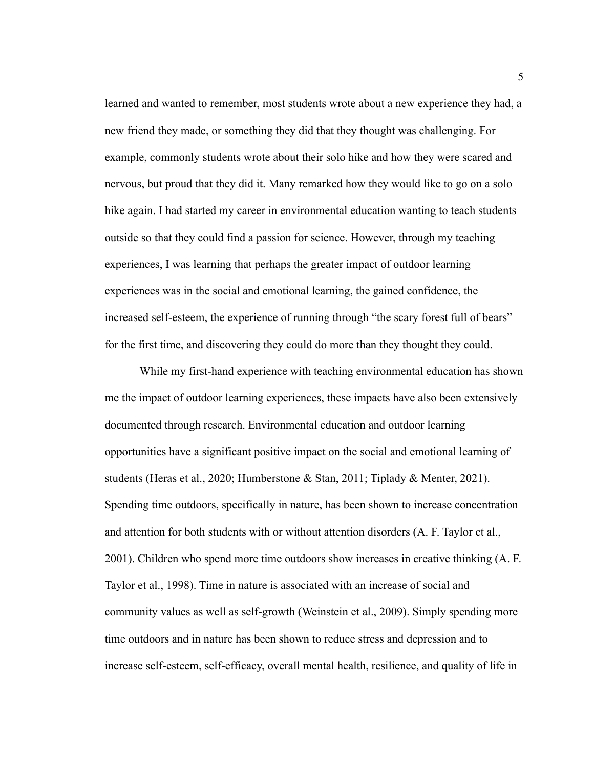learned and wanted to remember, most students wrote about a new experience they had, a new friend they made, or something they did that they thought was challenging. For example, commonly students wrote about their solo hike and how they were scared and nervous, but proud that they did it. Many remarked how they would like to go on a solo hike again. I had started my career in environmental education wanting to teach students outside so that they could find a passion for science. However, through my teaching experiences, I was learning that perhaps the greater impact of outdoor learning experiences was in the social and emotional learning, the gained confidence, the increased self-esteem, the experience of running through "the scary forest full of bears" for the first time, and discovering they could do more than they thought they could.

While my first-hand experience with teaching environmental education has shown me the impact of outdoor learning experiences, these impacts have also been extensively documented through research. Environmental education and outdoor learning opportunities have a significant positive impact on the social and emotional learning of students (Heras et al., 2020; Humberstone & Stan, 2011; Tiplady & Menter, 2021). Spending time outdoors, specifically in nature, has been shown to increase concentration and attention for both students with or without attention disorders (A. F. Taylor et al., 2001). Children who spend more time outdoors show increases in creative thinking (A. F. Taylor et al., 1998). Time in nature is associated with an increase of social and community values as well as self-growth (Weinstein et al., 2009). Simply spending more time outdoors and in nature has been shown to reduce stress and depression and to increase self-esteem, self-efficacy, overall mental health, resilience, and quality of life in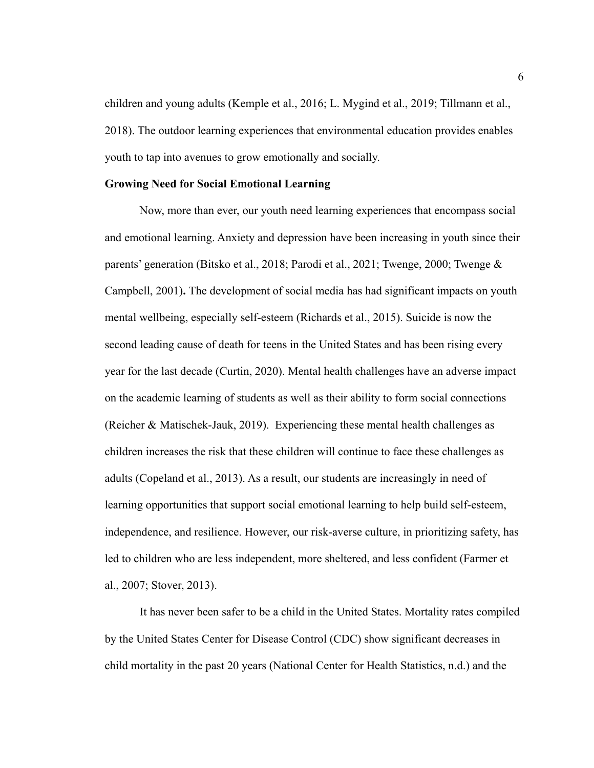children and young adults (Kemple et al., 2016; L. Mygind et al., 2019; Tillmann et al., 2018). The outdoor learning experiences that environmental education provides enables youth to tap into avenues to grow emotionally and socially.

#### <span id="page-10-0"></span>**Growing Need for Social Emotional Learning**

Now, more than ever, our youth need learning experiences that encompass social and emotional learning. Anxiety and depression have been increasing in youth since their parents' generation (Bitsko et al., 2018; Parodi et al., 2021; Twenge, 2000; Twenge & Campbell, 2001)**.** The development of social media has had significant impacts on youth mental wellbeing, especially self-esteem (Richards et al., 2015). Suicide is now the second leading cause of death for teens in the United States and has been rising every year for the last decade (Curtin, 2020). Mental health challenges have an adverse impact on the academic learning of students as well as their ability to form social connections (Reicher & Matischek-Jauk, 2019). Experiencing these mental health challenges as children increases the risk that these children will continue to face these challenges as adults (Copeland et al., 2013). As a result, our students are increasingly in need of learning opportunities that support social emotional learning to help build self-esteem, independence, and resilience. However, our risk-averse culture, in prioritizing safety, has led to children who are less independent, more sheltered, and less confident (Farmer et al., 2007; Stover, 2013).

It has never been safer to be a child in the United States. Mortality rates compiled by the United States Center for Disease Control (CDC) show significant decreases in child mortality in the past 20 years (National Center for Health Statistics, n.d.) and the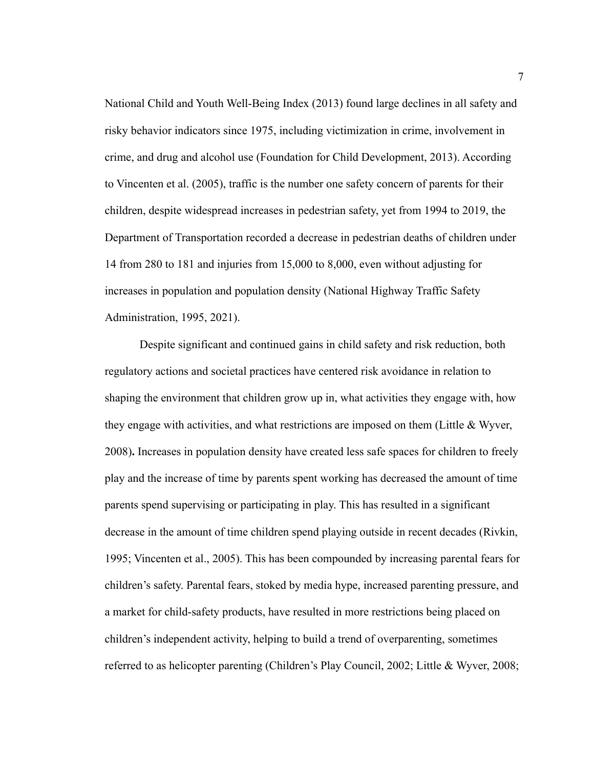National Child and Youth Well-Being Index (2013) found large declines in all safety and risky behavior indicators since 1975, including victimization in crime, involvement in crime, and drug and alcohol use (Foundation for Child Development, 2013). According to Vincenten et al. (2005), traffic is the number one safety concern of parents for their children, despite widespread increases in pedestrian safety, yet from 1994 to 2019, the Department of Transportation recorded a decrease in pedestrian deaths of children under 14 from 280 to 181 and injuries from 15,000 to 8,000, even without adjusting for increases in population and population density (National Highway Traffic Safety Administration, 1995, 2021).

Despite significant and continued gains in child safety and risk reduction, both regulatory actions and societal practices have centered risk avoidance in relation to shaping the environment that children grow up in, what activities they engage with, how they engage with activities, and what restrictions are imposed on them (Little  $\&$  Wyver, 2008)**.** Increases in population density have created less safe spaces for children to freely play and the increase of time by parents spent working has decreased the amount of time parents spend supervising or participating in play. This has resulted in a significant decrease in the amount of time children spend playing outside in recent decades (Rivkin, 1995; Vincenten et al., 2005). This has been compounded by increasing parental fears for children's safety. Parental fears, stoked by media hype, increased parenting pressure, and a market for child-safety products, have resulted in more restrictions being placed on children's independent activity, helping to build a trend of overparenting, sometimes referred to as helicopter parenting (Children's Play Council, 2002; Little & Wyver, 2008;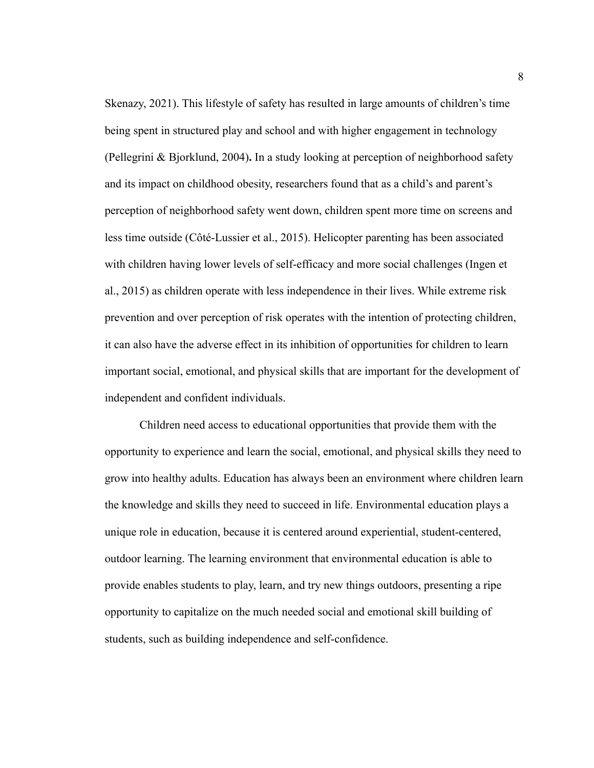Skenazy, 2021). This lifestyle of safety has resulted in large amounts of children's time being spent in structured play and school and with higher engagement in technology (Pellegrini & Bjorklund, 2004)**.** In a study looking at perception of neighborhood safety and its impact on childhood obesity, researchers found that as a child's and parent's perception of neighborhood safety went down, children spent more time on screens and less time outside (Côté-Lussier et al., 2015). Helicopter parenting has been associated with children having lower levels of self-efficacy and more social challenges (Ingen et al., 2015) as children operate with less independence in their lives. While extreme risk prevention and over perception of risk operates with the intention of protecting children, it can also have the adverse effect in its inhibition of opportunities for children to learn important social, emotional, and physical skills that are important for the development of independent and confident individuals.

Children need access to educational opportunities that provide them with the opportunity to experience and learn the social, emotional, and physical skills they need to grow into healthy adults. Education has always been an environment where children learn the knowledge and skills they need to succeed in life. Environmental education plays a unique role in education, because it is centered around experiential, student-centered, outdoor learning. The learning environment that environmental education is able to provide enables students to play, learn, and try new things outdoors, presenting a ripe opportunity to capitalize on the much needed social and emotional skill building of students, such as building independence and self-confidence.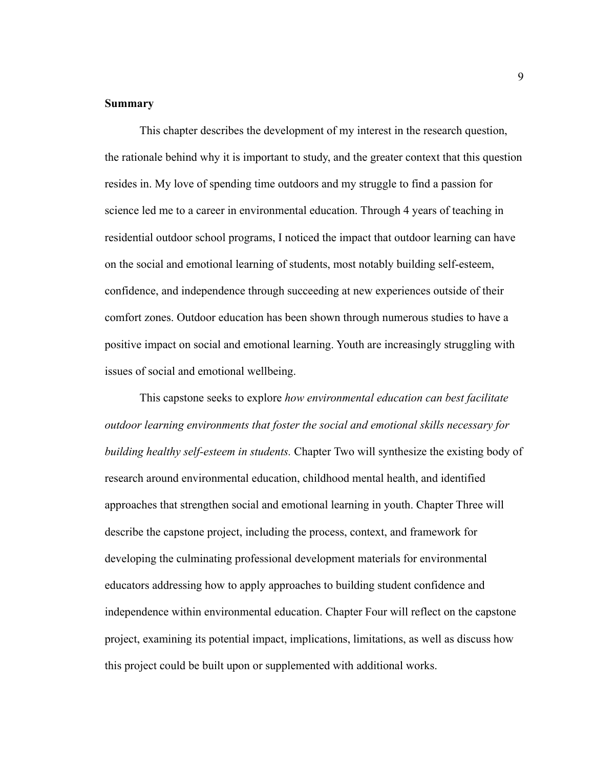#### <span id="page-13-0"></span>**Summary**

This chapter describes the development of my interest in the research question, the rationale behind why it is important to study, and the greater context that this question resides in. My love of spending time outdoors and my struggle to find a passion for science led me to a career in environmental education. Through 4 years of teaching in residential outdoor school programs, I noticed the impact that outdoor learning can have on the social and emotional learning of students, most notably building self-esteem, confidence, and independence through succeeding at new experiences outside of their comfort zones. Outdoor education has been shown through numerous studies to have a positive impact on social and emotional learning. Youth are increasingly struggling with issues of social and emotional wellbeing.

This capstone seeks to explore *how environmental education can best facilitate outdoor learning environments that foster the social and emotional skills necessary for building healthy self-esteem in students.* Chapter Two will synthesize the existing body of research around environmental education, childhood mental health, and identified approaches that strengthen social and emotional learning in youth. Chapter Three will describe the capstone project, including the process, context, and framework for developing the culminating professional development materials for environmental educators addressing how to apply approaches to building student confidence and independence within environmental education. Chapter Four will reflect on the capstone project, examining its potential impact, implications, limitations, as well as discuss how this project could be built upon or supplemented with additional works.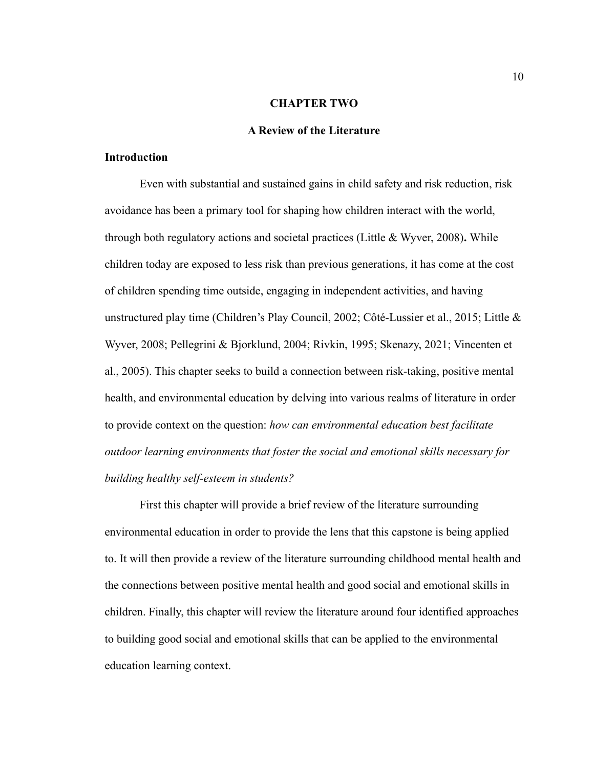#### **CHAPTER TWO**

#### **A Review of the Literature**

#### <span id="page-14-1"></span><span id="page-14-0"></span>**Introduction**

Even with substantial and sustained gains in child safety and risk reduction, risk avoidance has been a primary tool for shaping how children interact with the world, through both regulatory actions and societal practices (Little & Wyver, 2008)**.** While children today are exposed to less risk than previous generations, it has come at the cost of children spending time outside, engaging in independent activities, and having unstructured play time (Children's Play Council, 2002; Côté-Lussier et al., 2015; Little & Wyver, 2008; Pellegrini & Bjorklund, 2004; Rivkin, 1995; Skenazy, 2021; Vincenten et al., 2005). This chapter seeks to build a connection between risk-taking, positive mental health, and environmental education by delving into various realms of literature in order to provide context on the question: *how can environmental education best facilitate outdoor learning environments that foster the social and emotional skills necessary for building healthy self-esteem in students?*

First this chapter will provide a brief review of the literature surrounding environmental education in order to provide the lens that this capstone is being applied to. It will then provide a review of the literature surrounding childhood mental health and the connections between positive mental health and good social and emotional skills in children. Finally, this chapter will review the literature around four identified approaches to building good social and emotional skills that can be applied to the environmental education learning context.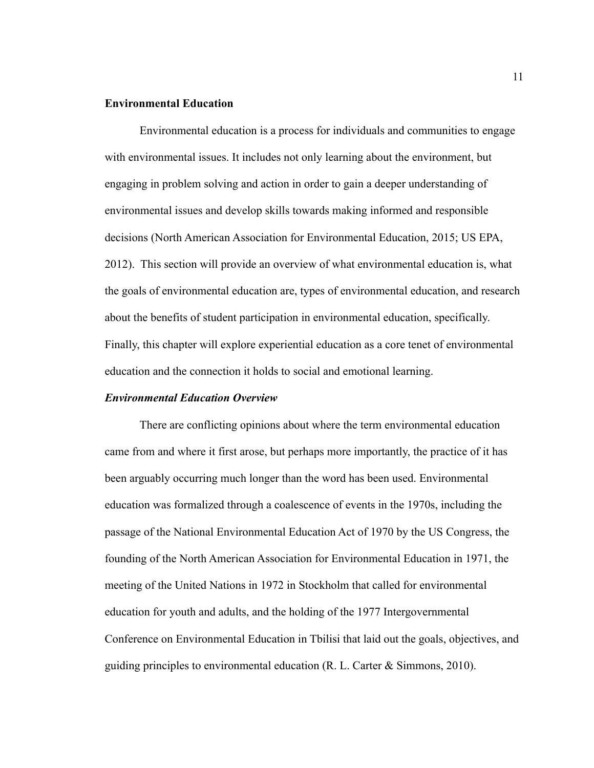#### <span id="page-15-0"></span>**Environmental Education**

Environmental education is a process for individuals and communities to engage with environmental issues. It includes not only learning about the environment, but engaging in problem solving and action in order to gain a deeper understanding of environmental issues and develop skills towards making informed and responsible decisions (North American Association for Environmental Education, 2015; US EPA, 2012). This section will provide an overview of what environmental education is, what the goals of environmental education are, types of environmental education, and research about the benefits of student participation in environmental education, specifically. Finally, this chapter will explore experiential education as a core tenet of environmental education and the connection it holds to social and emotional learning.

#### *Environmental Education Overview*

There are conflicting opinions about where the term environmental education came from and where it first arose, but perhaps more importantly, the practice of it has been arguably occurring much longer than the word has been used. Environmental education was formalized through a coalescence of events in the 1970s, including the passage of the National Environmental Education Act of 1970 by the US Congress, the founding of the North American Association for Environmental Education in 1971, the meeting of the United Nations in 1972 in Stockholm that called for environmental education for youth and adults, and the holding of the 1977 Intergovernmental Conference on Environmental Education in Tbilisi that laid out the goals, objectives, and guiding principles to environmental education (R. L. Carter & Simmons, 2010).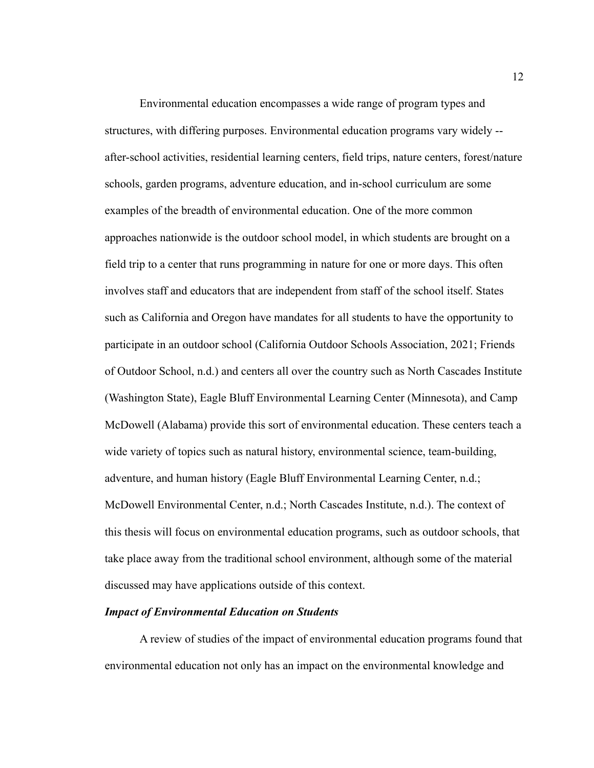Environmental education encompasses a wide range of program types and structures, with differing purposes. Environmental education programs vary widely - after-school activities, residential learning centers, field trips, nature centers, forest/nature schools, garden programs, adventure education, and in-school curriculum are some examples of the breadth of environmental education. One of the more common approaches nationwide is the outdoor school model, in which students are brought on a field trip to a center that runs programming in nature for one or more days. This often involves staff and educators that are independent from staff of the school itself. States such as California and Oregon have mandates for all students to have the opportunity to participate in an outdoor school (California Outdoor Schools Association, 2021; Friends of Outdoor School, n.d.) and centers all over the country such as North Cascades Institute (Washington State), Eagle Bluff Environmental Learning Center (Minnesota), and Camp McDowell (Alabama) provide this sort of environmental education. These centers teach a wide variety of topics such as natural history, environmental science, team-building, adventure, and human history (Eagle Bluff Environmental Learning Center, n.d.; McDowell Environmental Center, n.d.; North Cascades Institute, n.d.). The context of this thesis will focus on environmental education programs, such as outdoor schools, that take place away from the traditional school environment, although some of the material discussed may have applications outside of this context.

#### *Impact of Environmental Education on Students*

A review of studies of the impact of environmental education programs found that environmental education not only has an impact on the environmental knowledge and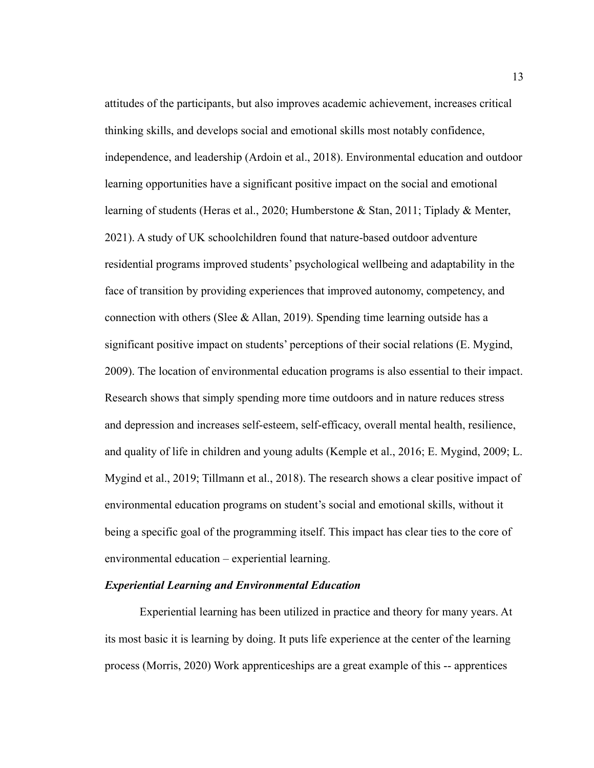attitudes of the participants, but also improves academic achievement, increases critical thinking skills, and develops social and emotional skills most notably confidence, independence, and leadership (Ardoin et al., 2018). Environmental education and outdoor learning opportunities have a significant positive impact on the social and emotional learning of students (Heras et al., 2020; Humberstone & Stan, 2011; Tiplady & Menter, 2021). A study of UK schoolchildren found that nature-based outdoor adventure residential programs improved students' psychological wellbeing and adaptability in the face of transition by providing experiences that improved autonomy, competency, and connection with others (Slee & Allan, 2019). Spending time learning outside has a significant positive impact on students' perceptions of their social relations (E. Mygind, 2009). The location of environmental education programs is also essential to their impact. Research shows that simply spending more time outdoors and in nature reduces stress and depression and increases self-esteem, self-efficacy, overall mental health, resilience, and quality of life in children and young adults (Kemple et al., 2016; E. Mygind, 2009; L. Mygind et al., 2019; Tillmann et al., 2018). The research shows a clear positive impact of environmental education programs on student's social and emotional skills, without it being a specific goal of the programming itself. This impact has clear ties to the core of environmental education – experiential learning.

#### *Experiential Learning and Environmental Education*

Experiential learning has been utilized in practice and theory for many years. At its most basic it is learning by doing. It puts life experience at the center of the learning process (Morris, 2020) Work apprenticeships are a great example of this -- apprentices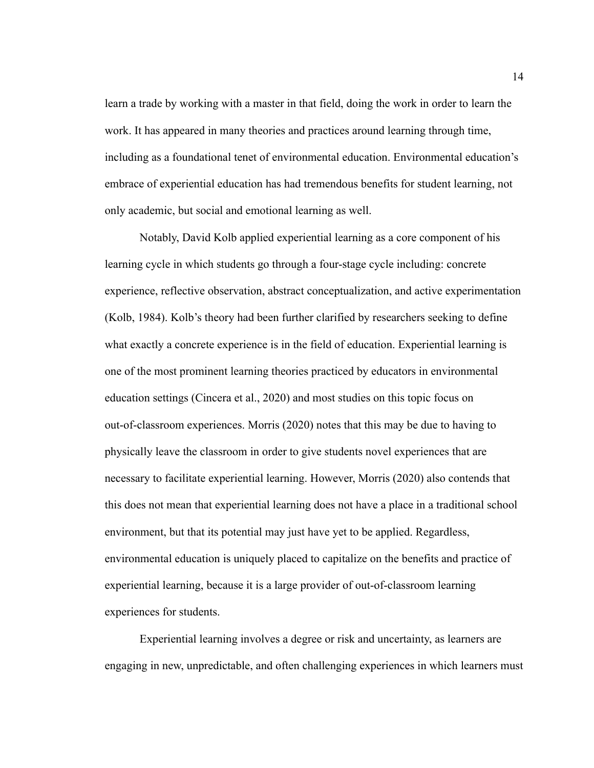learn a trade by working with a master in that field, doing the work in order to learn the work. It has appeared in many theories and practices around learning through time, including as a foundational tenet of environmental education. Environmental education's embrace of experiential education has had tremendous benefits for student learning, not only academic, but social and emotional learning as well.

Notably, David Kolb applied experiential learning as a core component of his learning cycle in which students go through a four-stage cycle including: concrete experience, reflective observation, abstract conceptualization, and active experimentation (Kolb, 1984). Kolb's theory had been further clarified by researchers seeking to define what exactly a concrete experience is in the field of education. Experiential learning is one of the most prominent learning theories practiced by educators in environmental education settings (Cincera et al., 2020) and most studies on this topic focus on out-of-classroom experiences. Morris (2020) notes that this may be due to having to physically leave the classroom in order to give students novel experiences that are necessary to facilitate experiential learning. However, Morris (2020) also contends that this does not mean that experiential learning does not have a place in a traditional school environment, but that its potential may just have yet to be applied. Regardless, environmental education is uniquely placed to capitalize on the benefits and practice of experiential learning, because it is a large provider of out-of-classroom learning experiences for students.

Experiential learning involves a degree or risk and uncertainty, as learners are engaging in new, unpredictable, and often challenging experiences in which learners must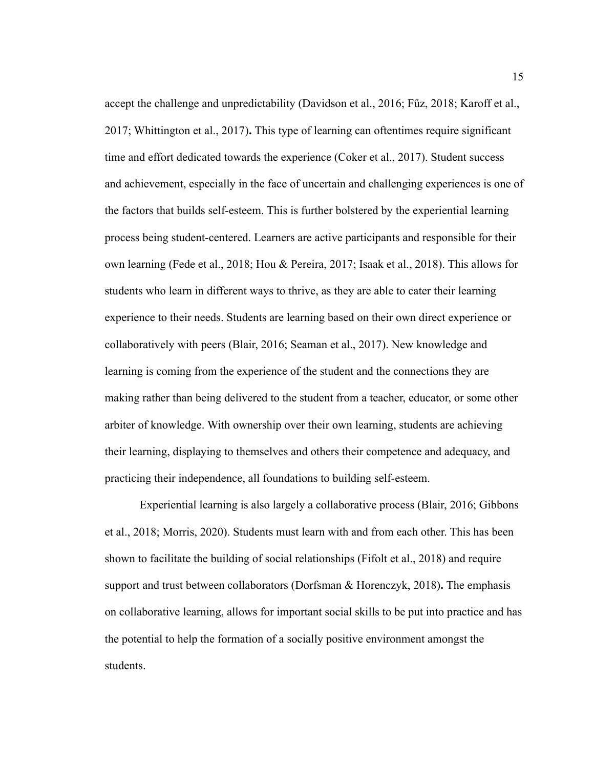accept the challenge and unpredictability (Davidson et al., 2016; Fűz, 2018; Karoff et al., 2017; Whittington et al., 2017)**.** This type of learning can oftentimes require significant time and effort dedicated towards the experience (Coker et al., 2017). Student success and achievement, especially in the face of uncertain and challenging experiences is one of the factors that builds self-esteem. This is further bolstered by the experiential learning process being student-centered. Learners are active participants and responsible for their own learning (Fede et al., 2018; Hou & Pereira, 2017; Isaak et al., 2018). This allows for students who learn in different ways to thrive, as they are able to cater their learning experience to their needs. Students are learning based on their own direct experience or collaboratively with peers (Blair, 2016; Seaman et al., 2017). New knowledge and learning is coming from the experience of the student and the connections they are making rather than being delivered to the student from a teacher, educator, or some other arbiter of knowledge. With ownership over their own learning, students are achieving their learning, displaying to themselves and others their competence and adequacy, and practicing their independence, all foundations to building self-esteem.

Experiential learning is also largely a collaborative process (Blair, 2016; Gibbons et al., 2018; Morris, 2020). Students must learn with and from each other. This has been shown to facilitate the building of social relationships (Fifolt et al., 2018) and require support and trust between collaborators (Dorfsman & Horenczyk, 2018)**.** The emphasis on collaborative learning, allows for important social skills to be put into practice and has the potential to help the formation of a socially positive environment amongst the students.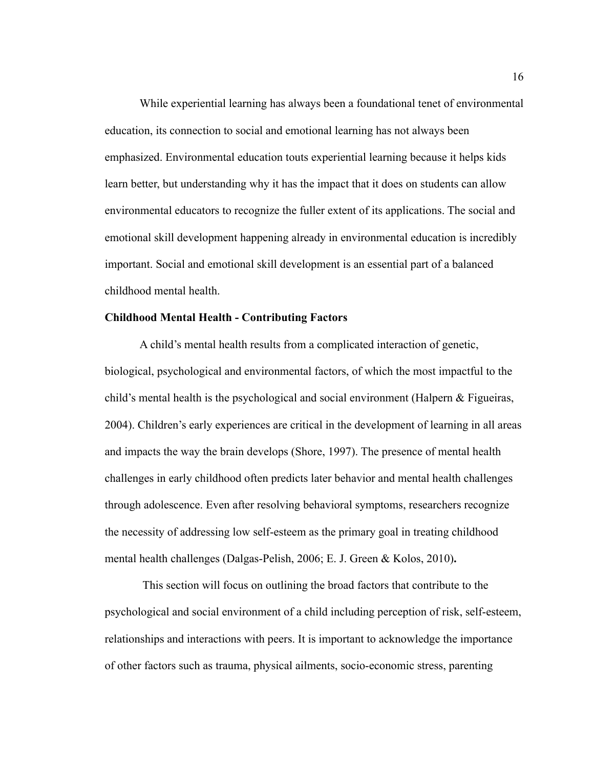While experiential learning has always been a foundational tenet of environmental education, its connection to social and emotional learning has not always been emphasized. Environmental education touts experiential learning because it helps kids learn better, but understanding why it has the impact that it does on students can allow environmental educators to recognize the fuller extent of its applications. The social and emotional skill development happening already in environmental education is incredibly important. Social and emotional skill development is an essential part of a balanced childhood mental health.

#### <span id="page-20-0"></span>**Childhood Mental Health - Contributing Factors**

A child's mental health results from a complicated interaction of genetic, biological, psychological and environmental factors, of which the most impactful to the child's mental health is the psychological and social environment (Halpern & Figueiras, 2004). Children's early experiences are critical in the development of learning in all areas and impacts the way the brain develops (Shore, 1997). The presence of mental health challenges in early childhood often predicts later behavior and mental health challenges through adolescence. Even after resolving behavioral symptoms, researchers recognize the necessity of addressing low self-esteem as the primary goal in treating childhood mental health challenges (Dalgas-Pelish, 2006; E. J. Green & Kolos, 2010)**.**

This section will focus on outlining the broad factors that contribute to the psychological and social environment of a child including perception of risk, self-esteem, relationships and interactions with peers. It is important to acknowledge the importance of other factors such as trauma, physical ailments, socio-economic stress, parenting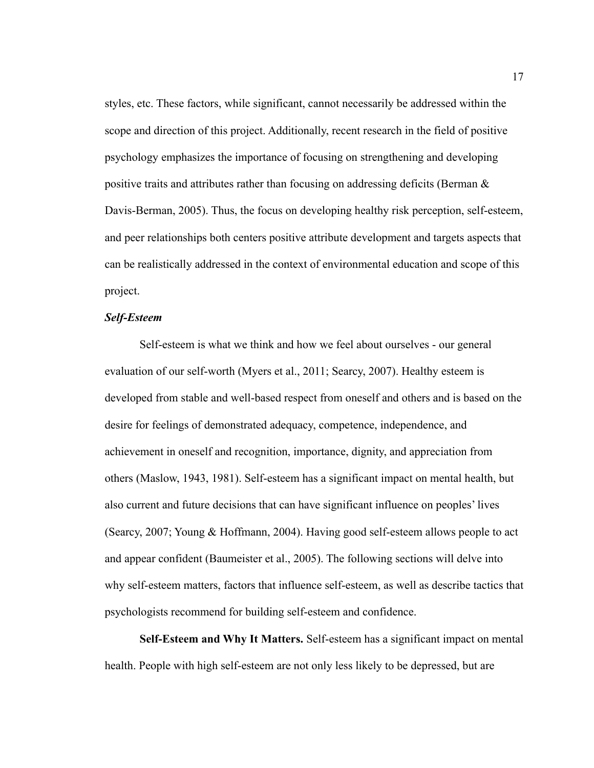styles, etc. These factors, while significant, cannot necessarily be addressed within the scope and direction of this project. Additionally, recent research in the field of positive psychology emphasizes the importance of focusing on strengthening and developing positive traits and attributes rather than focusing on addressing deficits (Berman & Davis-Berman, 2005). Thus, the focus on developing healthy risk perception, self-esteem, and peer relationships both centers positive attribute development and targets aspects that can be realistically addressed in the context of environmental education and scope of this project.

#### *Self-Esteem*

Self-esteem is what we think and how we feel about ourselves - our general evaluation of our self-worth (Myers et al., 2011; Searcy, 2007). Healthy esteem is developed from stable and well-based respect from oneself and others and is based on the desire for feelings of demonstrated adequacy, competence, independence, and achievement in oneself and recognition, importance, dignity, and appreciation from others (Maslow, 1943, 1981). Self-esteem has a significant impact on mental health, but also current and future decisions that can have significant influence on peoples' lives (Searcy, 2007; Young & Hoffmann, 2004). Having good self-esteem allows people to act and appear confident (Baumeister et al., 2005). The following sections will delve into why self-esteem matters, factors that influence self-esteem, as well as describe tactics that psychologists recommend for building self-esteem and confidence.

**Self-Esteem and Why It Matters.** Self-esteem has a significant impact on mental health. People with high self-esteem are not only less likely to be depressed, but are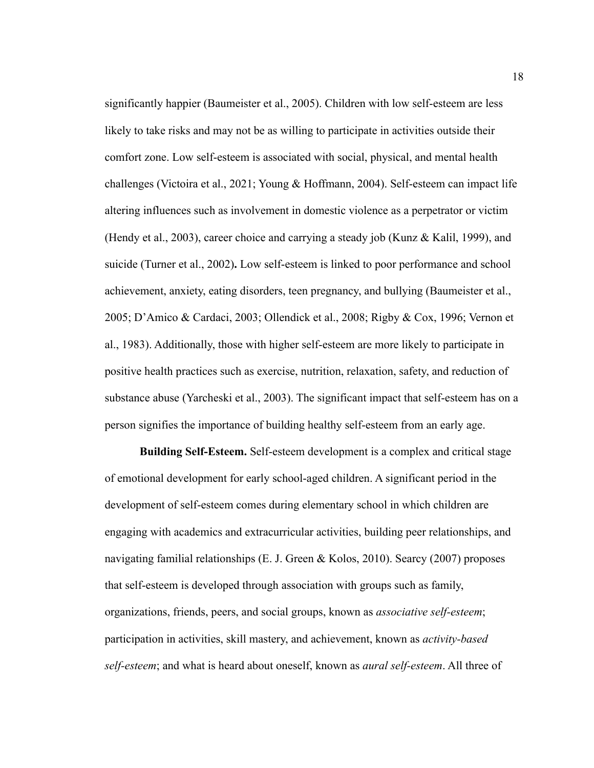significantly happier (Baumeister et al., 2005). Children with low self-esteem are less likely to take risks and may not be as willing to participate in activities outside their comfort zone. Low self-esteem is associated with social, physical, and mental health challenges (Victoira et al., 2021; Young & Hoffmann, 2004). Self-esteem can impact life altering influences such as involvement in domestic violence as a perpetrator or victim (Hendy et al., 2003), career choice and carrying a steady job (Kunz & Kalil, 1999), and suicide (Turner et al., 2002)**.** Low self-esteem is linked to poor performance and school achievement, anxiety, eating disorders, teen pregnancy, and bullying (Baumeister et al., 2005; D'Amico & Cardaci, 2003; Ollendick et al., 2008; Rigby & Cox, 1996; Vernon et al., 1983). Additionally, those with higher self-esteem are more likely to participate in positive health practices such as exercise, nutrition, relaxation, safety, and reduction of substance abuse (Yarcheski et al., 2003). The significant impact that self-esteem has on a person signifies the importance of building healthy self-esteem from an early age.

**Building Self-Esteem.** Self-esteem development is a complex and critical stage of emotional development for early school-aged children. A significant period in the development of self-esteem comes during elementary school in which children are engaging with academics and extracurricular activities, building peer relationships, and navigating familial relationships (E. J. Green & Kolos, 2010). Searcy (2007) proposes that self-esteem is developed through association with groups such as family, organizations, friends, peers, and social groups, known as *associative self-esteem*; participation in activities, skill mastery, and achievement, known as *activity-based self-esteem*; and what is heard about oneself, known as *aural self-esteem*. All three of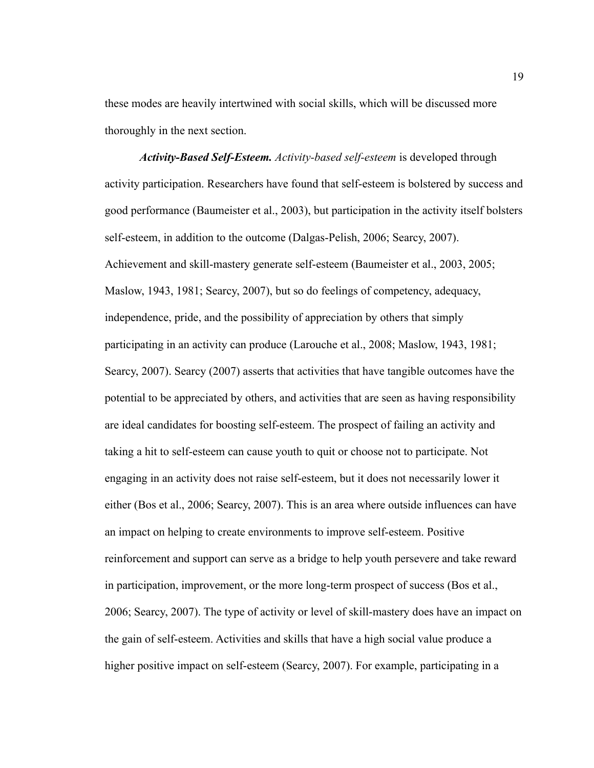these modes are heavily intertwined with social skills, which will be discussed more thoroughly in the next section.

*Activity-Based Self-Esteem. Activity-based self-esteem* is developed through activity participation. Researchers have found that self-esteem is bolstered by success and good performance (Baumeister et al., 2003), but participation in the activity itself bolsters self-esteem, in addition to the outcome (Dalgas-Pelish, 2006; Searcy, 2007). Achievement and skill-mastery generate self-esteem (Baumeister et al., 2003, 2005; Maslow, 1943, 1981; Searcy, 2007), but so do feelings of competency, adequacy, independence, pride, and the possibility of appreciation by others that simply participating in an activity can produce (Larouche et al., 2008; Maslow, 1943, 1981; Searcy, 2007). Searcy (2007) asserts that activities that have tangible outcomes have the potential to be appreciated by others, and activities that are seen as having responsibility are ideal candidates for boosting self-esteem. The prospect of failing an activity and taking a hit to self-esteem can cause youth to quit or choose not to participate. Not engaging in an activity does not raise self-esteem, but it does not necessarily lower it either (Bos et al., 2006; Searcy, 2007). This is an area where outside influences can have an impact on helping to create environments to improve self-esteem. Positive reinforcement and support can serve as a bridge to help youth persevere and take reward in participation, improvement, or the more long-term prospect of success (Bos et al., 2006; Searcy, 2007). The type of activity or level of skill-mastery does have an impact on the gain of self-esteem. Activities and skills that have a high social value produce a higher positive impact on self-esteem (Searcy, 2007). For example, participating in a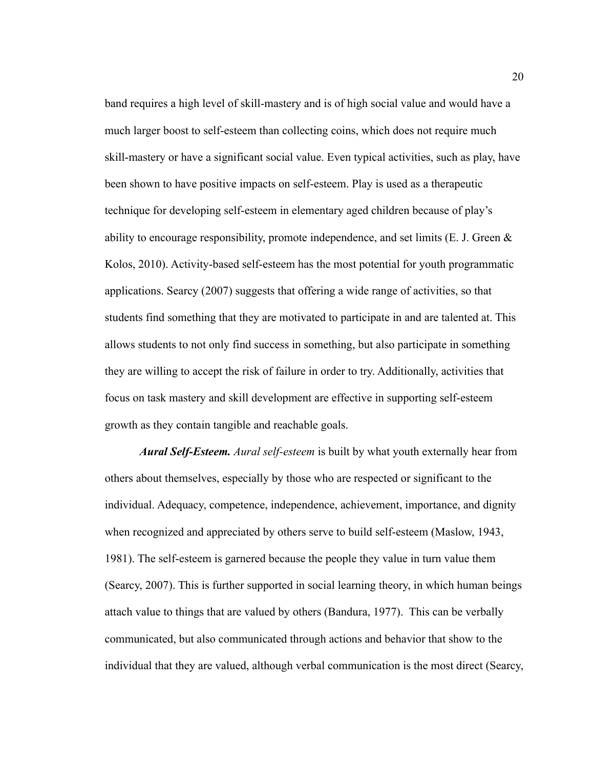band requires a high level of skill-mastery and is of high social value and would have a much larger boost to self-esteem than collecting coins, which does not require much skill-mastery or have a significant social value. Even typical activities, such as play, have been shown to have positive impacts on self-esteem. Play is used as a therapeutic technique for developing self-esteem in elementary aged children because of play's ability to encourage responsibility, promote independence, and set limits (E. J. Green  $\&$ Kolos, 2010). Activity-based self-esteem has the most potential for youth programmatic applications. Searcy (2007) suggests that offering a wide range of activities, so that students find something that they are motivated to participate in and are talented at. This allows students to not only find success in something, but also participate in something they are willing to accept the risk of failure in order to try. Additionally, activities that focus on task mastery and skill development are effective in supporting self-esteem growth as they contain tangible and reachable goals.

*Aural Self-Esteem. Aural self-esteem* is built by what youth externally hear from others about themselves, especially by those who are respected or significant to the individual. Adequacy, competence, independence, achievement, importance, and dignity when recognized and appreciated by others serve to build self-esteem (Maslow, 1943, 1981). The self-esteem is garnered because the people they value in turn value them (Searcy, 2007). This is further supported in social learning theory, in which human beings attach value to things that are valued by others (Bandura, 1977). This can be verbally communicated, but also communicated through actions and behavior that show to the individual that they are valued, although verbal communication is the most direct (Searcy,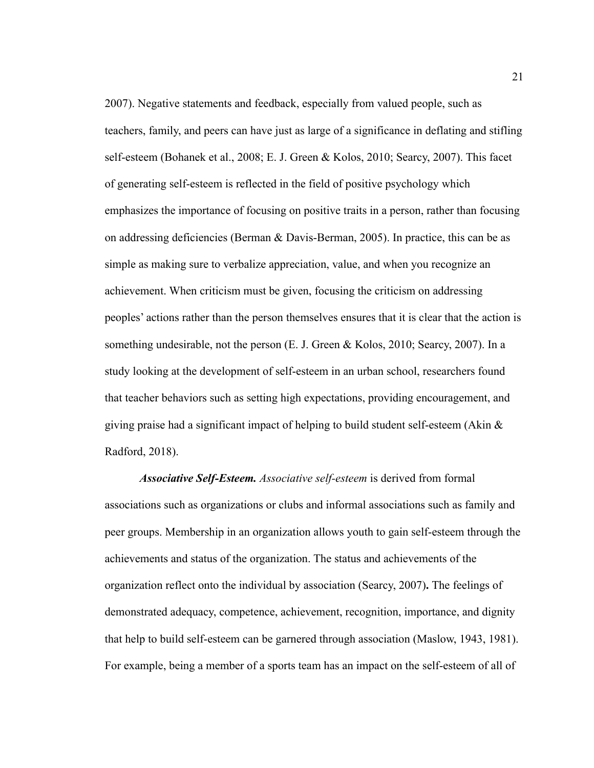2007). Negative statements and feedback, especially from valued people, such as teachers, family, and peers can have just as large of a significance in deflating and stifling self-esteem (Bohanek et al., 2008; E. J. Green & Kolos, 2010; Searcy, 2007). This facet of generating self-esteem is reflected in the field of positive psychology which emphasizes the importance of focusing on positive traits in a person, rather than focusing on addressing deficiencies (Berman & Davis-Berman, 2005). In practice, this can be as simple as making sure to verbalize appreciation, value, and when you recognize an achievement. When criticism must be given, focusing the criticism on addressing peoples' actions rather than the person themselves ensures that it is clear that the action is something undesirable, not the person (E. J. Green & Kolos, 2010; Searcy, 2007). In a study looking at the development of self-esteem in an urban school, researchers found that teacher behaviors such as setting high expectations, providing encouragement, and giving praise had a significant impact of helping to build student self-esteem (Akin & Radford, 2018).

*Associative Self-Esteem. Associative self-esteem* is derived from formal associations such as organizations or clubs and informal associations such as family and peer groups. Membership in an organization allows youth to gain self-esteem through the achievements and status of the organization. The status and achievements of the organization reflect onto the individual by association (Searcy, 2007)**.** The feelings of demonstrated adequacy, competence, achievement, recognition, importance, and dignity that help to build self-esteem can be garnered through association (Maslow, 1943, 1981). For example, being a member of a sports team has an impact on the self-esteem of all of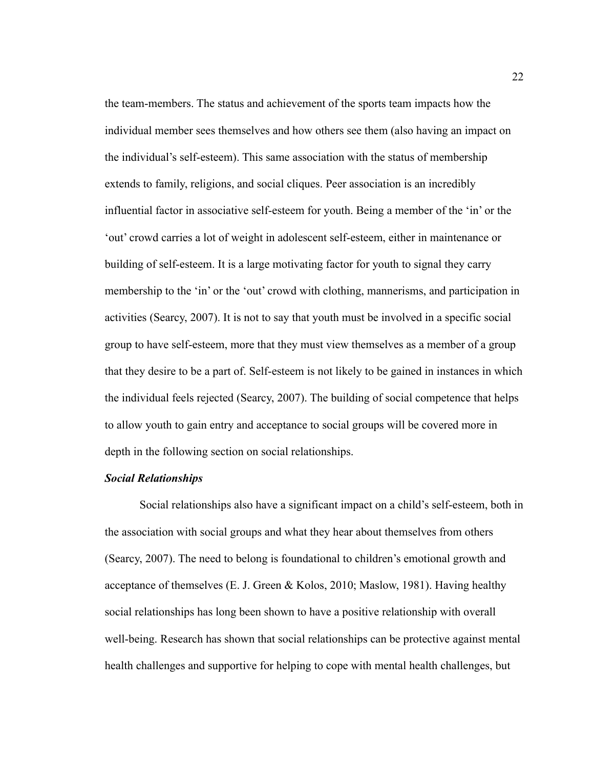the team-members. The status and achievement of the sports team impacts how the individual member sees themselves and how others see them (also having an impact on the individual's self-esteem). This same association with the status of membership extends to family, religions, and social cliques. Peer association is an incredibly influential factor in associative self-esteem for youth. Being a member of the 'in' or the 'out' crowd carries a lot of weight in adolescent self-esteem, either in maintenance or building of self-esteem. It is a large motivating factor for youth to signal they carry membership to the 'in' or the 'out' crowd with clothing, mannerisms, and participation in activities (Searcy, 2007). It is not to say that youth must be involved in a specific social group to have self-esteem, more that they must view themselves as a member of a group that they desire to be a part of. Self-esteem is not likely to be gained in instances in which the individual feels rejected (Searcy, 2007). The building of social competence that helps to allow youth to gain entry and acceptance to social groups will be covered more in depth in the following section on social relationships.

#### *Social Relationships*

Social relationships also have a significant impact on a child's self-esteem, both in the association with social groups and what they hear about themselves from others (Searcy, 2007). The need to belong is foundational to children's emotional growth and acceptance of themselves (E. J. Green & Kolos, 2010; Maslow, 1981). Having healthy social relationships has long been shown to have a positive relationship with overall well-being. Research has shown that social relationships can be protective against mental health challenges and supportive for helping to cope with mental health challenges, but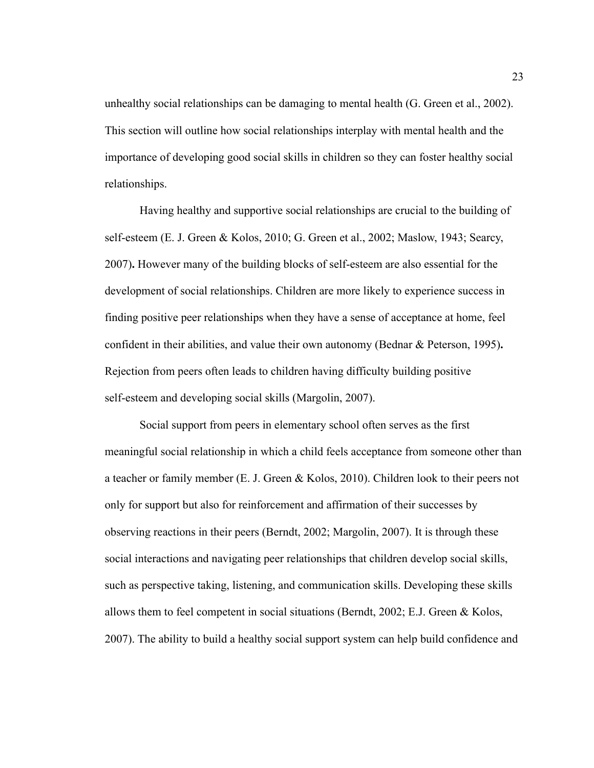unhealthy social relationships can be damaging to mental health (G. Green et al., 2002). This section will outline how social relationships interplay with mental health and the importance of developing good social skills in children so they can foster healthy social relationships.

Having healthy and supportive social relationships are crucial to the building of self-esteem (E. J. Green & Kolos, 2010; G. Green et al., 2002; Maslow, 1943; Searcy, 2007)**.** However many of the building blocks of self-esteem are also essential for the development of social relationships. Children are more likely to experience success in finding positive peer relationships when they have a sense of acceptance at home, feel confident in their abilities, and value their own autonomy (Bednar & Peterson, 1995)**.** Rejection from peers often leads to children having difficulty building positive self-esteem and developing social skills (Margolin, 2007).

Social support from peers in elementary school often serves as the first meaningful social relationship in which a child feels acceptance from someone other than a teacher or family member (E. J. Green & Kolos, 2010). Children look to their peers not only for support but also for reinforcement and affirmation of their successes by observing reactions in their peers (Berndt, 2002; Margolin, 2007). It is through these social interactions and navigating peer relationships that children develop social skills, such as perspective taking, listening, and communication skills. Developing these skills allows them to feel competent in social situations (Berndt, 2002; E.J. Green & Kolos, 2007). The ability to build a healthy social support system can help build confidence and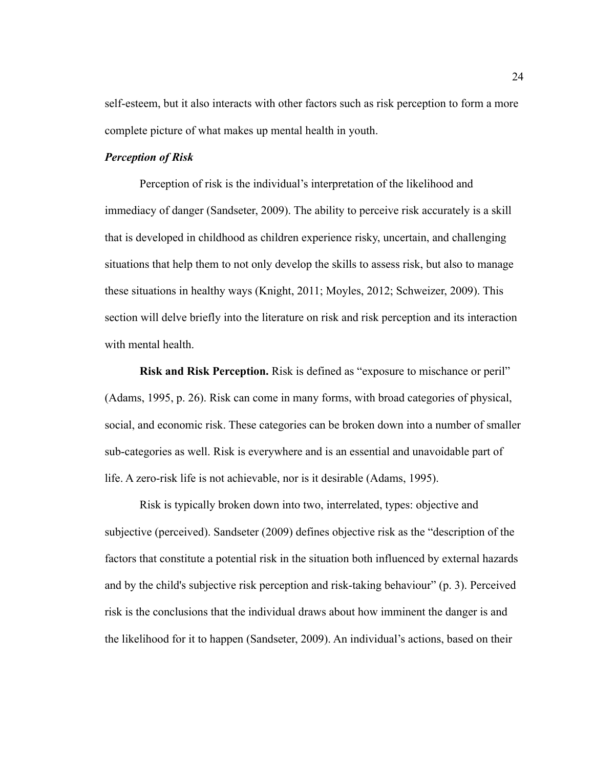self-esteem, but it also interacts with other factors such as risk perception to form a more complete picture of what makes up mental health in youth.

#### *Perception of Risk*

Perception of risk is the individual's interpretation of the likelihood and immediacy of danger (Sandseter, 2009). The ability to perceive risk accurately is a skill that is developed in childhood as children experience risky, uncertain, and challenging situations that help them to not only develop the skills to assess risk, but also to manage these situations in healthy ways (Knight, 2011; Moyles, 2012; Schweizer, 2009). This section will delve briefly into the literature on risk and risk perception and its interaction with mental health.

**Risk and Risk Perception.** Risk is defined as "exposure to mischance or peril" (Adams, 1995, p. 26). Risk can come in many forms, with broad categories of physical, social, and economic risk. These categories can be broken down into a number of smaller sub-categories as well. Risk is everywhere and is an essential and unavoidable part of life. A zero-risk life is not achievable, nor is it desirable (Adams, 1995).

Risk is typically broken down into two, interrelated, types: objective and subjective (perceived). Sandseter (2009) defines objective risk as the "description of the factors that constitute a potential risk in the situation both influenced by external hazards and by the child's subjective risk perception and risk-taking behaviour" (p. 3). Perceived risk is the conclusions that the individual draws about how imminent the danger is and the likelihood for it to happen (Sandseter, 2009). An individual's actions, based on their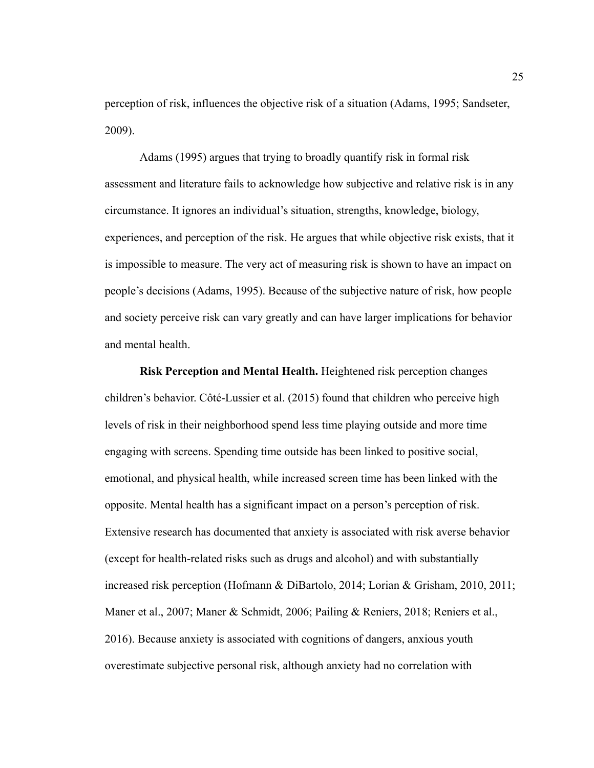perception of risk, influences the objective risk of a situation (Adams, 1995; Sandseter, 2009).

Adams (1995) argues that trying to broadly quantify risk in formal risk assessment and literature fails to acknowledge how subjective and relative risk is in any circumstance. It ignores an individual's situation, strengths, knowledge, biology, experiences, and perception of the risk. He argues that while objective risk exists, that it is impossible to measure. The very act of measuring risk is shown to have an impact on people's decisions (Adams, 1995). Because of the subjective nature of risk, how people and society perceive risk can vary greatly and can have larger implications for behavior and mental health.

**Risk Perception and Mental Health.** Heightened risk perception changes children's behavior. Côté-Lussier et al. (2015) found that children who perceive high levels of risk in their neighborhood spend less time playing outside and more time engaging with screens. Spending time outside has been linked to positive social, emotional, and physical health, while increased screen time has been linked with the opposite. Mental health has a significant impact on a person's perception of risk. Extensive research has documented that anxiety is associated with risk averse behavior (except for health-related risks such as drugs and alcohol) and with substantially increased risk perception (Hofmann & DiBartolo, 2014; Lorian & Grisham, 2010, 2011; Maner et al., 2007; Maner & Schmidt, 2006; Pailing & Reniers, 2018; Reniers et al., 2016). Because anxiety is associated with cognitions of dangers, anxious youth overestimate subjective personal risk, although anxiety had no correlation with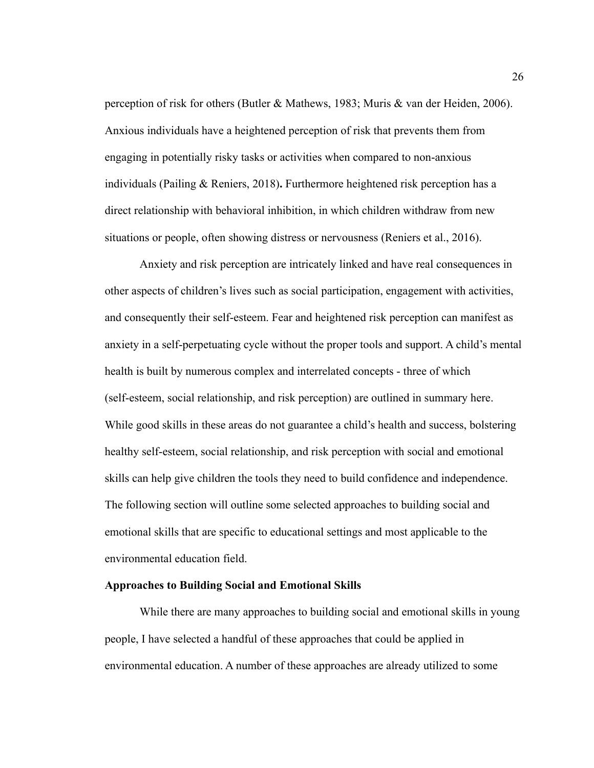perception of risk for others (Butler & Mathews, 1983; Muris & van der Heiden, 2006). Anxious individuals have a heightened perception of risk that prevents them from engaging in potentially risky tasks or activities when compared to non-anxious individuals (Pailing & Reniers, 2018)**.** Furthermore heightened risk perception has a direct relationship with behavioral inhibition, in which children withdraw from new situations or people, often showing distress or nervousness (Reniers et al., 2016).

Anxiety and risk perception are intricately linked and have real consequences in other aspects of children's lives such as social participation, engagement with activities, and consequently their self-esteem. Fear and heightened risk perception can manifest as anxiety in a self-perpetuating cycle without the proper tools and support. A child's mental health is built by numerous complex and interrelated concepts - three of which (self-esteem, social relationship, and risk perception) are outlined in summary here. While good skills in these areas do not guarantee a child's health and success, bolstering healthy self-esteem, social relationship, and risk perception with social and emotional skills can help give children the tools they need to build confidence and independence. The following section will outline some selected approaches to building social and emotional skills that are specific to educational settings and most applicable to the environmental education field.

#### <span id="page-30-0"></span>**Approaches to Building Social and Emotional Skills**

While there are many approaches to building social and emotional skills in young people, I have selected a handful of these approaches that could be applied in environmental education. A number of these approaches are already utilized to some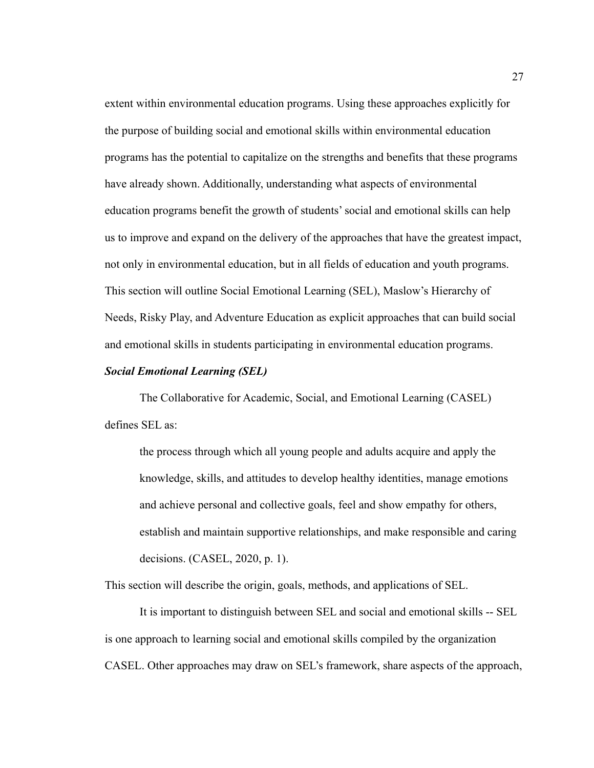extent within environmental education programs. Using these approaches explicitly for the purpose of building social and emotional skills within environmental education programs has the potential to capitalize on the strengths and benefits that these programs have already shown. Additionally, understanding what aspects of environmental education programs benefit the growth of students' social and emotional skills can help us to improve and expand on the delivery of the approaches that have the greatest impact, not only in environmental education, but in all fields of education and youth programs. This section will outline Social Emotional Learning (SEL), Maslow's Hierarchy of Needs, Risky Play, and Adventure Education as explicit approaches that can build social and emotional skills in students participating in environmental education programs.

#### *Social Emotional Learning (SEL)*

The Collaborative for Academic, Social, and Emotional Learning (CASEL) defines SEL as:

the process through which all young people and adults acquire and apply the knowledge, skills, and attitudes to develop healthy identities, manage emotions and achieve personal and collective goals, feel and show empathy for others, establish and maintain supportive relationships, and make responsible and caring decisions. (CASEL, 2020, p. 1).

This section will describe the origin, goals, methods, and applications of SEL.

It is important to distinguish between SEL and social and emotional skills -- SEL is one approach to learning social and emotional skills compiled by the organization CASEL. Other approaches may draw on SEL's framework, share aspects of the approach,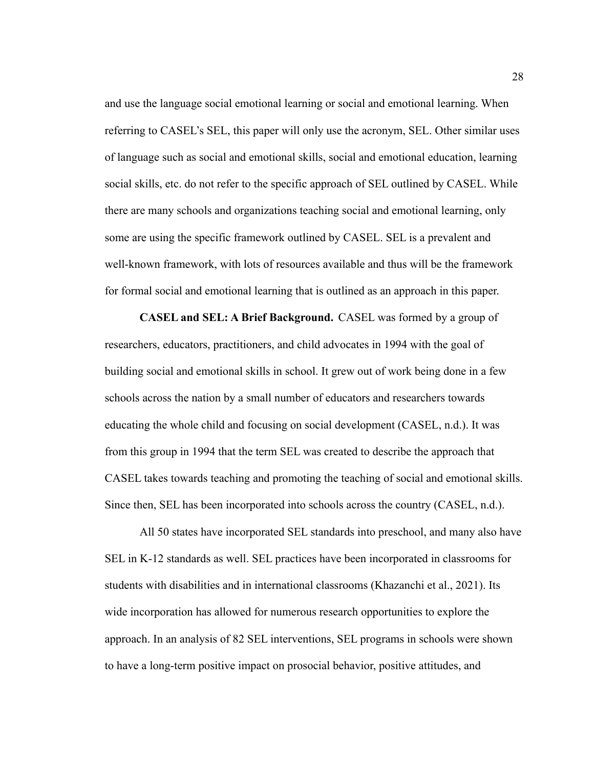and use the language social emotional learning or social and emotional learning. When referring to CASEL's SEL, this paper will only use the acronym, SEL. Other similar uses of language such as social and emotional skills, social and emotional education, learning social skills, etc. do not refer to the specific approach of SEL outlined by CASEL. While there are many schools and organizations teaching social and emotional learning, only some are using the specific framework outlined by CASEL. SEL is a prevalent and well-known framework, with lots of resources available and thus will be the framework for formal social and emotional learning that is outlined as an approach in this paper.

**CASEL and SEL: A Brief Background.** CASEL was formed by a group of researchers, educators, practitioners, and child advocates in 1994 with the goal of building social and emotional skills in school. It grew out of work being done in a few schools across the nation by a small number of educators and researchers towards educating the whole child and focusing on social development (CASEL, n.d.). It was from this group in 1994 that the term SEL was created to describe the approach that CASEL takes towards teaching and promoting the teaching of social and emotional skills. Since then, SEL has been incorporated into schools across the country (CASEL, n.d.).

All 50 states have incorporated SEL standards into preschool, and many also have SEL in K-12 standards as well. SEL practices have been incorporated in classrooms for students with disabilities and in international classrooms (Khazanchi et al., 2021). Its wide incorporation has allowed for numerous research opportunities to explore the approach. In an analysis of 82 SEL interventions, SEL programs in schools were shown to have a long-term positive impact on prosocial behavior, positive attitudes, and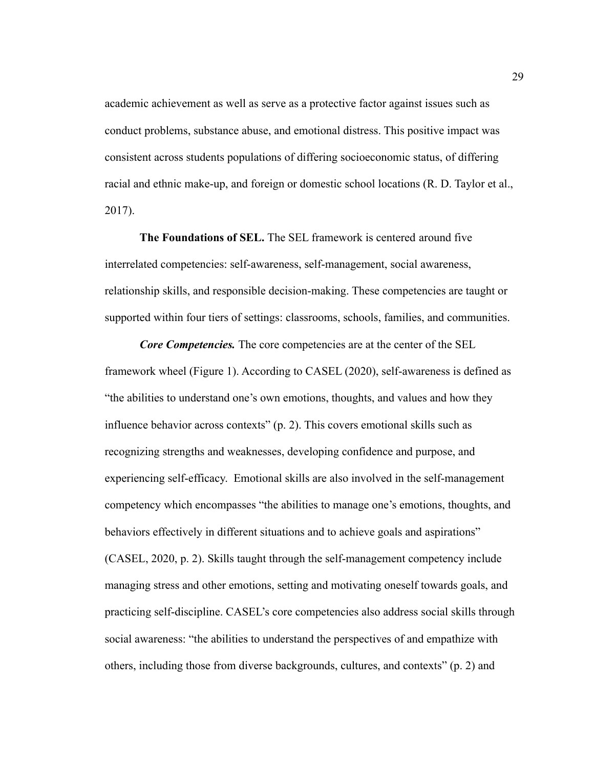academic achievement as well as serve as a protective factor against issues such as conduct problems, substance abuse, and emotional distress. This positive impact was consistent across students populations of differing socioeconomic status, of differing racial and ethnic make-up, and foreign or domestic school locations (R. D. Taylor et al., 2017).

**The Foundations of SEL.** The SEL framework is centered around five interrelated competencies: self-awareness, self-management, social awareness, relationship skills, and responsible decision-making. These competencies are taught or supported within four tiers of settings: classrooms, schools, families, and communities.

*Core Competencies.* The core competencies are at the center of the SEL framework wheel (Figure 1). According to CASEL (2020), self-awareness is defined as "the abilities to understand one's own emotions, thoughts, and values and how they influence behavior across contexts" (p. 2). This covers emotional skills such as recognizing strengths and weaknesses, developing confidence and purpose, and experiencing self-efficacy. Emotional skills are also involved in the self-management competency which encompasses "the abilities to manage one's emotions, thoughts, and behaviors effectively in different situations and to achieve goals and aspirations" (CASEL, 2020, p. 2). Skills taught through the self-management competency include managing stress and other emotions, setting and motivating oneself towards goals, and practicing self-discipline. CASEL's core competencies also address social skills through social awareness: "the abilities to understand the perspectives of and empathize with others, including those from diverse backgrounds, cultures, and contexts" (p. 2) and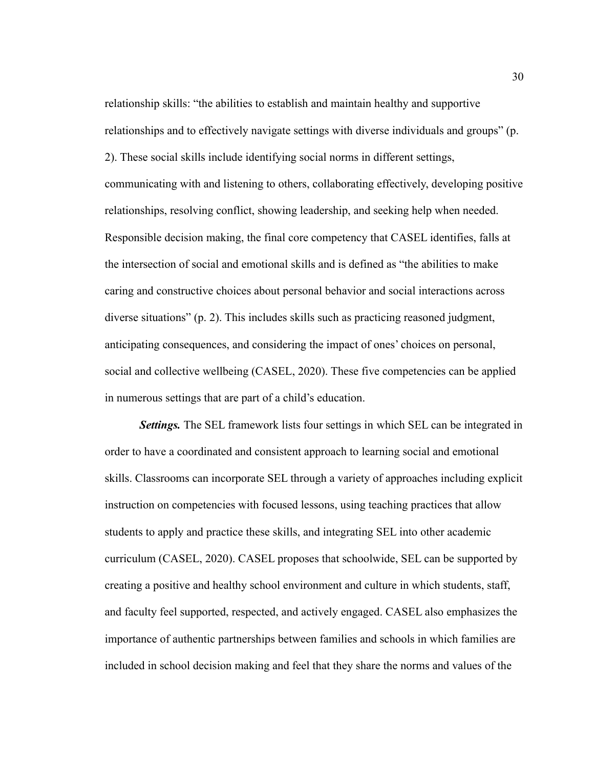relationship skills: "the abilities to establish and maintain healthy and supportive relationships and to effectively navigate settings with diverse individuals and groups" (p. 2). These social skills include identifying social norms in different settings, communicating with and listening to others, collaborating effectively, developing positive relationships, resolving conflict, showing leadership, and seeking help when needed. Responsible decision making, the final core competency that CASEL identifies, falls at the intersection of social and emotional skills and is defined as "the abilities to make caring and constructive choices about personal behavior and social interactions across diverse situations" (p. 2). This includes skills such as practicing reasoned judgment, anticipating consequences, and considering the impact of ones' choices on personal, social and collective wellbeing (CASEL, 2020). These five competencies can be applied in numerous settings that are part of a child's education.

*Settings.* The SEL framework lists four settings in which SEL can be integrated in order to have a coordinated and consistent approach to learning social and emotional skills. Classrooms can incorporate SEL through a variety of approaches including explicit instruction on competencies with focused lessons, using teaching practices that allow students to apply and practice these skills, and integrating SEL into other academic curriculum (CASEL, 2020). CASEL proposes that schoolwide, SEL can be supported by creating a positive and healthy school environment and culture in which students, staff, and faculty feel supported, respected, and actively engaged. CASEL also emphasizes the importance of authentic partnerships between families and schools in which families are included in school decision making and feel that they share the norms and values of the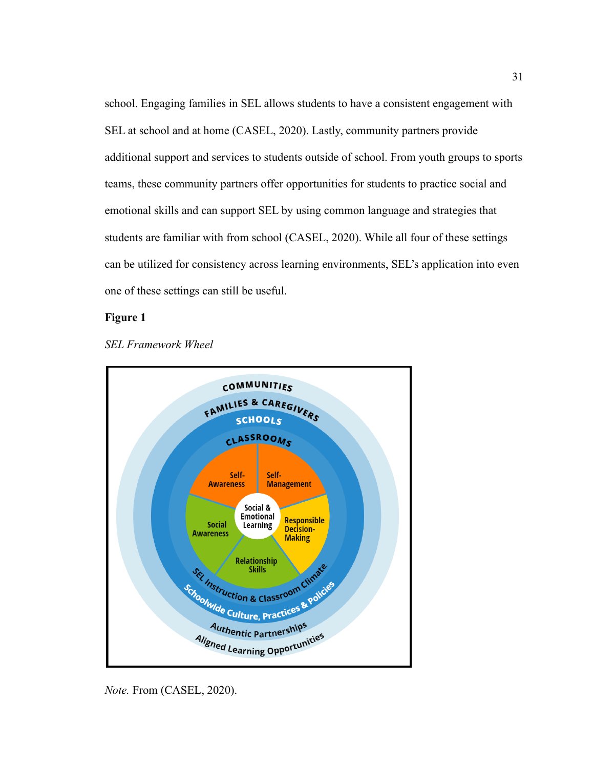school. Engaging families in SEL allows students to have a consistent engagement with SEL at school and at home (CASEL, 2020). Lastly, community partners provide additional support and services to students outside of school. From youth groups to sports teams, these community partners offer opportunities for students to practice social and emotional skills and can support SEL by using common language and strategies that students are familiar with from school (CASEL, 2020). While all four of these settings can be utilized for consistency across learning environments, SEL's application into even one of these settings can still be useful.

#### **Figure 1**





*Note.* From (CASEL, 2020).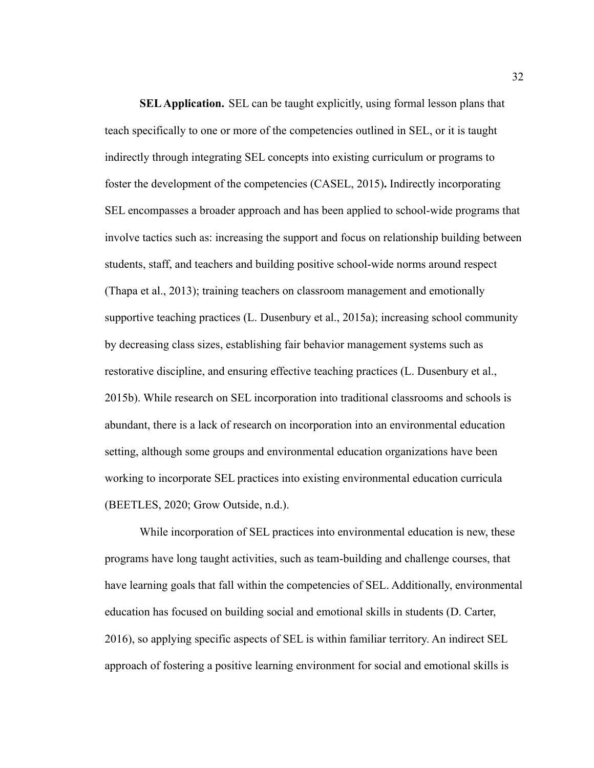**SELApplication.** SEL can be taught explicitly, using formal lesson plans that teach specifically to one or more of the competencies outlined in SEL, or it is taught indirectly through integrating SEL concepts into existing curriculum or programs to foster the development of the competencies (CASEL, 2015)**.** Indirectly incorporating SEL encompasses a broader approach and has been applied to school-wide programs that involve tactics such as: increasing the support and focus on relationship building between students, staff, and teachers and building positive school-wide norms around respect (Thapa et al., 2013); training teachers on classroom management and emotionally supportive teaching practices (L. Dusenbury et al., 2015a); increasing school community by decreasing class sizes, establishing fair behavior management systems such as restorative discipline, and ensuring effective teaching practices (L. Dusenbury et al., 2015b). While research on SEL incorporation into traditional classrooms and schools is abundant, there is a lack of research on incorporation into an environmental education setting, although some groups and environmental education organizations have been working to incorporate SEL practices into existing environmental education curricula (BEETLES, 2020; Grow Outside, n.d.).

While incorporation of SEL practices into environmental education is new, these programs have long taught activities, such as team-building and challenge courses, that have learning goals that fall within the competencies of SEL. Additionally, environmental education has focused on building social and emotional skills in students (D. Carter, 2016), so applying specific aspects of SEL is within familiar territory. An indirect SEL approach of fostering a positive learning environment for social and emotional skills is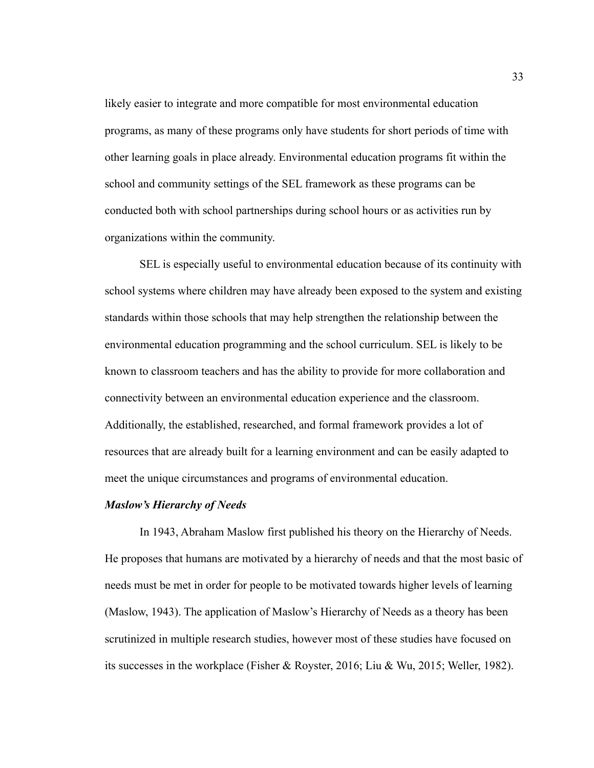likely easier to integrate and more compatible for most environmental education programs, as many of these programs only have students for short periods of time with other learning goals in place already. Environmental education programs fit within the school and community settings of the SEL framework as these programs can be conducted both with school partnerships during school hours or as activities run by organizations within the community.

SEL is especially useful to environmental education because of its continuity with school systems where children may have already been exposed to the system and existing standards within those schools that may help strengthen the relationship between the environmental education programming and the school curriculum. SEL is likely to be known to classroom teachers and has the ability to provide for more collaboration and connectivity between an environmental education experience and the classroom. Additionally, the established, researched, and formal framework provides a lot of resources that are already built for a learning environment and can be easily adapted to meet the unique circumstances and programs of environmental education.

### *Maslow's Hierarchy of Needs*

In 1943, Abraham Maslow first published his theory on the Hierarchy of Needs. He proposes that humans are motivated by a hierarchy of needs and that the most basic of needs must be met in order for people to be motivated towards higher levels of learning (Maslow, 1943). The application of Maslow's Hierarchy of Needs as a theory has been scrutinized in multiple research studies, however most of these studies have focused on its successes in the workplace (Fisher & Royster, 2016; Liu & Wu, 2015; Weller, 1982).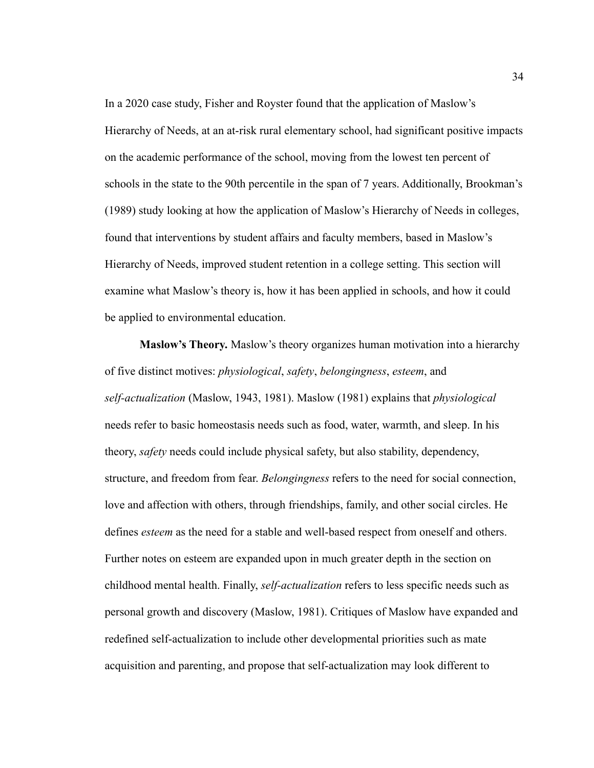In a 2020 case study, Fisher and Royster found that the application of Maslow's Hierarchy of Needs, at an at-risk rural elementary school, had significant positive impacts on the academic performance of the school, moving from the lowest ten percent of schools in the state to the 90th percentile in the span of 7 years. Additionally, Brookman's (1989) study looking at how the application of Maslow's Hierarchy of Needs in colleges, found that interventions by student affairs and faculty members, based in Maslow's Hierarchy of Needs, improved student retention in a college setting. This section will examine what Maslow's theory is, how it has been applied in schools, and how it could be applied to environmental education.

**Maslow's Theory.** Maslow's theory organizes human motivation into a hierarchy of five distinct motives: *physiological*, *safety*, *belongingness*, *esteem*, and *self-actualization* (Maslow, 1943, 1981). Maslow (1981) explains that *physiological* needs refer to basic homeostasis needs such as food, water, warmth, and sleep. In his theory, *safety* needs could include physical safety, but also stability, dependency, structure, and freedom from fear. *Belongingness* refers to the need for social connection, love and affection with others, through friendships, family, and other social circles. He defines *esteem* as the need for a stable and well-based respect from oneself and others. Further notes on esteem are expanded upon in much greater depth in the section on childhood mental health. Finally, *self-actualization* refers to less specific needs such as personal growth and discovery (Maslow, 1981). Critiques of Maslow have expanded and redefined self-actualization to include other developmental priorities such as mate acquisition and parenting, and propose that self-actualization may look different to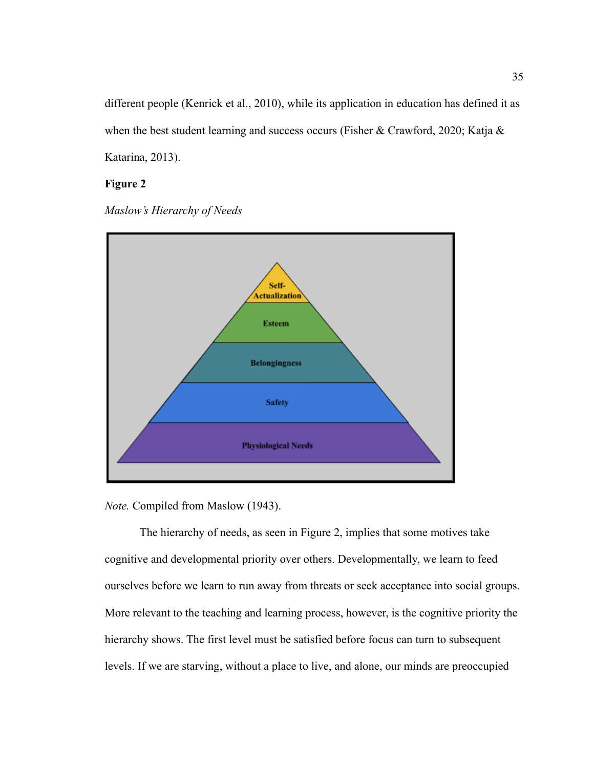different people (Kenrick et al., 2010), while its application in education has defined it as when the best student learning and success occurs (Fisher & Crawford, 2020; Katja & Katarina, 2013).

# **Figure 2**

*Maslow's Hierarchy of Needs*



*Note.* Compiled from Maslow (1943).

The hierarchy of needs, as seen in Figure 2, implies that some motives take cognitive and developmental priority over others. Developmentally, we learn to feed ourselves before we learn to run away from threats or seek acceptance into social groups. More relevant to the teaching and learning process, however, is the cognitive priority the hierarchy shows. The first level must be satisfied before focus can turn to subsequent levels. If we are starving, without a place to live, and alone, our minds are preoccupied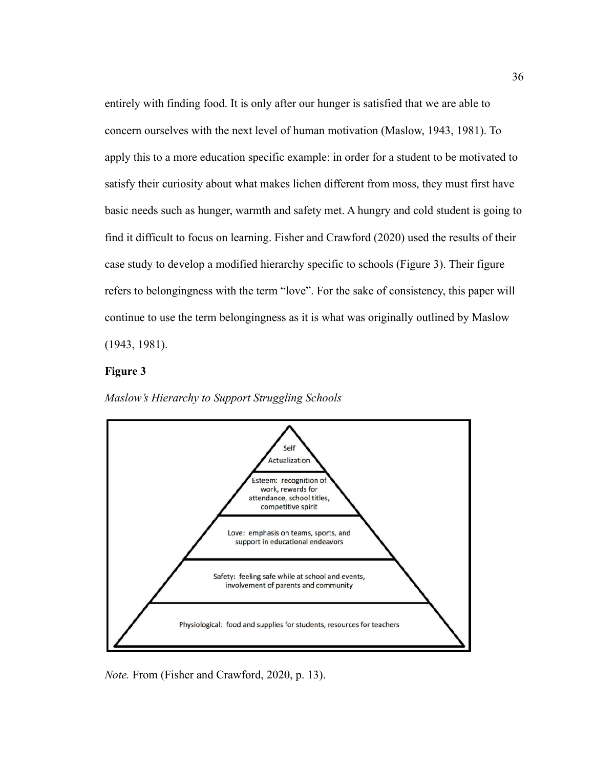entirely with finding food. It is only after our hunger is satisfied that we are able to concern ourselves with the next level of human motivation (Maslow, 1943, 1981). To apply this to a more education specific example: in order for a student to be motivated to satisfy their curiosity about what makes lichen different from moss, they must first have basic needs such as hunger, warmth and safety met. A hungry and cold student is going to find it difficult to focus on learning. Fisher and Crawford (2020) used the results of their case study to develop a modified hierarchy specific to schools (Figure 3). Their figure refers to belongingness with the term "love". For the sake of consistency, this paper will continue to use the term belongingness as it is what was originally outlined by Maslow (1943, 1981).

# **Figure 3**





*Note.* From (Fisher and Crawford, 2020, p. 13).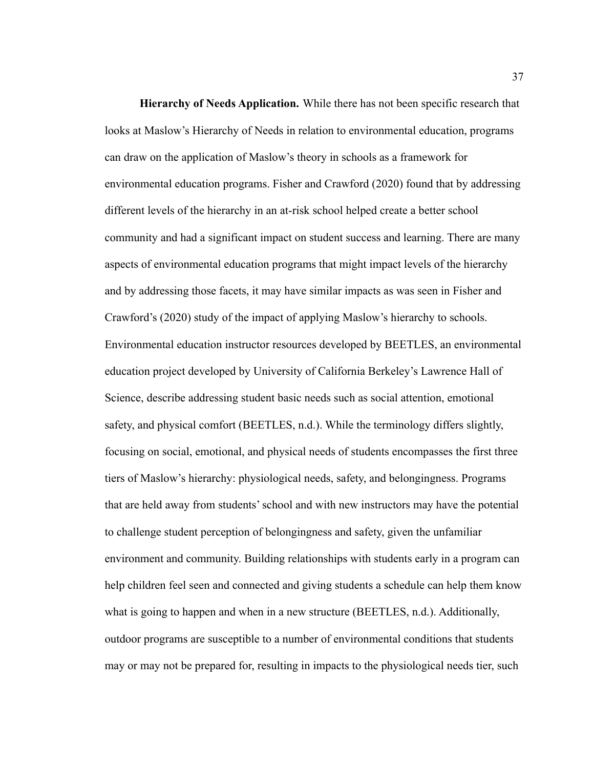**Hierarchy of Needs Application.** While there has not been specific research that looks at Maslow's Hierarchy of Needs in relation to environmental education, programs can draw on the application of Maslow's theory in schools as a framework for environmental education programs. Fisher and Crawford (2020) found that by addressing different levels of the hierarchy in an at-risk school helped create a better school community and had a significant impact on student success and learning. There are many aspects of environmental education programs that might impact levels of the hierarchy and by addressing those facets, it may have similar impacts as was seen in Fisher and Crawford's (2020) study of the impact of applying Maslow's hierarchy to schools. Environmental education instructor resources developed by BEETLES, an environmental education project developed by University of California Berkeley's Lawrence Hall of Science, describe addressing student basic needs such as social attention, emotional safety, and physical comfort (BEETLES, n.d.). While the terminology differs slightly, focusing on social, emotional, and physical needs of students encompasses the first three tiers of Maslow's hierarchy: physiological needs, safety, and belongingness. Programs that are held away from students' school and with new instructors may have the potential to challenge student perception of belongingness and safety, given the unfamiliar environment and community. Building relationships with students early in a program can help children feel seen and connected and giving students a schedule can help them know what is going to happen and when in a new structure (BEETLES, n.d.). Additionally, outdoor programs are susceptible to a number of environmental conditions that students may or may not be prepared for, resulting in impacts to the physiological needs tier, such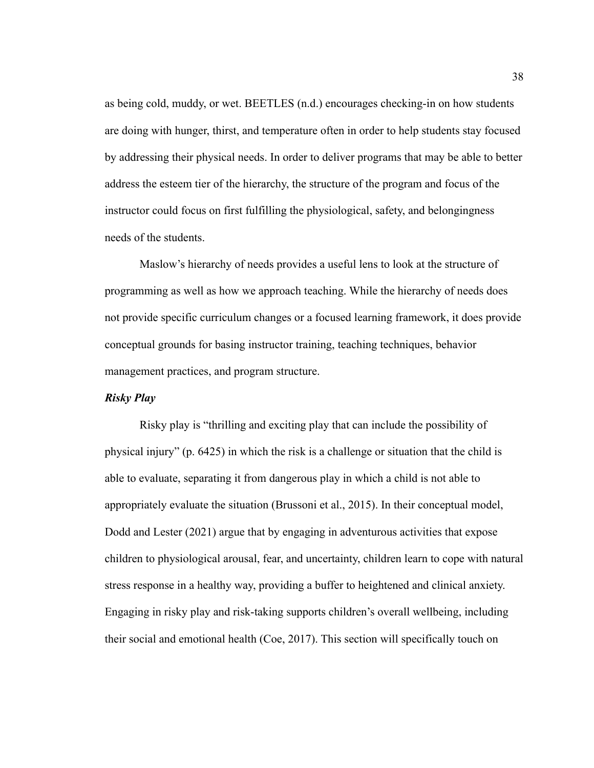as being cold, muddy, or wet. BEETLES (n.d.) encourages checking-in on how students are doing with hunger, thirst, and temperature often in order to help students stay focused by addressing their physical needs. In order to deliver programs that may be able to better address the esteem tier of the hierarchy, the structure of the program and focus of the instructor could focus on first fulfilling the physiological, safety, and belongingness needs of the students.

Maslow's hierarchy of needs provides a useful lens to look at the structure of programming as well as how we approach teaching. While the hierarchy of needs does not provide specific curriculum changes or a focused learning framework, it does provide conceptual grounds for basing instructor training, teaching techniques, behavior management practices, and program structure.

### *Risky Play*

Risky play is "thrilling and exciting play that can include the possibility of physical injury" (p. 6425) in which the risk is a challenge or situation that the child is able to evaluate, separating it from dangerous play in which a child is not able to appropriately evaluate the situation (Brussoni et al., 2015). In their conceptual model, Dodd and Lester (2021) argue that by engaging in adventurous activities that expose children to physiological arousal, fear, and uncertainty, children learn to cope with natural stress response in a healthy way, providing a buffer to heightened and clinical anxiety. Engaging in risky play and risk-taking supports children's overall wellbeing, including their social and emotional health (Coe, 2017). This section will specifically touch on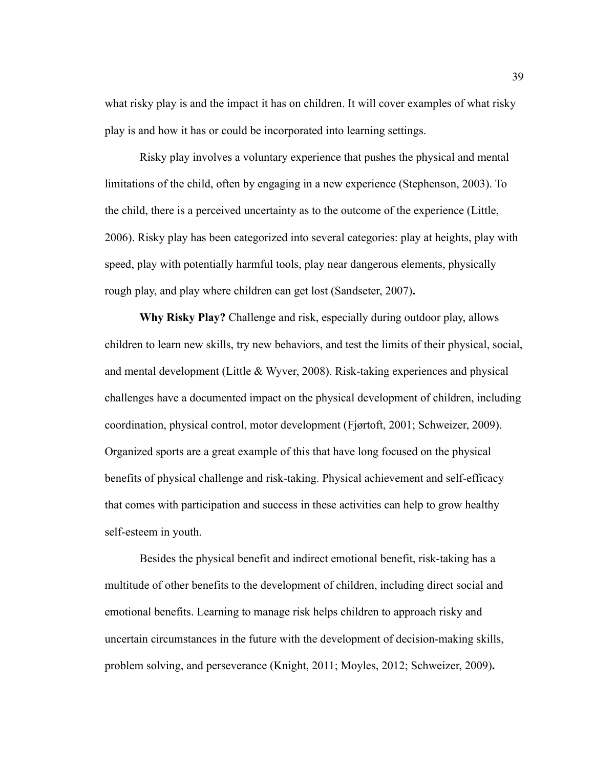what risky play is and the impact it has on children. It will cover examples of what risky play is and how it has or could be incorporated into learning settings.

Risky play involves a voluntary experience that pushes the physical and mental limitations of the child, often by engaging in a new experience (Stephenson, 2003). To the child, there is a perceived uncertainty as to the outcome of the experience (Little, 2006). Risky play has been categorized into several categories: play at heights, play with speed, play with potentially harmful tools, play near dangerous elements, physically rough play, and play where children can get lost (Sandseter, 2007)**.**

**Why Risky Play?** Challenge and risk, especially during outdoor play, allows children to learn new skills, try new behaviors, and test the limits of their physical, social, and mental development (Little & Wyver, 2008). Risk-taking experiences and physical challenges have a documented impact on the physical development of children, including coordination, physical control, motor development (Fjørtoft, 2001; Schweizer, 2009). Organized sports are a great example of this that have long focused on the physical benefits of physical challenge and risk-taking. Physical achievement and self-efficacy that comes with participation and success in these activities can help to grow healthy self-esteem in youth.

Besides the physical benefit and indirect emotional benefit, risk-taking has a multitude of other benefits to the development of children, including direct social and emotional benefits. Learning to manage risk helps children to approach risky and uncertain circumstances in the future with the development of decision-making skills, problem solving, and perseverance (Knight, 2011; Moyles, 2012; Schweizer, 2009)**.**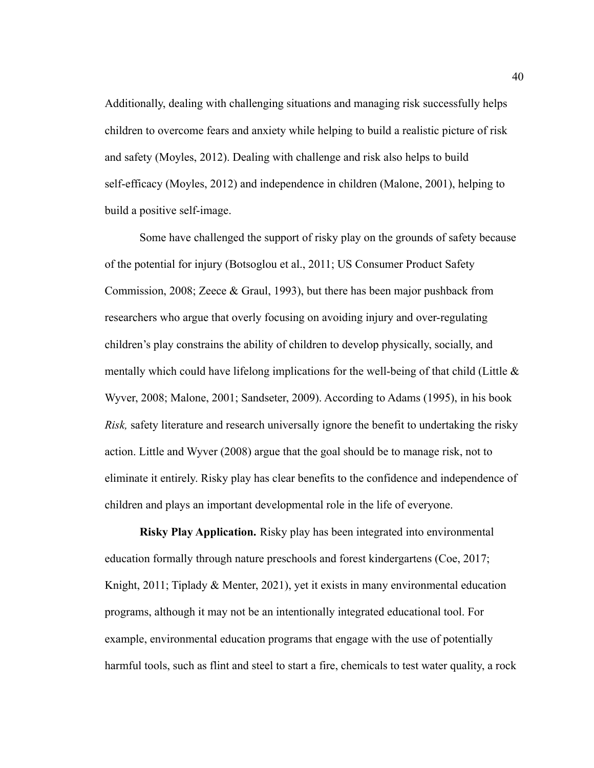Additionally, dealing with challenging situations and managing risk successfully helps children to overcome fears and anxiety while helping to build a realistic picture of risk and safety (Moyles, 2012). Dealing with challenge and risk also helps to build self-efficacy (Moyles, 2012) and independence in children (Malone, 2001), helping to build a positive self-image.

Some have challenged the support of risky play on the grounds of safety because of the potential for injury (Botsoglou et al., 2011; US Consumer Product Safety Commission, 2008; Zeece & Graul, 1993), but there has been major pushback from researchers who argue that overly focusing on avoiding injury and over-regulating children's play constrains the ability of children to develop physically, socially, and mentally which could have lifelong implications for the well-being of that child (Little  $\&$ Wyver, 2008; Malone, 2001; Sandseter, 2009). According to Adams (1995), in his book *Risk,* safety literature and research universally ignore the benefit to undertaking the risky action. Little and Wyver (2008) argue that the goal should be to manage risk, not to eliminate it entirely. Risky play has clear benefits to the confidence and independence of children and plays an important developmental role in the life of everyone.

**Risky Play Application.** Risky play has been integrated into environmental education formally through nature preschools and forest kindergartens (Coe, 2017; Knight, 2011; Tiplady & Menter, 2021), yet it exists in many environmental education programs, although it may not be an intentionally integrated educational tool. For example, environmental education programs that engage with the use of potentially harmful tools, such as flint and steel to start a fire, chemicals to test water quality, a rock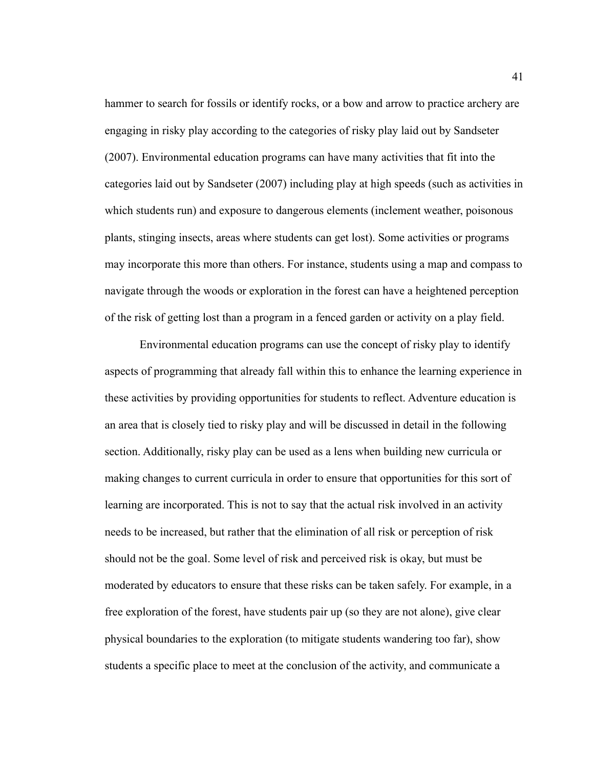hammer to search for fossils or identify rocks, or a bow and arrow to practice archery are engaging in risky play according to the categories of risky play laid out by Sandseter (2007). Environmental education programs can have many activities that fit into the categories laid out by Sandseter (2007) including play at high speeds (such as activities in which students run) and exposure to dangerous elements (inclement weather, poisonous plants, stinging insects, areas where students can get lost). Some activities or programs may incorporate this more than others. For instance, students using a map and compass to navigate through the woods or exploration in the forest can have a heightened perception of the risk of getting lost than a program in a fenced garden or activity on a play field.

Environmental education programs can use the concept of risky play to identify aspects of programming that already fall within this to enhance the learning experience in these activities by providing opportunities for students to reflect. Adventure education is an area that is closely tied to risky play and will be discussed in detail in the following section. Additionally, risky play can be used as a lens when building new curricula or making changes to current curricula in order to ensure that opportunities for this sort of learning are incorporated. This is not to say that the actual risk involved in an activity needs to be increased, but rather that the elimination of all risk or perception of risk should not be the goal. Some level of risk and perceived risk is okay, but must be moderated by educators to ensure that these risks can be taken safely. For example, in a free exploration of the forest, have students pair up (so they are not alone), give clear physical boundaries to the exploration (to mitigate students wandering too far), show students a specific place to meet at the conclusion of the activity, and communicate a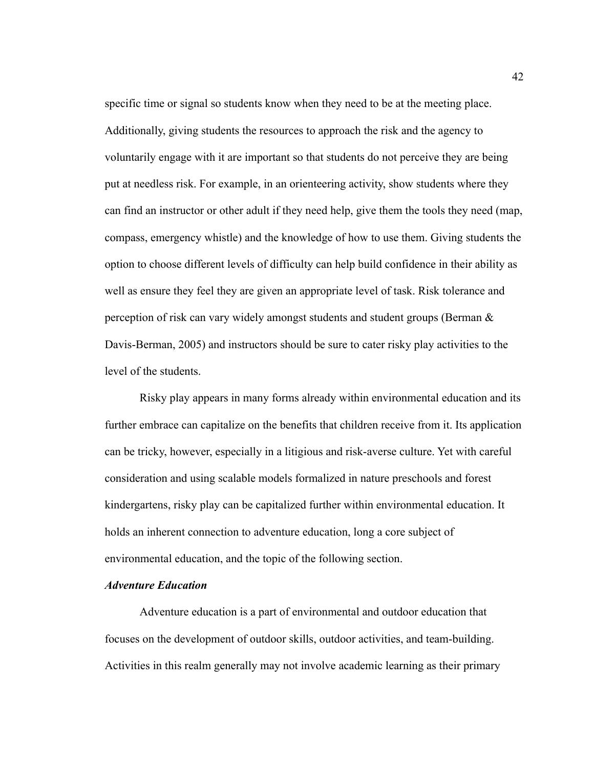specific time or signal so students know when they need to be at the meeting place. Additionally, giving students the resources to approach the risk and the agency to voluntarily engage with it are important so that students do not perceive they are being put at needless risk. For example, in an orienteering activity, show students where they can find an instructor or other adult if they need help, give them the tools they need (map, compass, emergency whistle) and the knowledge of how to use them. Giving students the option to choose different levels of difficulty can help build confidence in their ability as well as ensure they feel they are given an appropriate level of task. Risk tolerance and perception of risk can vary widely amongst students and student groups (Berman & Davis-Berman, 2005) and instructors should be sure to cater risky play activities to the level of the students.

Risky play appears in many forms already within environmental education and its further embrace can capitalize on the benefits that children receive from it. Its application can be tricky, however, especially in a litigious and risk-averse culture. Yet with careful consideration and using scalable models formalized in nature preschools and forest kindergartens, risky play can be capitalized further within environmental education. It holds an inherent connection to adventure education, long a core subject of environmental education, and the topic of the following section.

# *Adventure Education*

Adventure education is a part of environmental and outdoor education that focuses on the development of outdoor skills, outdoor activities, and team-building. Activities in this realm generally may not involve academic learning as their primary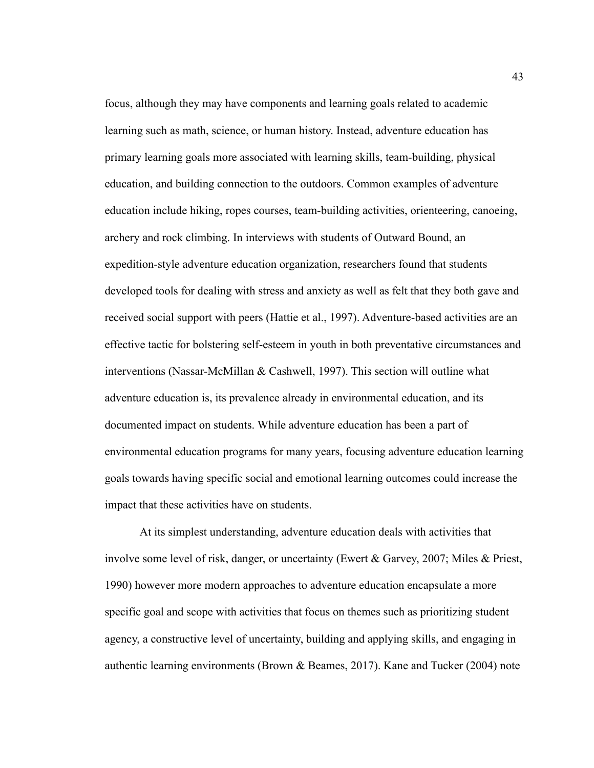focus, although they may have components and learning goals related to academic learning such as math, science, or human history. Instead, adventure education has primary learning goals more associated with learning skills, team-building, physical education, and building connection to the outdoors. Common examples of adventure education include hiking, ropes courses, team-building activities, orienteering, canoeing, archery and rock climbing. In interviews with students of Outward Bound, an expedition-style adventure education organization, researchers found that students developed tools for dealing with stress and anxiety as well as felt that they both gave and received social support with peers (Hattie et al., 1997). Adventure-based activities are an effective tactic for bolstering self-esteem in youth in both preventative circumstances and interventions (Nassar-McMillan & Cashwell, 1997). This section will outline what adventure education is, its prevalence already in environmental education, and its documented impact on students. While adventure education has been a part of environmental education programs for many years, focusing adventure education learning goals towards having specific social and emotional learning outcomes could increase the impact that these activities have on students.

At its simplest understanding, adventure education deals with activities that involve some level of risk, danger, or uncertainty (Ewert & Garvey, 2007; Miles & Priest, 1990) however more modern approaches to adventure education encapsulate a more specific goal and scope with activities that focus on themes such as prioritizing student agency, a constructive level of uncertainty, building and applying skills, and engaging in authentic learning environments (Brown & Beames, 2017). Kane and Tucker (2004) note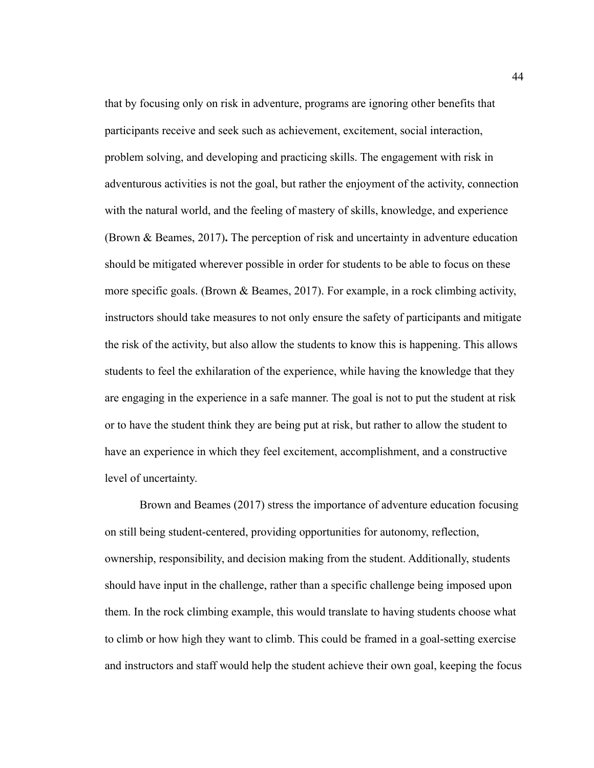that by focusing only on risk in adventure, programs are ignoring other benefits that participants receive and seek such as achievement, excitement, social interaction, problem solving, and developing and practicing skills. The engagement with risk in adventurous activities is not the goal, but rather the enjoyment of the activity, connection with the natural world, and the feeling of mastery of skills, knowledge, and experience (Brown & Beames, 2017)**.** The perception of risk and uncertainty in adventure education should be mitigated wherever possible in order for students to be able to focus on these more specific goals. (Brown & Beames, 2017). For example, in a rock climbing activity, instructors should take measures to not only ensure the safety of participants and mitigate the risk of the activity, but also allow the students to know this is happening. This allows students to feel the exhilaration of the experience, while having the knowledge that they are engaging in the experience in a safe manner. The goal is not to put the student at risk or to have the student think they are being put at risk, but rather to allow the student to have an experience in which they feel excitement, accomplishment, and a constructive level of uncertainty.

Brown and Beames (2017) stress the importance of adventure education focusing on still being student-centered, providing opportunities for autonomy, reflection, ownership, responsibility, and decision making from the student. Additionally, students should have input in the challenge, rather than a specific challenge being imposed upon them. In the rock climbing example, this would translate to having students choose what to climb or how high they want to climb. This could be framed in a goal-setting exercise and instructors and staff would help the student achieve their own goal, keeping the focus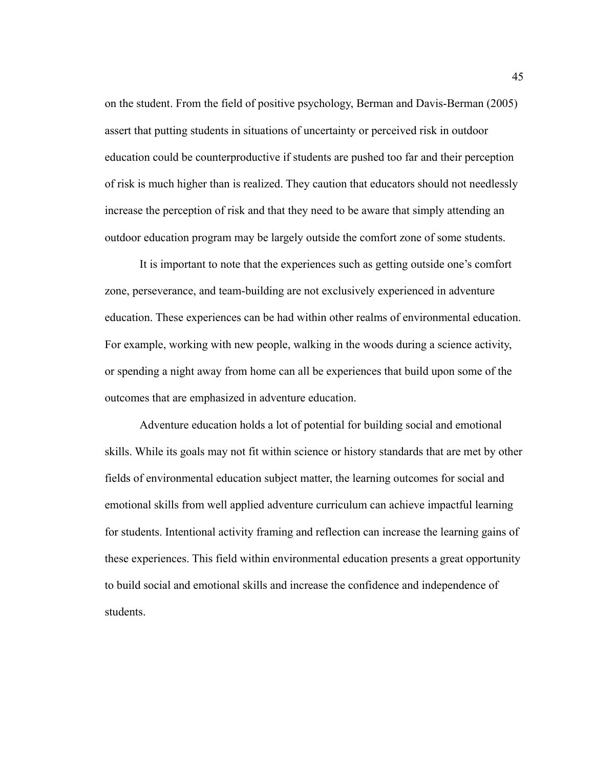on the student. From the field of positive psychology, Berman and Davis-Berman (2005) assert that putting students in situations of uncertainty or perceived risk in outdoor education could be counterproductive if students are pushed too far and their perception of risk is much higher than is realized. They caution that educators should not needlessly increase the perception of risk and that they need to be aware that simply attending an outdoor education program may be largely outside the comfort zone of some students.

It is important to note that the experiences such as getting outside one's comfort zone, perseverance, and team-building are not exclusively experienced in adventure education. These experiences can be had within other realms of environmental education. For example, working with new people, walking in the woods during a science activity, or spending a night away from home can all be experiences that build upon some of the outcomes that are emphasized in adventure education.

Adventure education holds a lot of potential for building social and emotional skills. While its goals may not fit within science or history standards that are met by other fields of environmental education subject matter, the learning outcomes for social and emotional skills from well applied adventure curriculum can achieve impactful learning for students. Intentional activity framing and reflection can increase the learning gains of these experiences. This field within environmental education presents a great opportunity to build social and emotional skills and increase the confidence and independence of students.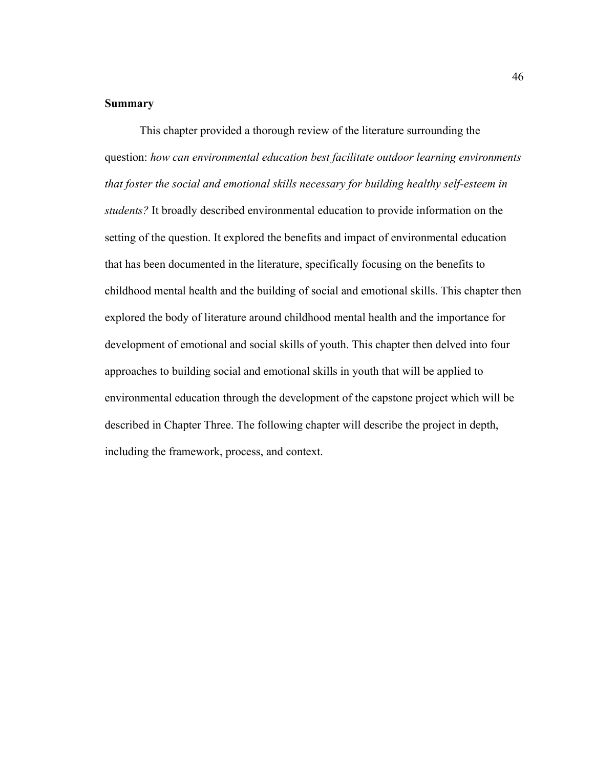# **Summary**

This chapter provided a thorough review of the literature surrounding the question: *how can environmental education best facilitate outdoor learning environments that foster the social and emotional skills necessary for building healthy self-esteem in students?* It broadly described environmental education to provide information on the setting of the question. It explored the benefits and impact of environmental education that has been documented in the literature, specifically focusing on the benefits to childhood mental health and the building of social and emotional skills. This chapter then explored the body of literature around childhood mental health and the importance for development of emotional and social skills of youth. This chapter then delved into four approaches to building social and emotional skills in youth that will be applied to environmental education through the development of the capstone project which will be described in Chapter Three. The following chapter will describe the project in depth, including the framework, process, and context.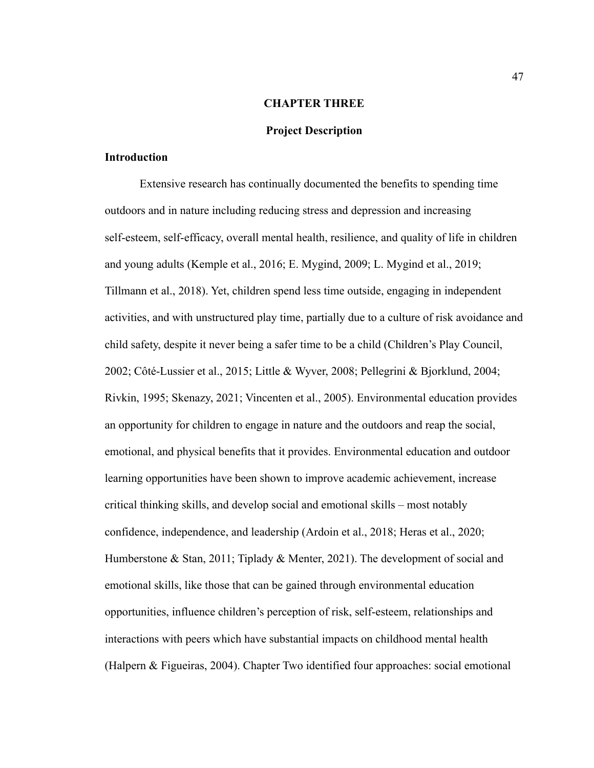### **CHAPTER THREE**

### **Project Description**

### **Introduction**

Extensive research has continually documented the benefits to spending time outdoors and in nature including reducing stress and depression and increasing self-esteem, self-efficacy, overall mental health, resilience, and quality of life in children and young adults (Kemple et al., 2016; E. Mygind, 2009; L. Mygind et al., 2019; Tillmann et al., 2018). Yet, children spend less time outside, engaging in independent activities, and with unstructured play time, partially due to a culture of risk avoidance and child safety, despite it never being a safer time to be a child (Children's Play Council, 2002; Côté-Lussier et al., 2015; Little & Wyver, 2008; Pellegrini & Bjorklund, 2004; Rivkin, 1995; Skenazy, 2021; Vincenten et al., 2005). Environmental education provides an opportunity for children to engage in nature and the outdoors and reap the social, emotional, and physical benefits that it provides. Environmental education and outdoor learning opportunities have been shown to improve academic achievement, increase critical thinking skills, and develop social and emotional skills – most notably confidence, independence, and leadership (Ardoin et al., 2018; Heras et al., 2020; Humberstone & Stan, 2011; Tiplady & Menter, 2021). The development of social and emotional skills, like those that can be gained through environmental education opportunities, influence children's perception of risk, self-esteem, relationships and interactions with peers which have substantial impacts on childhood mental health (Halpern & Figueiras, 2004). Chapter Two identified four approaches: social emotional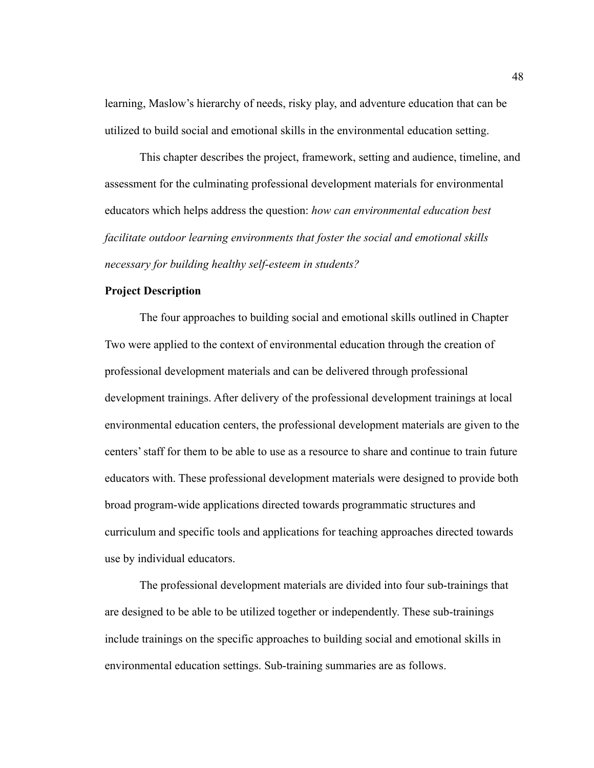learning, Maslow's hierarchy of needs, risky play, and adventure education that can be utilized to build social and emotional skills in the environmental education setting.

This chapter describes the project, framework, setting and audience, timeline, and assessment for the culminating professional development materials for environmental educators which helps address the question: *how can environmental education best facilitate outdoor learning environments that foster the social and emotional skills necessary for building healthy self-esteem in students?*

# **Project Description**

The four approaches to building social and emotional skills outlined in Chapter Two were applied to the context of environmental education through the creation of professional development materials and can be delivered through professional development trainings. After delivery of the professional development trainings at local environmental education centers, the professional development materials are given to the centers' staff for them to be able to use as a resource to share and continue to train future educators with. These professional development materials were designed to provide both broad program-wide applications directed towards programmatic structures and curriculum and specific tools and applications for teaching approaches directed towards use by individual educators.

The professional development materials are divided into four sub-trainings that are designed to be able to be utilized together or independently. These sub-trainings include trainings on the specific approaches to building social and emotional skills in environmental education settings. Sub-training summaries are as follows.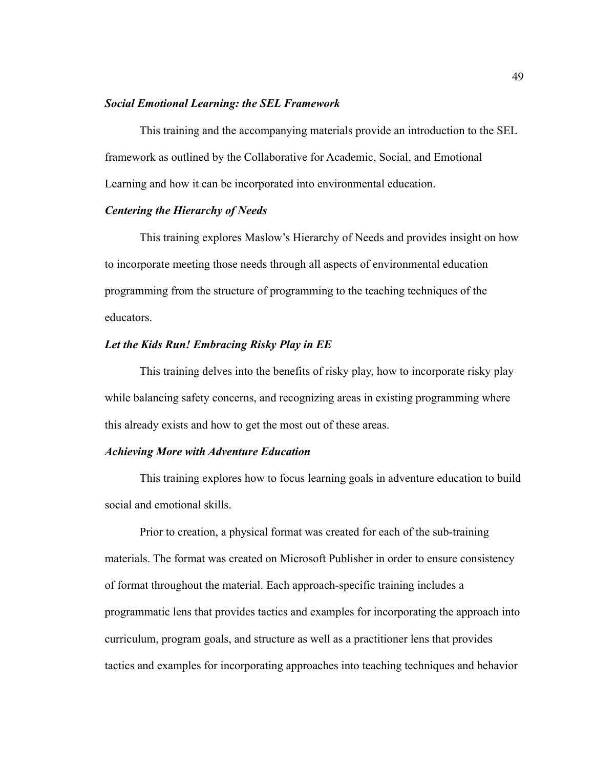### *Social Emotional Learning: the SEL Framework*

This training and the accompanying materials provide an introduction to the SEL framework as outlined by the Collaborative for Academic, Social, and Emotional Learning and how it can be incorporated into environmental education.

## *Centering the Hierarchy of Needs*

This training explores Maslow's Hierarchy of Needs and provides insight on how to incorporate meeting those needs through all aspects of environmental education programming from the structure of programming to the teaching techniques of the educators.

### *Let the Kids Run! Embracing Risky Play in EE*

This training delves into the benefits of risky play, how to incorporate risky play while balancing safety concerns, and recognizing areas in existing programming where this already exists and how to get the most out of these areas.

#### *Achieving More with Adventure Education*

This training explores how to focus learning goals in adventure education to build social and emotional skills.

Prior to creation, a physical format was created for each of the sub-training materials. The format was created on Microsoft Publisher in order to ensure consistency of format throughout the material. Each approach-specific training includes a programmatic lens that provides tactics and examples for incorporating the approach into curriculum, program goals, and structure as well as a practitioner lens that provides tactics and examples for incorporating approaches into teaching techniques and behavior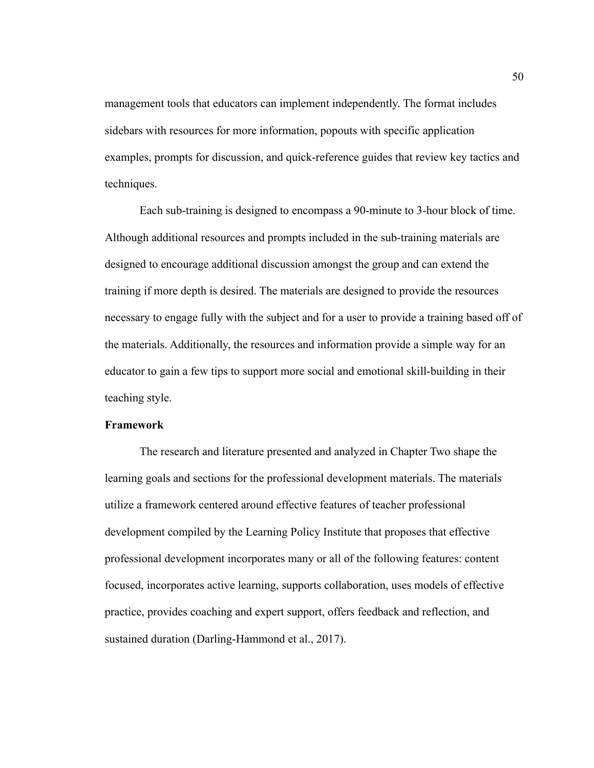management tools that educators can implement independently. The format includes sidebars with resources for more information, popouts with specific application examples, prompts for discussion, and quick-reference guides that review key tactics and techniques.

Each sub-training is designed to encompass a 90-minute to 3-hour block of time. Although additional resources and prompts included in the sub-training materials are designed to encourage additional discussion amongst the group and can extend the training if more depth is desired. The materials are designed to provide the resources necessary to engage fully with the subject and for a user to provide a training based off of the materials. Additionally, the resources and information provide a simple way for an educator to gain a few tips to support more social and emotional skill-building in their teaching style.

### **Framework**

The research and literature presented and analyzed in Chapter Two shape the learning goals and sections for the professional development materials. The materials utilize a framework centered around effective features of teacher professional development compiled by the Learning Policy Institute that proposes that effective professional development incorporates many or all of the following features: content focused, incorporates active learning, supports collaboration, uses models of effective practice, provides coaching and expert support, offers feedback and reflection, and sustained duration (Darling-Hammond et al., 2017).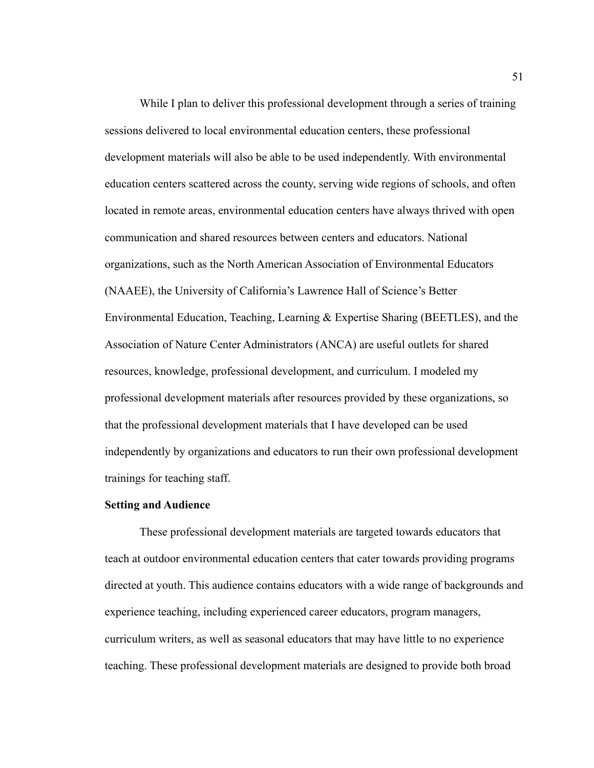While I plan to deliver this professional development through a series of training sessions delivered to local environmental education centers, these professional development materials will also be able to be used independently. With environmental education centers scattered across the county, serving wide regions of schools, and often located in remote areas, environmental education centers have always thrived with open communication and shared resources between centers and educators. National organizations, such as the North American Association of Environmental Educators (NAAEE), the University of California's Lawrence Hall of Science's Better Environmental Education, Teaching, Learning & Expertise Sharing (BEETLES), and the Association of Nature Center Administrators (ANCA) are useful outlets for shared resources, knowledge, professional development, and curriculum. I modeled my professional development materials after resources provided by these organizations, so that the professional development materials that I have developed can be used independently by organizations and educators to run their own professional development trainings for teaching staff.

#### **Setting and Audience**

These professional development materials are targeted towards educators that teach at outdoor environmental education centers that cater towards providing programs directed at youth. This audience contains educators with a wide range of backgrounds and experience teaching, including experienced career educators, program managers, curriculum writers, as well as seasonal educators that may have little to no experience teaching. These professional development materials are designed to provide both broad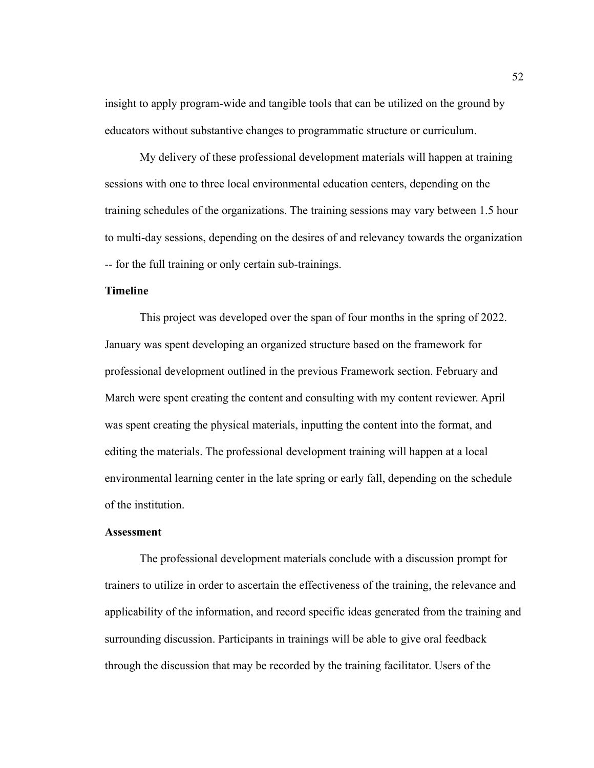insight to apply program-wide and tangible tools that can be utilized on the ground by educators without substantive changes to programmatic structure or curriculum.

My delivery of these professional development materials will happen at training sessions with one to three local environmental education centers, depending on the training schedules of the organizations. The training sessions may vary between 1.5 hour to multi-day sessions, depending on the desires of and relevancy towards the organization -- for the full training or only certain sub-trainings.

### **Timeline**

This project was developed over the span of four months in the spring of 2022. January was spent developing an organized structure based on the framework for professional development outlined in the previous Framework section. February and March were spent creating the content and consulting with my content reviewer. April was spent creating the physical materials, inputting the content into the format, and editing the materials. The professional development training will happen at a local environmental learning center in the late spring or early fall, depending on the schedule of the institution.

#### **Assessment**

The professional development materials conclude with a discussion prompt for trainers to utilize in order to ascertain the effectiveness of the training, the relevance and applicability of the information, and record specific ideas generated from the training and surrounding discussion. Participants in trainings will be able to give oral feedback through the discussion that may be recorded by the training facilitator. Users of the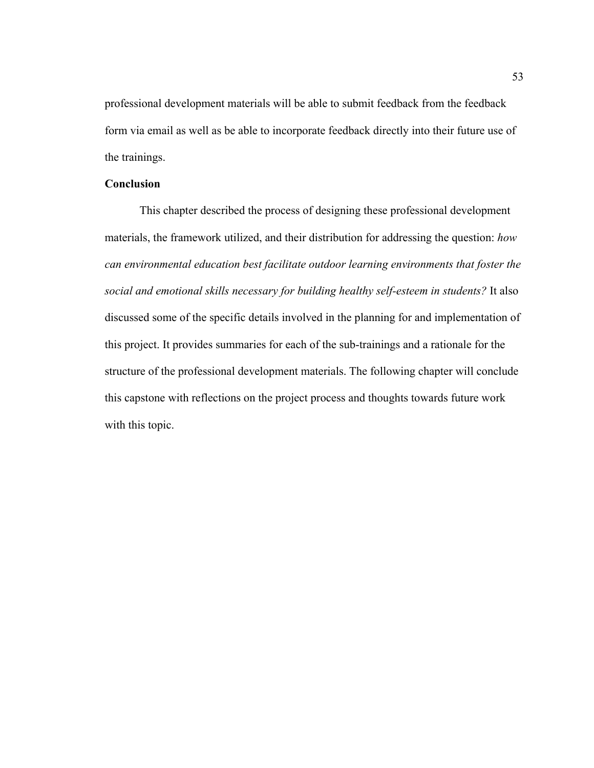professional development materials will be able to submit feedback from the feedback form via email as well as be able to incorporate feedback directly into their future use of the trainings.

# **Conclusion**

This chapter described the process of designing these professional development materials, the framework utilized, and their distribution for addressing the question: *how can environmental education best facilitate outdoor learning environments that foster the social and emotional skills necessary for building healthy self-esteem in students?* It also discussed some of the specific details involved in the planning for and implementation of this project. It provides summaries for each of the sub-trainings and a rationale for the structure of the professional development materials. The following chapter will conclude this capstone with reflections on the project process and thoughts towards future work with this topic.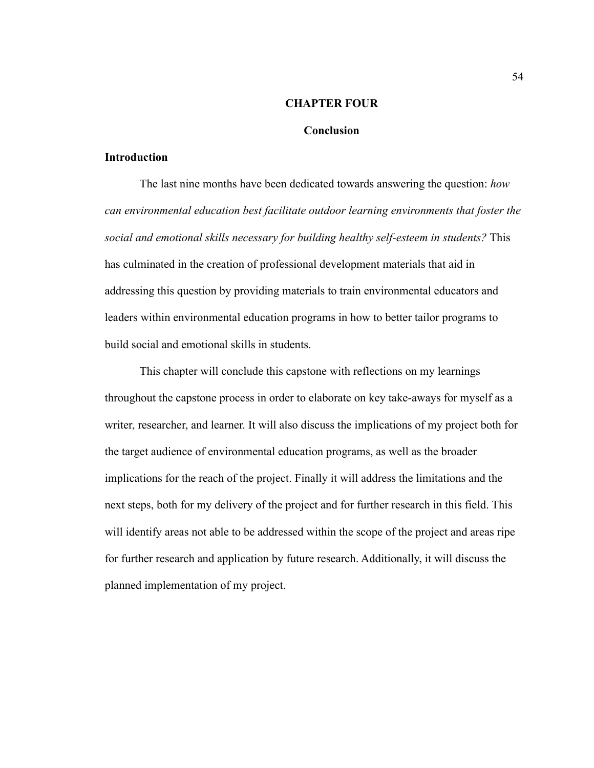#### **CHAPTER FOUR**

### **Conclusion**

### **Introduction**

The last nine months have been dedicated towards answering the question: *how can environmental education best facilitate outdoor learning environments that foster the social and emotional skills necessary for building healthy self-esteem in students?* This has culminated in the creation of professional development materials that aid in addressing this question by providing materials to train environmental educators and leaders within environmental education programs in how to better tailor programs to build social and emotional skills in students.

This chapter will conclude this capstone with reflections on my learnings throughout the capstone process in order to elaborate on key take-aways for myself as a writer, researcher, and learner. It will also discuss the implications of my project both for the target audience of environmental education programs, as well as the broader implications for the reach of the project. Finally it will address the limitations and the next steps, both for my delivery of the project and for further research in this field. This will identify areas not able to be addressed within the scope of the project and areas ripe for further research and application by future research. Additionally, it will discuss the planned implementation of my project.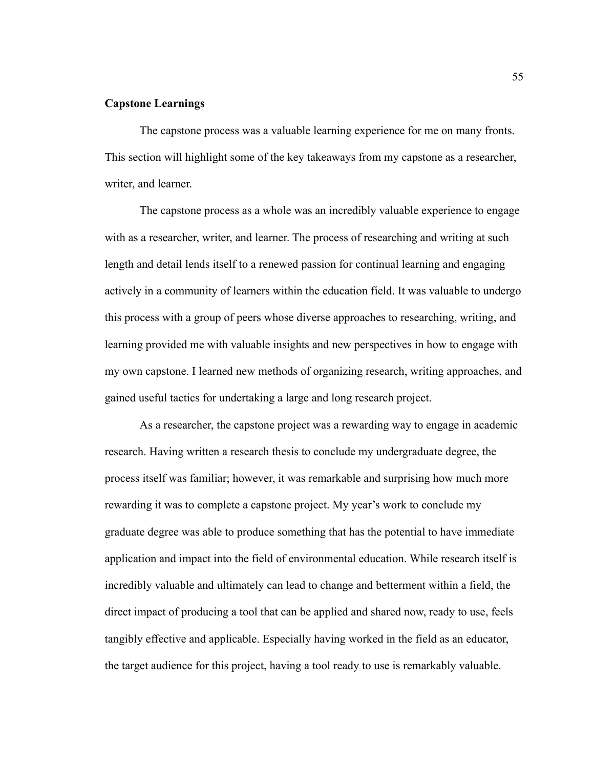# **Capstone Learnings**

The capstone process was a valuable learning experience for me on many fronts. This section will highlight some of the key takeaways from my capstone as a researcher, writer, and learner.

The capstone process as a whole was an incredibly valuable experience to engage with as a researcher, writer, and learner. The process of researching and writing at such length and detail lends itself to a renewed passion for continual learning and engaging actively in a community of learners within the education field. It was valuable to undergo this process with a group of peers whose diverse approaches to researching, writing, and learning provided me with valuable insights and new perspectives in how to engage with my own capstone. I learned new methods of organizing research, writing approaches, and gained useful tactics for undertaking a large and long research project.

As a researcher, the capstone project was a rewarding way to engage in academic research. Having written a research thesis to conclude my undergraduate degree, the process itself was familiar; however, it was remarkable and surprising how much more rewarding it was to complete a capstone project. My year's work to conclude my graduate degree was able to produce something that has the potential to have immediate application and impact into the field of environmental education. While research itself is incredibly valuable and ultimately can lead to change and betterment within a field, the direct impact of producing a tool that can be applied and shared now, ready to use, feels tangibly effective and applicable. Especially having worked in the field as an educator, the target audience for this project, having a tool ready to use is remarkably valuable.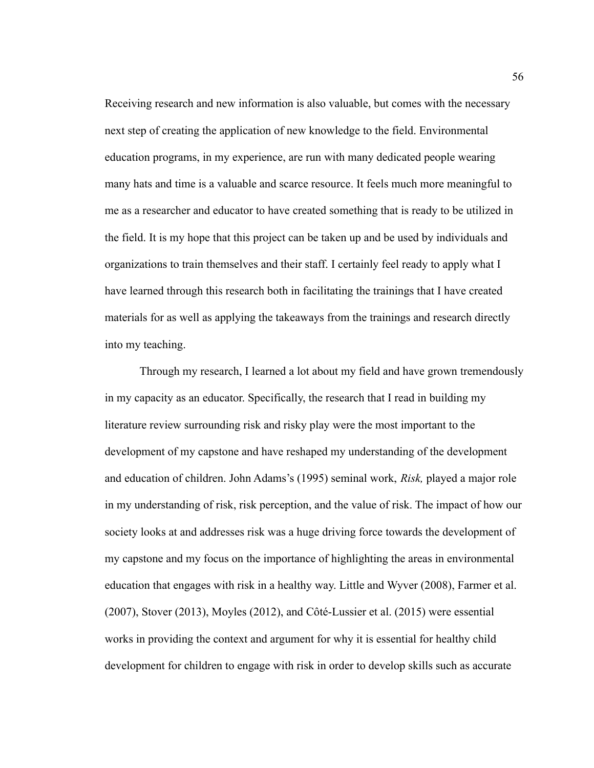Receiving research and new information is also valuable, but comes with the necessary next step of creating the application of new knowledge to the field. Environmental education programs, in my experience, are run with many dedicated people wearing many hats and time is a valuable and scarce resource. It feels much more meaningful to me as a researcher and educator to have created something that is ready to be utilized in the field. It is my hope that this project can be taken up and be used by individuals and organizations to train themselves and their staff. I certainly feel ready to apply what I have learned through this research both in facilitating the trainings that I have created materials for as well as applying the takeaways from the trainings and research directly into my teaching.

Through my research, I learned a lot about my field and have grown tremendously in my capacity as an educator. Specifically, the research that I read in building my literature review surrounding risk and risky play were the most important to the development of my capstone and have reshaped my understanding of the development and education of children. John Adams's (1995) seminal work, *Risk,* played a major role in my understanding of risk, risk perception, and the value of risk. The impact of how our society looks at and addresses risk was a huge driving force towards the development of my capstone and my focus on the importance of highlighting the areas in environmental education that engages with risk in a healthy way. Little and Wyver (2008), Farmer et al. (2007), Stover (2013), Moyles (2012), and Côté-Lussier et al. (2015) were essential works in providing the context and argument for why it is essential for healthy child development for children to engage with risk in order to develop skills such as accurate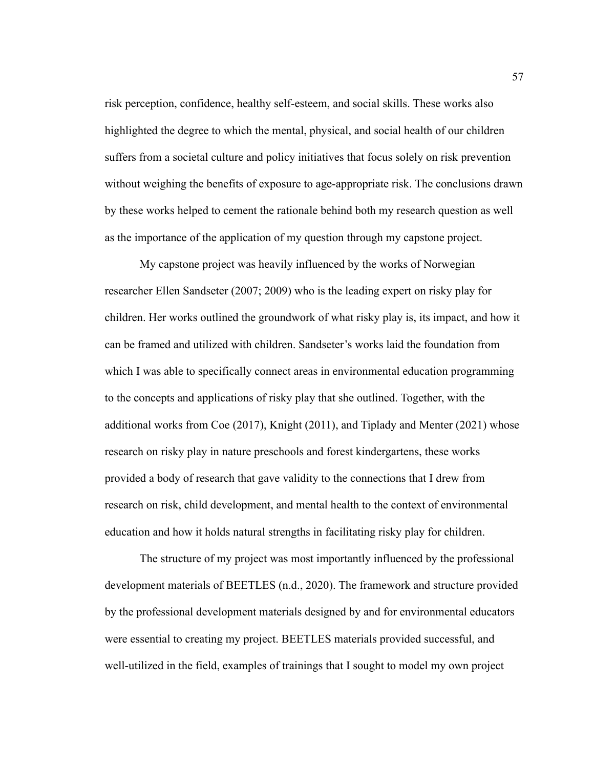risk perception, confidence, healthy self-esteem, and social skills. These works also highlighted the degree to which the mental, physical, and social health of our children suffers from a societal culture and policy initiatives that focus solely on risk prevention without weighing the benefits of exposure to age-appropriate risk. The conclusions drawn by these works helped to cement the rationale behind both my research question as well as the importance of the application of my question through my capstone project.

My capstone project was heavily influenced by the works of Norwegian researcher Ellen Sandseter (2007; 2009) who is the leading expert on risky play for children. Her works outlined the groundwork of what risky play is, its impact, and how it can be framed and utilized with children. Sandseter's works laid the foundation from which I was able to specifically connect areas in environmental education programming to the concepts and applications of risky play that she outlined. Together, with the additional works from Coe (2017), Knight (2011), and Tiplady and Menter (2021) whose research on risky play in nature preschools and forest kindergartens, these works provided a body of research that gave validity to the connections that I drew from research on risk, child development, and mental health to the context of environmental education and how it holds natural strengths in facilitating risky play for children.

The structure of my project was most importantly influenced by the professional development materials of BEETLES (n.d., 2020). The framework and structure provided by the professional development materials designed by and for environmental educators were essential to creating my project. BEETLES materials provided successful, and well-utilized in the field, examples of trainings that I sought to model my own project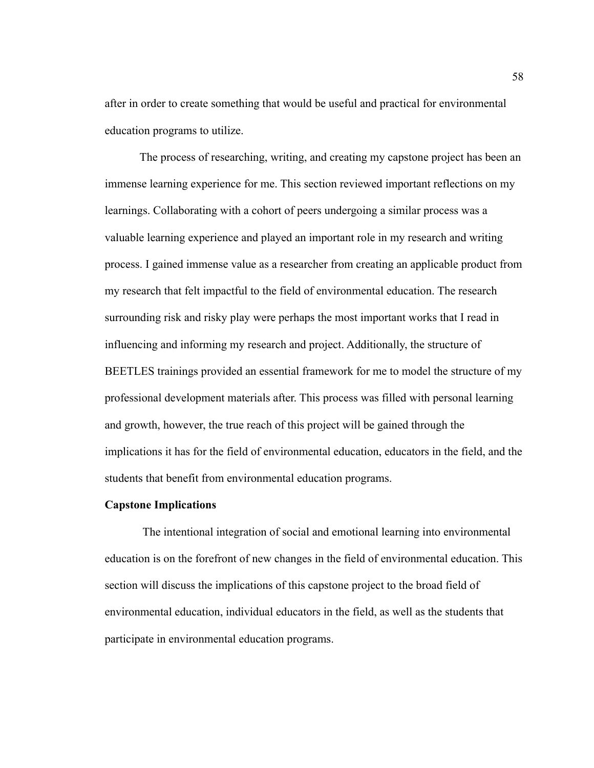after in order to create something that would be useful and practical for environmental education programs to utilize.

The process of researching, writing, and creating my capstone project has been an immense learning experience for me. This section reviewed important reflections on my learnings. Collaborating with a cohort of peers undergoing a similar process was a valuable learning experience and played an important role in my research and writing process. I gained immense value as a researcher from creating an applicable product from my research that felt impactful to the field of environmental education. The research surrounding risk and risky play were perhaps the most important works that I read in influencing and informing my research and project. Additionally, the structure of BEETLES trainings provided an essential framework for me to model the structure of my professional development materials after. This process was filled with personal learning and growth, however, the true reach of this project will be gained through the implications it has for the field of environmental education, educators in the field, and the students that benefit from environmental education programs.

### **Capstone Implications**

The intentional integration of social and emotional learning into environmental education is on the forefront of new changes in the field of environmental education. This section will discuss the implications of this capstone project to the broad field of environmental education, individual educators in the field, as well as the students that participate in environmental education programs.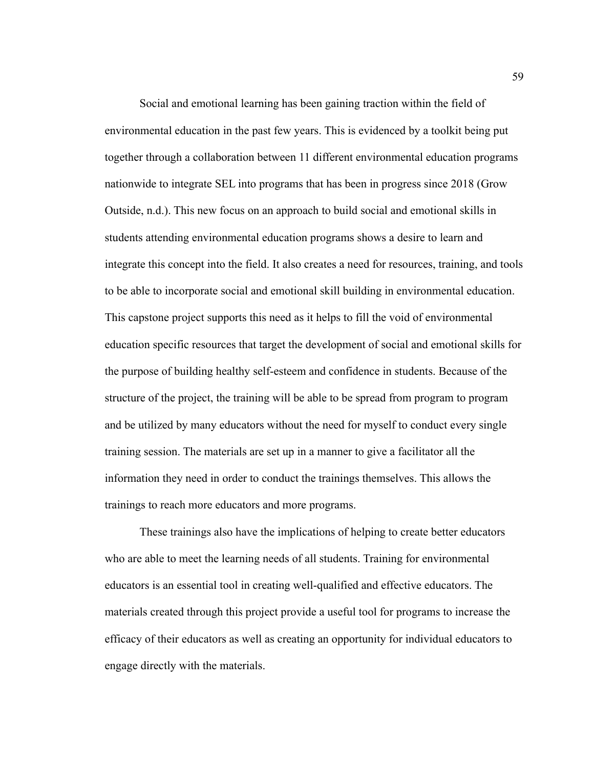Social and emotional learning has been gaining traction within the field of environmental education in the past few years. This is evidenced by a toolkit being put together through a collaboration between 11 different environmental education programs nationwide to integrate SEL into programs that has been in progress since 2018 (Grow Outside, n.d.). This new focus on an approach to build social and emotional skills in students attending environmental education programs shows a desire to learn and integrate this concept into the field. It also creates a need for resources, training, and tools to be able to incorporate social and emotional skill building in environmental education. This capstone project supports this need as it helps to fill the void of environmental education specific resources that target the development of social and emotional skills for the purpose of building healthy self-esteem and confidence in students. Because of the structure of the project, the training will be able to be spread from program to program and be utilized by many educators without the need for myself to conduct every single training session. The materials are set up in a manner to give a facilitator all the information they need in order to conduct the trainings themselves. This allows the trainings to reach more educators and more programs.

These trainings also have the implications of helping to create better educators who are able to meet the learning needs of all students. Training for environmental educators is an essential tool in creating well-qualified and effective educators. The materials created through this project provide a useful tool for programs to increase the efficacy of their educators as well as creating an opportunity for individual educators to engage directly with the materials.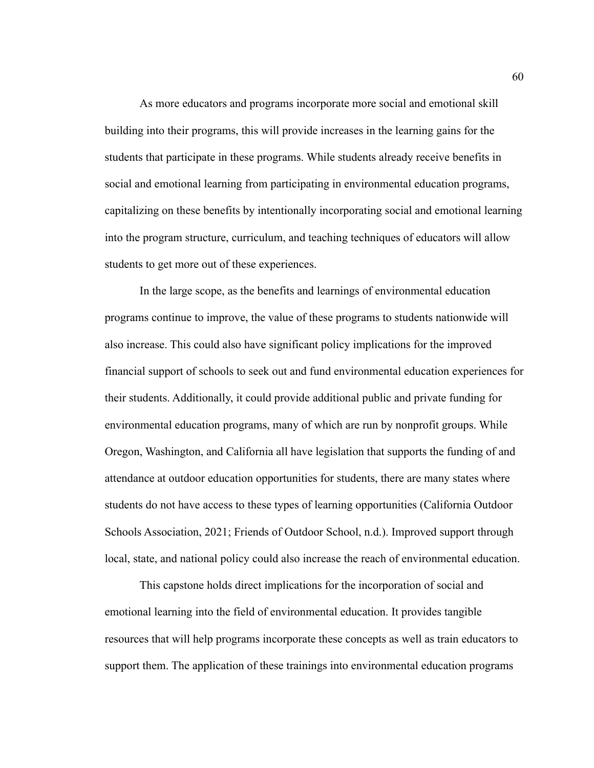As more educators and programs incorporate more social and emotional skill building into their programs, this will provide increases in the learning gains for the students that participate in these programs. While students already receive benefits in social and emotional learning from participating in environmental education programs, capitalizing on these benefits by intentionally incorporating social and emotional learning into the program structure, curriculum, and teaching techniques of educators will allow students to get more out of these experiences.

In the large scope, as the benefits and learnings of environmental education programs continue to improve, the value of these programs to students nationwide will also increase. This could also have significant policy implications for the improved financial support of schools to seek out and fund environmental education experiences for their students. Additionally, it could provide additional public and private funding for environmental education programs, many of which are run by nonprofit groups. While Oregon, Washington, and California all have legislation that supports the funding of and attendance at outdoor education opportunities for students, there are many states where students do not have access to these types of learning opportunities (California Outdoor Schools Association, 2021; Friends of Outdoor School, n.d.). Improved support through local, state, and national policy could also increase the reach of environmental education.

This capstone holds direct implications for the incorporation of social and emotional learning into the field of environmental education. It provides tangible resources that will help programs incorporate these concepts as well as train educators to support them. The application of these trainings into environmental education programs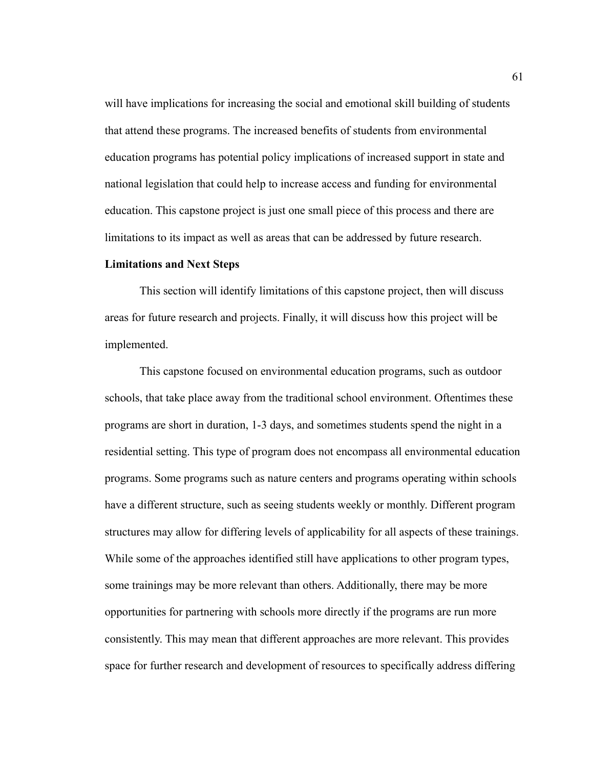will have implications for increasing the social and emotional skill building of students that attend these programs. The increased benefits of students from environmental education programs has potential policy implications of increased support in state and national legislation that could help to increase access and funding for environmental education. This capstone project is just one small piece of this process and there are limitations to its impact as well as areas that can be addressed by future research.

#### **Limitations and Next Steps**

This section will identify limitations of this capstone project, then will discuss areas for future research and projects. Finally, it will discuss how this project will be implemented.

This capstone focused on environmental education programs, such as outdoor schools, that take place away from the traditional school environment. Oftentimes these programs are short in duration, 1-3 days, and sometimes students spend the night in a residential setting. This type of program does not encompass all environmental education programs. Some programs such as nature centers and programs operating within schools have a different structure, such as seeing students weekly or monthly. Different program structures may allow for differing levels of applicability for all aspects of these trainings. While some of the approaches identified still have applications to other program types, some trainings may be more relevant than others. Additionally, there may be more opportunities for partnering with schools more directly if the programs are run more consistently. This may mean that different approaches are more relevant. This provides space for further research and development of resources to specifically address differing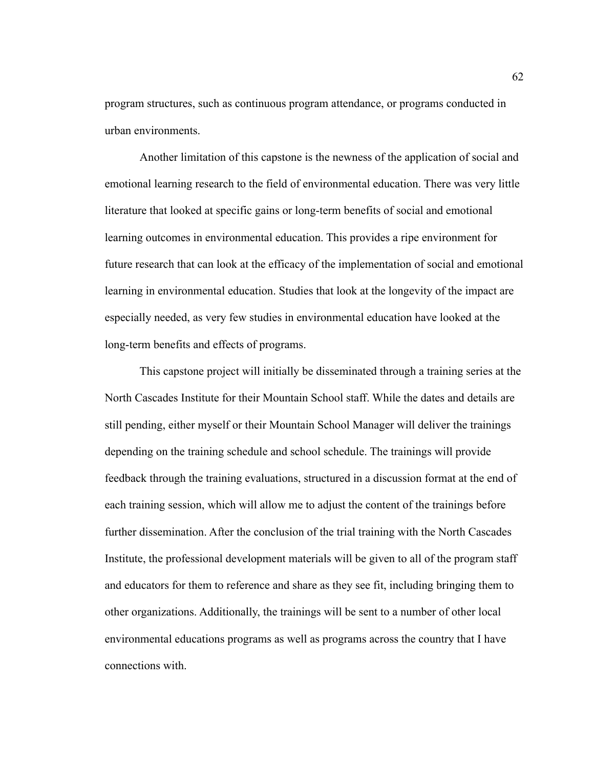program structures, such as continuous program attendance, or programs conducted in urban environments.

Another limitation of this capstone is the newness of the application of social and emotional learning research to the field of environmental education. There was very little literature that looked at specific gains or long-term benefits of social and emotional learning outcomes in environmental education. This provides a ripe environment for future research that can look at the efficacy of the implementation of social and emotional learning in environmental education. Studies that look at the longevity of the impact are especially needed, as very few studies in environmental education have looked at the long-term benefits and effects of programs.

This capstone project will initially be disseminated through a training series at the North Cascades Institute for their Mountain School staff. While the dates and details are still pending, either myself or their Mountain School Manager will deliver the trainings depending on the training schedule and school schedule. The trainings will provide feedback through the training evaluations, structured in a discussion format at the end of each training session, which will allow me to adjust the content of the trainings before further dissemination. After the conclusion of the trial training with the North Cascades Institute, the professional development materials will be given to all of the program staff and educators for them to reference and share as they see fit, including bringing them to other organizations. Additionally, the trainings will be sent to a number of other local environmental educations programs as well as programs across the country that I have connections with.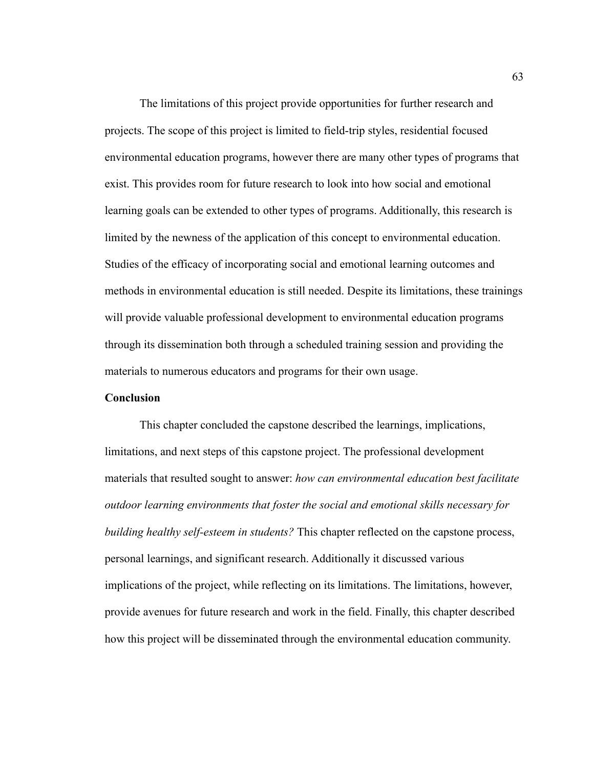The limitations of this project provide opportunities for further research and projects. The scope of this project is limited to field-trip styles, residential focused environmental education programs, however there are many other types of programs that exist. This provides room for future research to look into how social and emotional learning goals can be extended to other types of programs. Additionally, this research is limited by the newness of the application of this concept to environmental education. Studies of the efficacy of incorporating social and emotional learning outcomes and methods in environmental education is still needed. Despite its limitations, these trainings will provide valuable professional development to environmental education programs through its dissemination both through a scheduled training session and providing the materials to numerous educators and programs for their own usage.

### **Conclusion**

This chapter concluded the capstone described the learnings, implications, limitations, and next steps of this capstone project. The professional development materials that resulted sought to answer: *how can environmental education best facilitate outdoor learning environments that foster the social and emotional skills necessary for building healthy self-esteem in students?* This chapter reflected on the capstone process, personal learnings, and significant research. Additionally it discussed various implications of the project, while reflecting on its limitations. The limitations, however, provide avenues for future research and work in the field. Finally, this chapter described how this project will be disseminated through the environmental education community.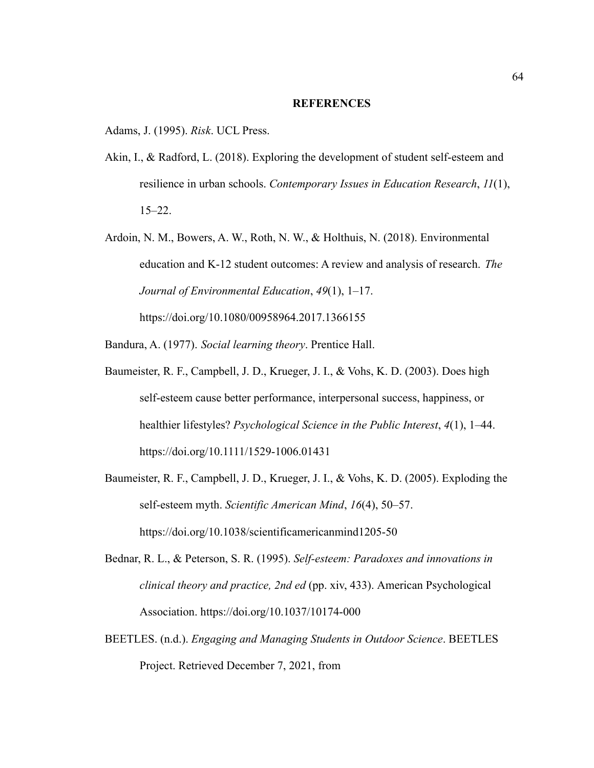#### **REFERENCES**

Adams, J. (1995). *Risk*. UCL Press.

- Akin, I., & Radford, L. (2018). Exploring the development of student self-esteem and resilience in urban schools. *Contemporary Issues in Education Research*, *11*(1), 15–22.
- Ardoin, N. M., Bowers, A. W., Roth, N. W., & Holthuis, N. (2018). Environmental education and K-12 student outcomes: A review and analysis of research. *The Journal of Environmental Education*, *49*(1), 1–17. https://doi.org/10.1080/00958964.2017.1366155

Bandura, A. (1977). *Social learning theory*. Prentice Hall.

- Baumeister, R. F., Campbell, J. D., Krueger, J. I., & Vohs, K. D. (2003). Does high self-esteem cause better performance, interpersonal success, happiness, or healthier lifestyles? *Psychological Science in the Public Interest*, *4*(1), 1–44. https://doi.org/10.1111/1529-1006.01431
- Baumeister, R. F., Campbell, J. D., Krueger, J. I., & Vohs, K. D. (2005). Exploding the self-esteem myth. *Scientific American Mind*, *16*(4), 50–57. https://doi.org/10.1038/scientificamericanmind1205-50
- Bednar, R. L., & Peterson, S. R. (1995). *Self-esteem: Paradoxes and innovations in clinical theory and practice, 2nd ed* (pp. xiv, 433). American Psychological Association. https://doi.org/10.1037/10174-000
- BEETLES. (n.d.). *Engaging and Managing Students in Outdoor Science*. BEETLES Project. Retrieved December 7, 2021, from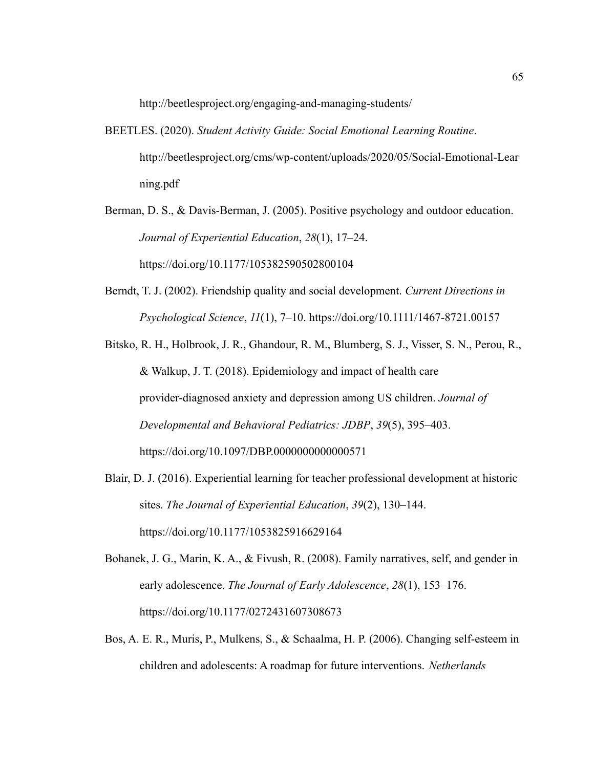http://beetlesproject.org/engaging-and-managing-students/

- BEETLES. (2020). *Student Activity Guide: Social Emotional Learning Routine*. http://beetlesproject.org/cms/wp-content/uploads/2020/05/Social-Emotional-Lear ning.pdf
- Berman, D. S., & Davis-Berman, J. (2005). Positive psychology and outdoor education. *Journal of Experiential Education*, *28*(1), 17–24. https://doi.org/10.1177/105382590502800104
- Berndt, T. J. (2002). Friendship quality and social development. *Current Directions in Psychological Science*, *11*(1), 7–10. https://doi.org/10.1111/1467-8721.00157
- Bitsko, R. H., Holbrook, J. R., Ghandour, R. M., Blumberg, S. J., Visser, S. N., Perou, R., & Walkup, J. T. (2018). Epidemiology and impact of health care provider-diagnosed anxiety and depression among US children. *Journal of Developmental and Behavioral Pediatrics: JDBP*, *39*(5), 395–403. https://doi.org/10.1097/DBP.0000000000000571
- Blair, D. J. (2016). Experiential learning for teacher professional development at historic sites. *The Journal of Experiential Education*, *39*(2), 130–144. https://doi.org/10.1177/1053825916629164
- Bohanek, J. G., Marin, K. A., & Fivush, R. (2008). Family narratives, self, and gender in early adolescence. *The Journal of Early Adolescence*, *28*(1), 153–176. https://doi.org/10.1177/0272431607308673
- Bos, A. E. R., Muris, P., Mulkens, S., & Schaalma, H. P. (2006). Changing self-esteem in children and adolescents: A roadmap for future interventions. *Netherlands*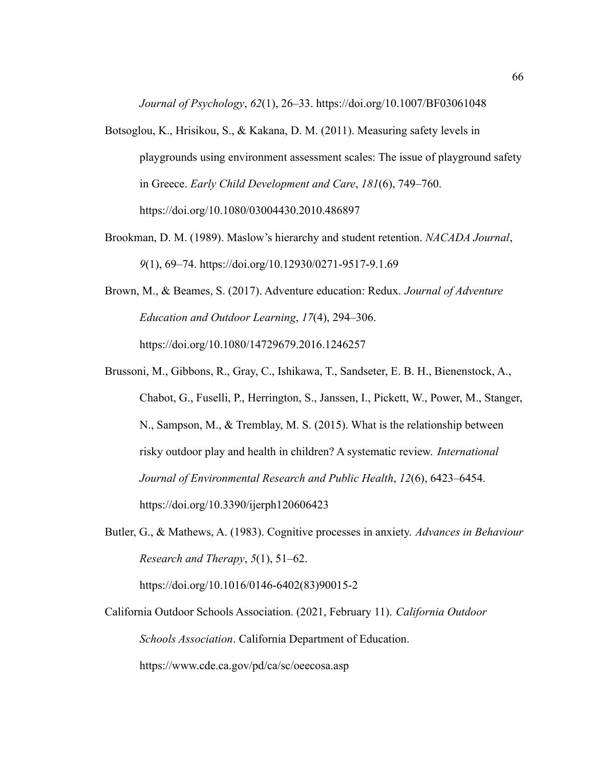*Journal of Psychology*, *62*(1), 26–33. https://doi.org/10.1007/BF03061048

- Botsoglou, K., Hrisikou, S., & Kakana, D. M. (2011). Measuring safety levels in playgrounds using environment assessment scales: The issue of playground safety in Greece. *Early Child Development and Care*, *181*(6), 749–760. https://doi.org/10.1080/03004430.2010.486897
- Brookman, D. M. (1989). Maslow's hierarchy and student retention. *NACADA Journal*, *9*(1), 69–74. https://doi.org/10.12930/0271-9517-9.1.69
- Brown, M., & Beames, S. (2017). Adventure education: Redux. *Journal of Adventure Education and Outdoor Learning*, *17*(4), 294–306. https://doi.org/10.1080/14729679.2016.1246257
- Brussoni, M., Gibbons, R., Gray, C., Ishikawa, T., Sandseter, E. B. H., Bienenstock, A., Chabot, G., Fuselli, P., Herrington, S., Janssen, I., Pickett, W., Power, M., Stanger, N., Sampson, M., & Tremblay, M. S. (2015). What is the relationship between risky outdoor play and health in children? A systematic review. *International Journal of Environmental Research and Public Health*, *12*(6), 6423–6454. https://doi.org/10.3390/ijerph120606423
- Butler, G., & Mathews, A. (1983). Cognitive processes in anxiety. *Advances in Behaviour Research and Therapy*, *5*(1), 51–62.

https://doi.org/10.1016/0146-6402(83)90015-2

California Outdoor Schools Association. (2021, February 11). *California Outdoor Schools Association*. California Department of Education. https://www.cde.ca.gov/pd/ca/sc/oeecosa.asp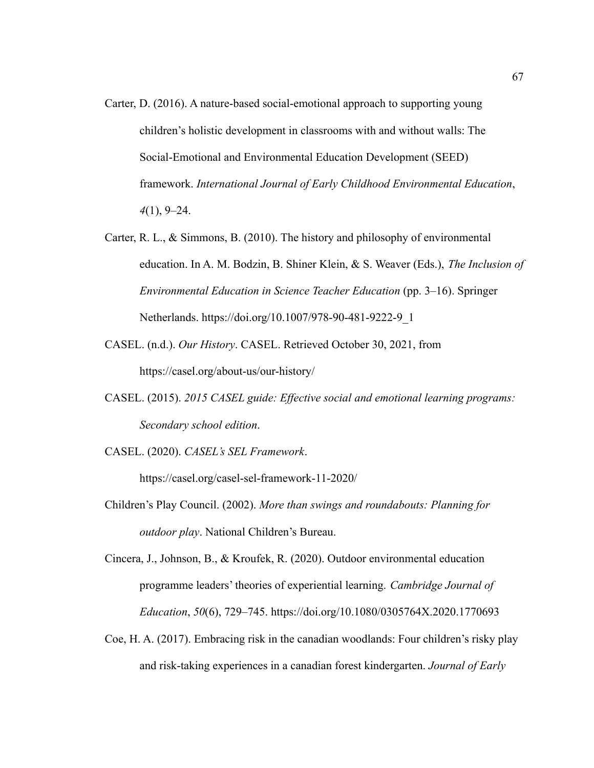- Carter, D. (2016). A nature-based social-emotional approach to supporting young children's holistic development in classrooms with and without walls: The Social-Emotional and Environmental Education Development (SEED) framework. *International Journal of Early Childhood Environmental Education*, *4*(1), 9–24.
- Carter, R. L., & Simmons, B. (2010). The history and philosophy of environmental education. In A. M. Bodzin, B. Shiner Klein, & S. Weaver (Eds.), *The Inclusion of Environmental Education in Science Teacher Education* (pp. 3–16). Springer Netherlands. https://doi.org/10.1007/978-90-481-9222-9\_1
- CASEL. (n.d.). *Our History*. CASEL. Retrieved October 30, 2021, from https://casel.org/about-us/our-history/
- CASEL. (2015). *2015 CASEL guide: Effective social and emotional learning programs: Secondary school edition*.
- CASEL. (2020). *CASEL's SEL Framework*.

https://casel.org/casel-sel-framework-11-2020/

- Children's Play Council. (2002). *More than swings and roundabouts: Planning for outdoor play*. National Children's Bureau.
- Cincera, J., Johnson, B., & Kroufek, R. (2020). Outdoor environmental education programme leaders' theories of experiential learning. *Cambridge Journal of Education*, *50*(6), 729–745. https://doi.org/10.1080/0305764X.2020.1770693
- Coe, H. A. (2017). Embracing risk in the canadian woodlands: Four children's risky play and risk-taking experiences in a canadian forest kindergarten. *Journal of Early*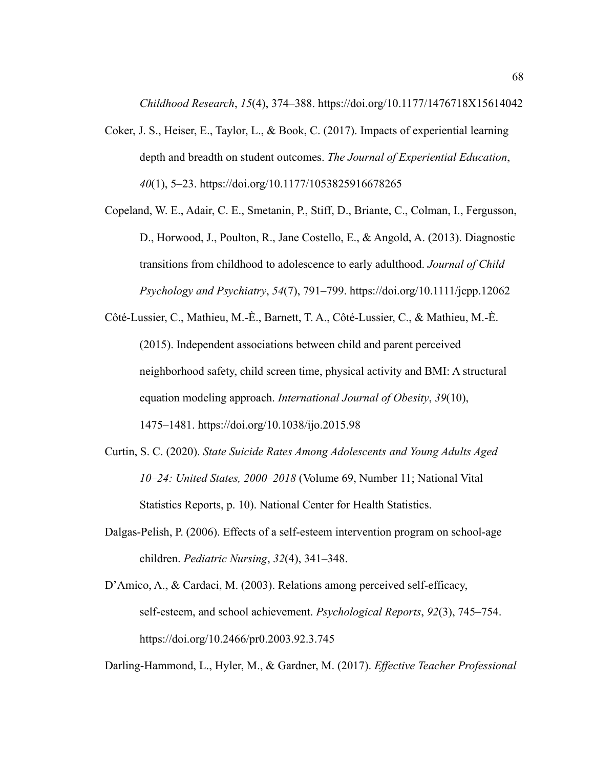*Childhood Research*, *15*(4), 374–388. https://doi.org/10.1177/1476718X15614042

- Coker, J. S., Heiser, E., Taylor, L., & Book, C. (2017). Impacts of experiential learning depth and breadth on student outcomes. *The Journal of Experiential Education*, *40*(1), 5–23. https://doi.org/10.1177/1053825916678265
- Copeland, W. E., Adair, C. E., Smetanin, P., Stiff, D., Briante, C., Colman, I., Fergusson, D., Horwood, J., Poulton, R., Jane Costello, E., & Angold, A. (2013). Diagnostic transitions from childhood to adolescence to early adulthood. *Journal of Child Psychology and Psychiatry*, *54*(7), 791–799. https://doi.org/10.1111/jcpp.12062
- Côté-Lussier, C., Mathieu, M.-È., Barnett, T. A., Côté-Lussier, C., & Mathieu, M.-È. (2015). Independent associations between child and parent perceived neighborhood safety, child screen time, physical activity and BMI: A structural equation modeling approach. *International Journal of Obesity*, *39*(10), 1475–1481. https://doi.org/10.1038/ijo.2015.98
- Curtin, S. C. (2020). *State Suicide Rates Among Adolescents and Young Adults Aged 10–24: United States, 2000–2018* (Volume 69, Number 11; National Vital Statistics Reports, p. 10). National Center for Health Statistics.
- Dalgas-Pelish, P. (2006). Effects of a self-esteem intervention program on school-age children. *Pediatric Nursing*, *32*(4), 341–348.
- D'Amico, A., & Cardaci, M. (2003). Relations among perceived self-efficacy, self-esteem, and school achievement. *Psychological Reports*, *92*(3), 745–754. https://doi.org/10.2466/pr0.2003.92.3.745

Darling-Hammond, L., Hyler, M., & Gardner, M. (2017). *Effective Teacher Professional*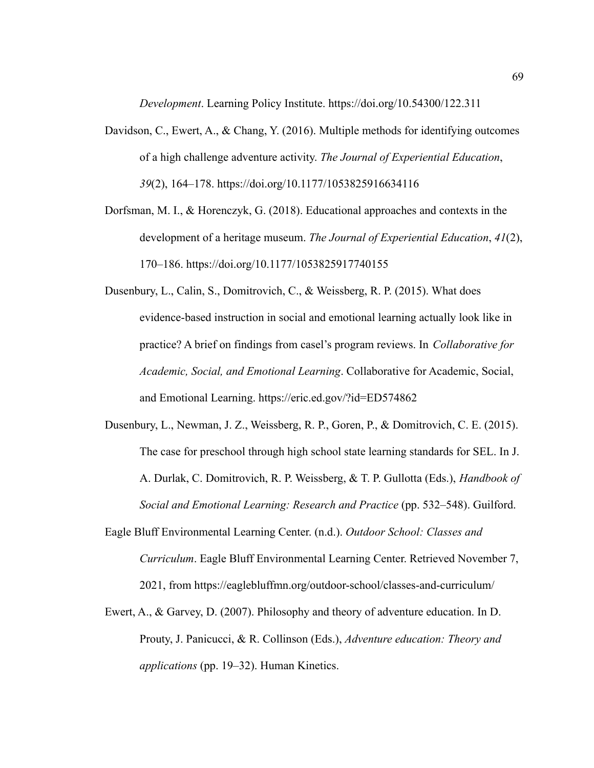*Development*. Learning Policy Institute. https://doi.org/10.54300/122.311

- Davidson, C., Ewert, A., & Chang, Y. (2016). Multiple methods for identifying outcomes of a high challenge adventure activity. *The Journal of Experiential Education*, *39*(2), 164–178. https://doi.org/10.1177/1053825916634116
- Dorfsman, M. I., & Horenczyk, G. (2018). Educational approaches and contexts in the development of a heritage museum. *The Journal of Experiential Education*, *41*(2), 170–186. https://doi.org/10.1177/1053825917740155
- Dusenbury, L., Calin, S., Domitrovich, C., & Weissberg, R. P. (2015). What does evidence-based instruction in social and emotional learning actually look like in practice? A brief on findings from casel's program reviews. In *Collaborative for Academic, Social, and Emotional Learning*. Collaborative for Academic, Social, and Emotional Learning. https://eric.ed.gov/?id=ED574862
- Dusenbury, L., Newman, J. Z., Weissberg, R. P., Goren, P., & Domitrovich, C. E. (2015). The case for preschool through high school state learning standards for SEL. In J. A. Durlak, C. Domitrovich, R. P. Weissberg, & T. P. Gullotta (Eds.), *Handbook of Social and Emotional Learning: Research and Practice* (pp. 532–548). Guilford.
- Eagle Bluff Environmental Learning Center. (n.d.). *Outdoor School: Classes and Curriculum*. Eagle Bluff Environmental Learning Center. Retrieved November 7, 2021, from https://eaglebluffmn.org/outdoor-school/classes-and-curriculum/
- Ewert, A., & Garvey, D. (2007). Philosophy and theory of adventure education. In D. Prouty, J. Panicucci, & R. Collinson (Eds.), *Adventure education: Theory and applications* (pp. 19–32). Human Kinetics.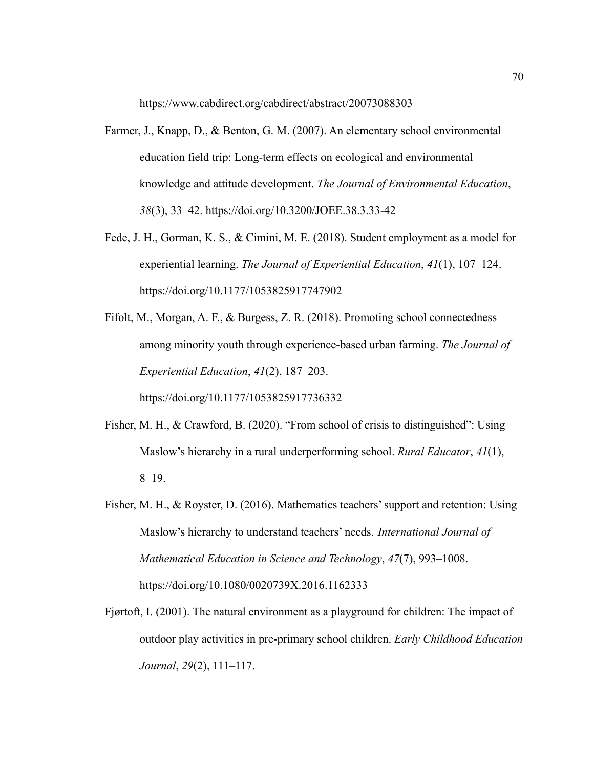https://www.cabdirect.org/cabdirect/abstract/20073088303

- Farmer, J., Knapp, D., & Benton, G. M. (2007). An elementary school environmental education field trip: Long-term effects on ecological and environmental knowledge and attitude development. *The Journal of Environmental Education*, *38*(3), 33–42. https://doi.org/10.3200/JOEE.38.3.33-42
- Fede, J. H., Gorman, K. S., & Cimini, M. E. (2018). Student employment as a model for experiential learning. *The Journal of Experiential Education*, *41*(1), 107–124. https://doi.org/10.1177/1053825917747902
- Fifolt, M., Morgan, A. F., & Burgess, Z. R. (2018). Promoting school connectedness among minority youth through experience-based urban farming. *The Journal of Experiential Education*, *41*(2), 187–203.

https://doi.org/10.1177/1053825917736332

- Fisher, M. H., & Crawford, B. (2020). "From school of crisis to distinguished": Using Maslow's hierarchy in a rural underperforming school. *Rural Educator*, *41*(1), 8–19.
- Fisher, M. H., & Royster, D. (2016). Mathematics teachers' support and retention: Using Maslow's hierarchy to understand teachers' needs. *International Journal of Mathematical Education in Science and Technology*, *47*(7), 993–1008. https://doi.org/10.1080/0020739X.2016.1162333
- Fjørtoft, I. (2001). The natural environment as a playground for children: The impact of outdoor play activities in pre-primary school children. *Early Childhood Education Journal*, *29*(2), 111–117.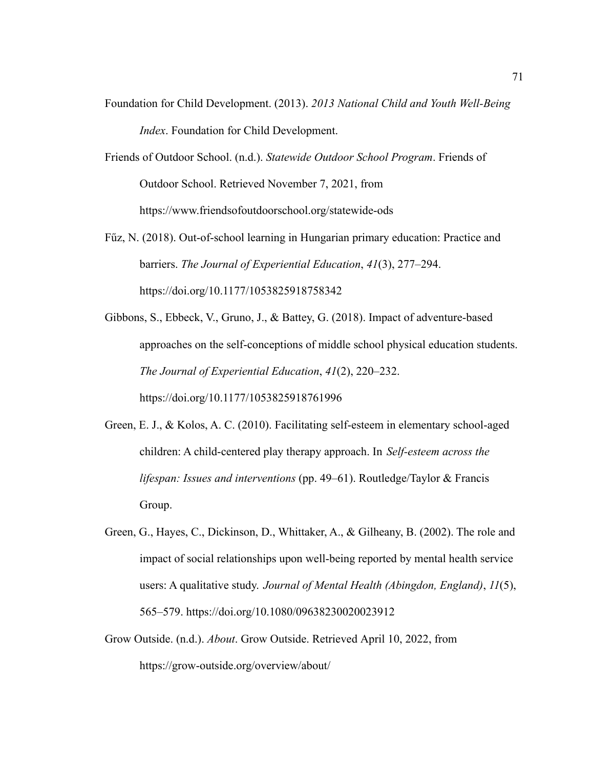- Foundation for Child Development. (2013). *2013 National Child and Youth Well-Being Index*. Foundation for Child Development.
- Friends of Outdoor School. (n.d.). *Statewide Outdoor School Program*. Friends of Outdoor School. Retrieved November 7, 2021, from https://www.friendsofoutdoorschool.org/statewide-ods
- Fűz, N. (2018). Out-of-school learning in Hungarian primary education: Practice and barriers. *The Journal of Experiential Education*, *41*(3), 277–294. https://doi.org/10.1177/1053825918758342
- Gibbons, S., Ebbeck, V., Gruno, J., & Battey, G. (2018). Impact of adventure-based approaches on the self-conceptions of middle school physical education students. *The Journal of Experiential Education*, *41*(2), 220–232. https://doi.org/10.1177/1053825918761996
- Green, E. J., & Kolos, A. C. (2010). Facilitating self-esteem in elementary school-aged children: A child-centered play therapy approach. In *Self-esteem across the lifespan: Issues and interventions* (pp. 49–61). Routledge/Taylor & Francis Group.
- Green, G., Hayes, C., Dickinson, D., Whittaker, A., & Gilheany, B. (2002). The role and impact of social relationships upon well-being reported by mental health service users: A qualitative study. *Journal of Mental Health (Abingdon, England)*, *11*(5), 565–579. <https://doi.org/10.1080/09638230020023912>
- Grow Outside. (n.d.). *About*. Grow Outside. Retrieved April 10, 2022, fro[m](https://grow-outside.org/overview/about/) <https://grow-outside.org/overview/about/>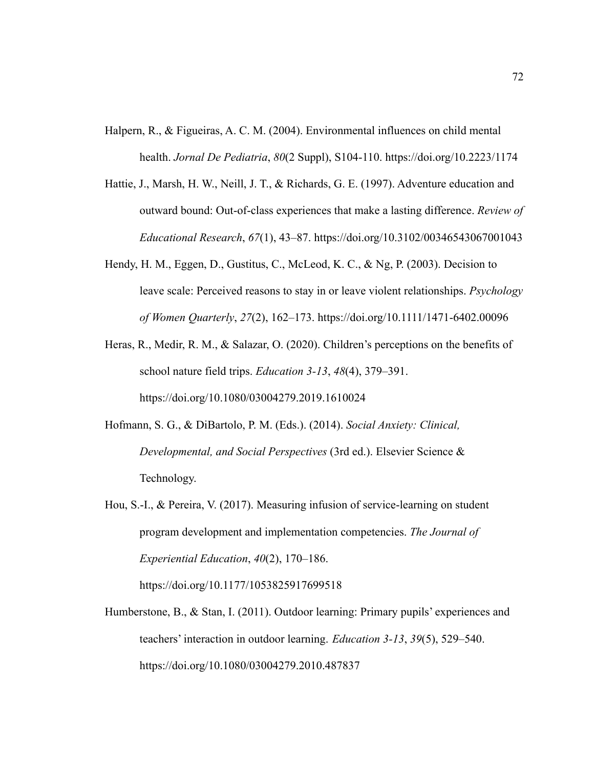- Halpern, R., & Figueiras, A. C. M. (2004). Environmental influences on child mental health. *Jornal De Pediatria*, *80*(2 Suppl), S104-110. https://doi.org/10.2223/1174
- Hattie, J., Marsh, H. W., Neill, J. T., & Richards, G. E. (1997). Adventure education and outward bound: Out-of-class experiences that make a lasting difference. *Review of Educational Research*, *67*(1), 43–87. https://doi.org/10.3102/00346543067001043
- Hendy, H. M., Eggen, D., Gustitus, C., McLeod, K. C., & Ng, P. (2003). Decision to leave scale: Perceived reasons to stay in or leave violent relationships. *Psychology of Women Quarterly*, *27*(2), 162–173. https://doi.org/10.1111/1471-6402.00096
- Heras, R., Medir, R. M., & Salazar, O. (2020). Children's perceptions on the benefits of school nature field trips. *Education 3-13*, *48*(4), 379–391. https://doi.org/10.1080/03004279.2019.1610024
- Hofmann, S. G., & DiBartolo, P. M. (Eds.). (2014). *Social Anxiety: Clinical, Developmental, and Social Perspectives* (3rd ed.). Elsevier Science & Technology.
- Hou, S.-I., & Pereira, V. (2017). Measuring infusion of service-learning on student program development and implementation competencies. *The Journal of Experiential Education*, *40*(2), 170–186.

https://doi.org/10.1177/1053825917699518

Humberstone, B., & Stan, I. (2011). Outdoor learning: Primary pupils' experiences and teachers' interaction in outdoor learning. *Education 3-13*, *39*(5), 529–540. https://doi.org/10.1080/03004279.2010.487837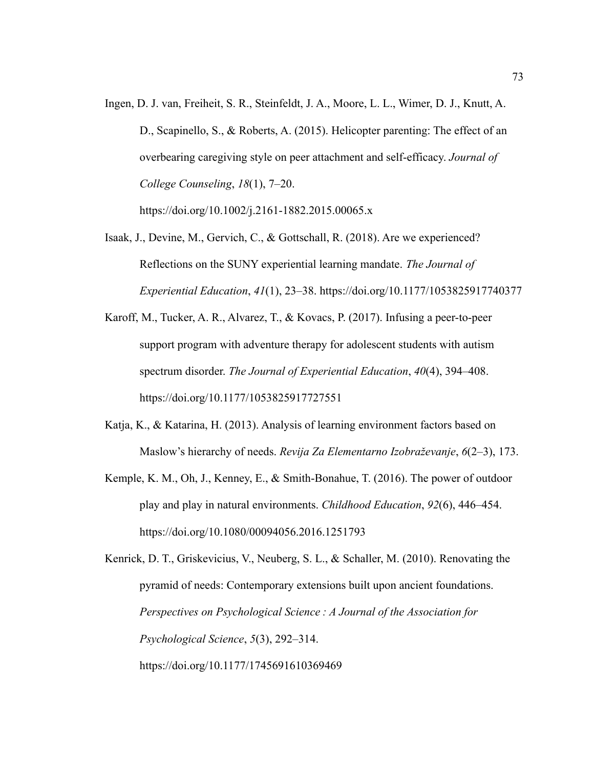Ingen, D. J. van, Freiheit, S. R., Steinfeldt, J. A., Moore, L. L., Wimer, D. J., Knutt, A. D., Scapinello, S., & Roberts, A. (2015). Helicopter parenting: The effect of an overbearing caregiving style on peer attachment and self-efficacy. *Journal of College Counseling*, *18*(1), 7–20.

https://doi.org/10.1002/j.2161-1882.2015.00065.x

- Isaak, J., Devine, M., Gervich, C., & Gottschall, R. (2018). Are we experienced? Reflections on the SUNY experiential learning mandate. *The Journal of Experiential Education*, *41*(1), 23–38. https://doi.org/10.1177/1053825917740377
- Karoff, M., Tucker, A. R., Alvarez, T., & Kovacs, P. (2017). Infusing a peer-to-peer support program with adventure therapy for adolescent students with autism spectrum disorder. *The Journal of Experiential Education*, *40*(4), 394–408. https://doi.org/10.1177/1053825917727551
- Katja, K., & Katarina, H. (2013). Analysis of learning environment factors based on Maslow's hierarchy of needs. *Revija Za Elementarno Izobraževanje*, *6*(2–3), 173.
- Kemple, K. M., Oh, J., Kenney, E., & Smith-Bonahue, T. (2016). The power of outdoor play and play in natural environments. *Childhood Education*, *92*(6), 446–454. https://doi.org/10.1080/00094056.2016.1251793

Kenrick, D. T., Griskevicius, V., Neuberg, S. L., & Schaller, M. (2010). Renovating the pyramid of needs: Contemporary extensions built upon ancient foundations. *Perspectives on Psychological Science : A Journal of the Association for Psychological Science*, *5*(3), 292–314. https://doi.org/10.1177/1745691610369469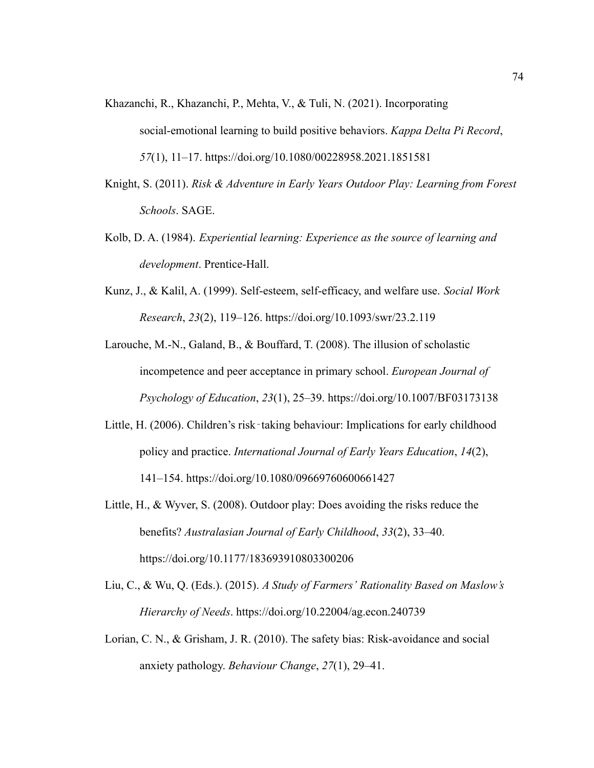- Khazanchi, R., Khazanchi, P., Mehta, V., & Tuli, N. (2021). Incorporating social-emotional learning to build positive behaviors. *Kappa Delta Pi Record*, *57*(1), 11–17. https://doi.org/10.1080/00228958.2021.1851581
- Knight, S. (2011). *Risk & Adventure in Early Years Outdoor Play: Learning from Forest Schools*. SAGE.
- Kolb, D. A. (1984). *Experiential learning: Experience as the source of learning and development*. Prentice-Hall.
- Kunz, J., & Kalil, A. (1999). Self-esteem, self-efficacy, and welfare use. *Social Work Research*, *23*(2), 119–126. https://doi.org/10.1093/swr/23.2.119
- Larouche, M.-N., Galand, B., & Bouffard, T. (2008). The illusion of scholastic incompetence and peer acceptance in primary school. *European Journal of Psychology of Education*, *23*(1), 25–39. https://doi.org/10.1007/BF03173138
- Little, H. (2006). Children's risk-taking behaviour: Implications for early childhood policy and practice. *International Journal of Early Years Education*, *14*(2), 141–154. https://doi.org/10.1080/09669760600661427
- Little, H., & Wyver, S. (2008). Outdoor play: Does avoiding the risks reduce the benefits? *Australasian Journal of Early Childhood*, *33*(2), 33–40. https://doi.org/10.1177/183693910803300206
- Liu, C., & Wu, Q. (Eds.). (2015). *A Study of Farmers' Rationality Based on Maslow's Hierarchy of Needs*. https://doi.org/10.22004/ag.econ.240739
- Lorian, C. N., & Grisham, J. R. (2010). The safety bias: Risk-avoidance and social anxiety pathology. *Behaviour Change*, *27*(1), 29–41.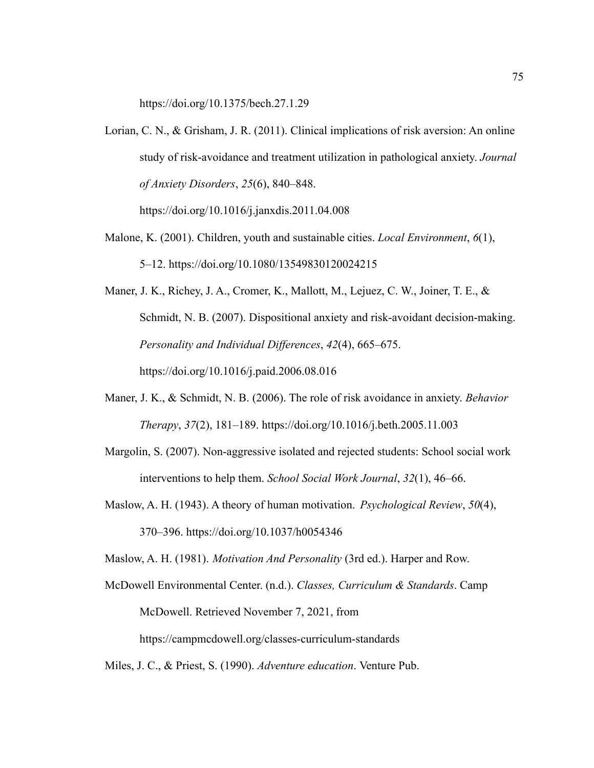https://doi.org/10.1375/bech.27.1.29

Lorian, C. N., & Grisham, J. R. (2011). Clinical implications of risk aversion: An online study of risk-avoidance and treatment utilization in pathological anxiety. *Journal of Anxiety Disorders*, *25*(6), 840–848.

https://doi.org/10.1016/j.janxdis.2011.04.008

- Malone, K. (2001). Children, youth and sustainable cities. *Local Environment*, *6*(1), 5–12. https://doi.org/10.1080/13549830120024215
- Maner, J. K., Richey, J. A., Cromer, K., Mallott, M., Lejuez, C. W., Joiner, T. E., & Schmidt, N. B. (2007). Dispositional anxiety and risk-avoidant decision-making. *Personality and Individual Differences*, *42*(4), 665–675. https://doi.org/10.1016/j.paid.2006.08.016
- Maner, J. K., & Schmidt, N. B. (2006). The role of risk avoidance in anxiety. *Behavior Therapy*, *37*(2), 181–189. https://doi.org/10.1016/j.beth.2005.11.003
- Margolin, S. (2007). Non-aggressive isolated and rejected students: School social work interventions to help them. *School Social Work Journal*, *32*(1), 46–66.
- Maslow, A. H. (1943). A theory of human motivation. *Psychological Review*, *50*(4), 370–396. https://doi.org/10.1037/h0054346

Maslow, A. H. (1981). *Motivation And Personality* (3rd ed.). Harper and Row.

McDowell Environmental Center. (n.d.). *Classes, Curriculum & Standards*. Camp McDowell. Retrieved November 7, 2021, from https://campmcdowell.org/classes-curriculum-standards

Miles, J. C., & Priest, S. (1990). *Adventure education*. Venture Pub.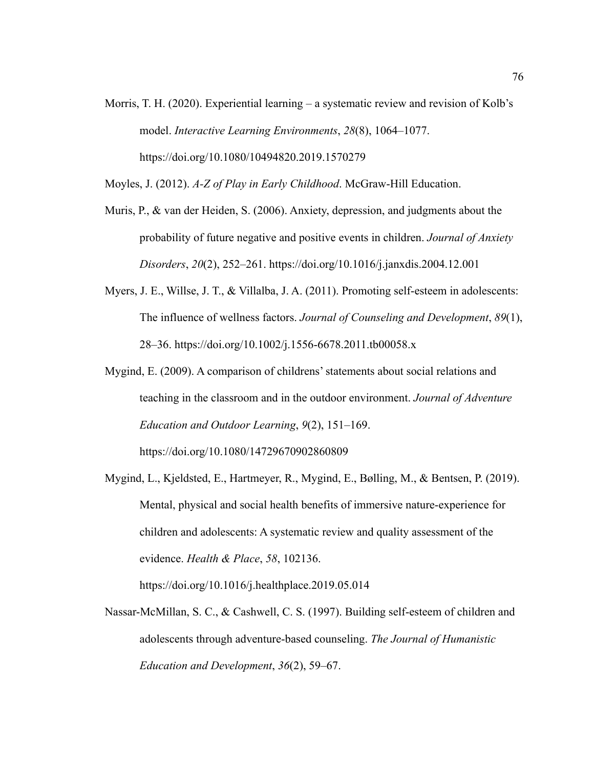Morris, T. H. (2020). Experiential learning – a systematic review and revision of Kolb's model. *Interactive Learning Environments*, *28*(8), 1064–1077. https://doi.org/10.1080/10494820.2019.1570279

Moyles, J. (2012). *A-Z of Play in Early Childhood*. McGraw-Hill Education.

- Muris, P., & van der Heiden, S. (2006). Anxiety, depression, and judgments about the probability of future negative and positive events in children. *Journal of Anxiety Disorders*, *20*(2), 252–261. https://doi.org/10.1016/j.janxdis.2004.12.001
- Myers, J. E., Willse, J. T., & Villalba, J. A. (2011). Promoting self-esteem in adolescents: The influence of wellness factors. *Journal of Counseling and Development*, *89*(1), 28–36. https://doi.org/10.1002/j.1556-6678.2011.tb00058.x
- Mygind, E. (2009). A comparison of childrens' statements about social relations and teaching in the classroom and in the outdoor environment. *Journal of Adventure Education and Outdoor Learning*, *9*(2), 151–169. https://doi.org/10.1080/14729670902860809
- Mygind, L., Kjeldsted, E., Hartmeyer, R., Mygind, E., Bølling, M., & Bentsen, P. (2019). Mental, physical and social health benefits of immersive nature-experience for children and adolescents: A systematic review and quality assessment of the evidence. *Health & Place*, *58*, 102136.

https://doi.org/10.1016/j.healthplace.2019.05.014

Nassar-McMillan, S. C., & Cashwell, C. S. (1997). Building self-esteem of children and adolescents through adventure-based counseling. *The Journal of Humanistic Education and Development*, *36*(2), 59–67.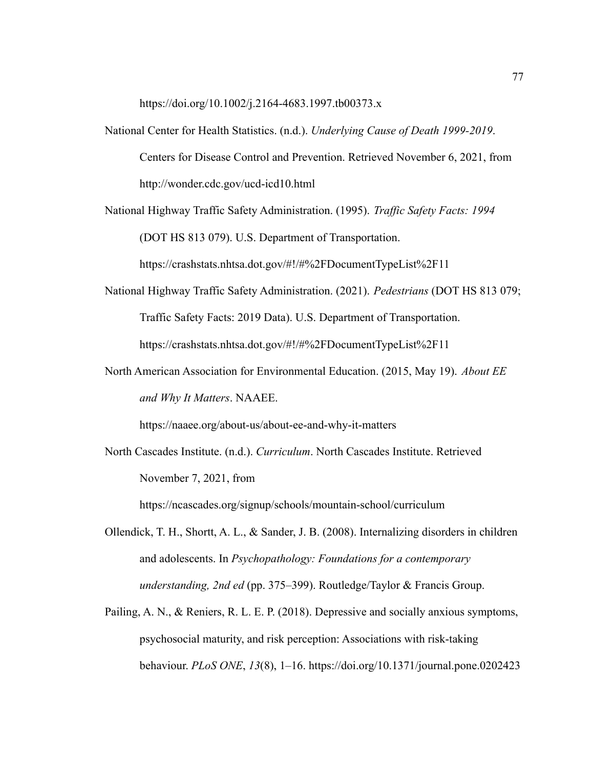https://doi.org/10.1002/j.2164-4683.1997.tb00373.x

National Center for Health Statistics. (n.d.). *Underlying Cause of Death 1999-2019*. Centers for Disease Control and Prevention. Retrieved November 6, 2021, from http://wonder.cdc.gov/ucd-icd10.html

National Highway Traffic Safety Administration. (1995). *Traffic Safety Facts: 1994* (DOT HS 813 079). U.S. Department of Transportation.

https://crashstats.nhtsa.dot.gov/#!/#%2FDocumentTypeList%2F11

- National Highway Traffic Safety Administration. (2021). *Pedestrians* (DOT HS 813 079; Traffic Safety Facts: 2019 Data). U.S. Department of Transportation. https://crashstats.nhtsa.dot.gov/#!/#%2FDocumentTypeList%2F11
- North American Association for Environmental Education. (2015, May 19). *About EE and Why It Matters*. NAAEE.

https://naaee.org/about-us/about-ee-and-why-it-matters

North Cascades Institute. (n.d.). *Curriculum*. North Cascades Institute. Retrieved November 7, 2021, from

https://ncascades.org/signup/schools/mountain-school/curriculum

- Ollendick, T. H., Shortt, A. L., & Sander, J. B. (2008). Internalizing disorders in children and adolescents. In *Psychopathology: Foundations for a contemporary understanding, 2nd ed* (pp. 375–399). Routledge/Taylor & Francis Group.
- Pailing, A. N., & Reniers, R. L. E. P. (2018). Depressive and socially anxious symptoms, psychosocial maturity, and risk perception: Associations with risk-taking behaviour. *PLoS ONE*, *13*(8), 1–16. https://doi.org/10.1371/journal.pone.0202423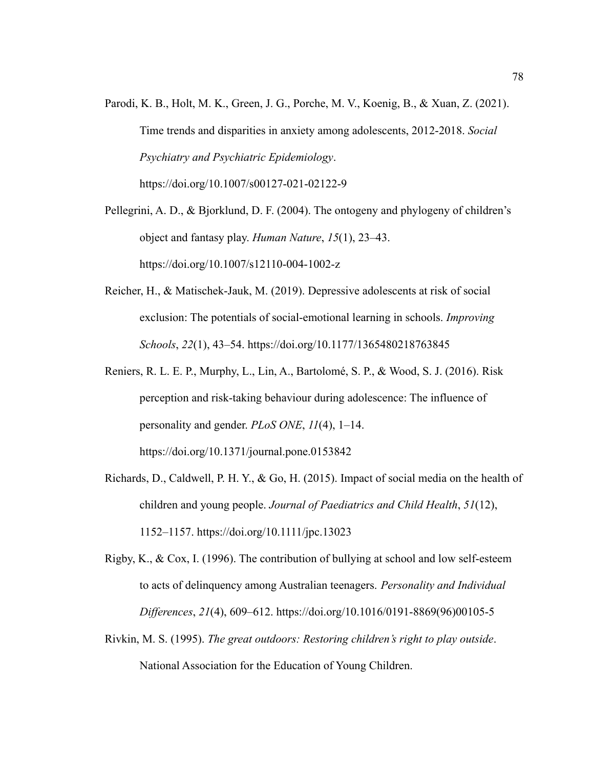Parodi, K. B., Holt, M. K., Green, J. G., Porche, M. V., Koenig, B., & Xuan, Z. (2021). Time trends and disparities in anxiety among adolescents, 2012-2018. *Social Psychiatry and Psychiatric Epidemiology*. https://doi.org/10.1007/s00127-021-02122-9

Pellegrini, A. D., & Bjorklund, D. F. (2004). The ontogeny and phylogeny of children's object and fantasy play. *Human Nature*, *15*(1), 23–43. https://doi.org/10.1007/s12110-004-1002-z

- Reicher, H., & Matischek-Jauk, M. (2019). Depressive adolescents at risk of social exclusion: The potentials of social-emotional learning in schools. *Improving Schools*, *22*(1), 43–54. https://doi.org/10.1177/1365480218763845
- Reniers, R. L. E. P., Murphy, L., Lin, A., Bartolomé, S. P., & Wood, S. J. (2016). Risk perception and risk-taking behaviour during adolescence: The influence of personality and gender. *PLoS ONE*, *11*(4), 1–14. https://doi.org/10.1371/journal.pone.0153842
- Richards, D., Caldwell, P. H. Y., & Go, H. (2015). Impact of social media on the health of children and young people. *Journal of Paediatrics and Child Health*, *51*(12), 1152–1157. https://doi.org/10.1111/jpc.13023
- Rigby, K., & Cox, I. (1996). The contribution of bullying at school and low self-esteem to acts of delinquency among Australian teenagers. *Personality and Individual Differences*, *21*(4), 609–612. https://doi.org/10.1016/0191-8869(96)00105-5
- Rivkin, M. S. (1995). *The great outdoors: Restoring children's right to play outside*. National Association for the Education of Young Children.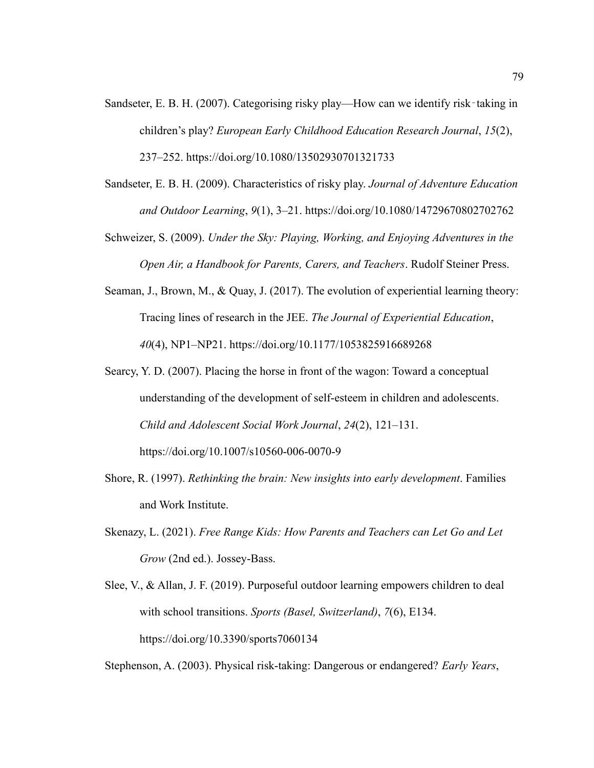- Sandseter, E. B. H. (2007). Categorising risky play—How can we identify risk-taking in children's play? *European Early Childhood Education Research Journal*, *15*(2), 237–252. https://doi.org/10.1080/13502930701321733
- Sandseter, E. B. H. (2009). Characteristics of risky play. *Journal of Adventure Education and Outdoor Learning*, *9*(1), 3–21. https://doi.org/10.1080/14729670802702762
- Schweizer, S. (2009). *Under the Sky: Playing, Working, and Enjoying Adventures in the Open Air, a Handbook for Parents, Carers, and Teachers*. Rudolf Steiner Press.
- Seaman, J., Brown, M., & Quay, J. (2017). The evolution of experiential learning theory: Tracing lines of research in the JEE. *The Journal of Experiential Education*, *40*(4), NP1–NP21. https://doi.org/10.1177/1053825916689268
- Searcy, Y. D. (2007). Placing the horse in front of the wagon: Toward a conceptual understanding of the development of self-esteem in children and adolescents. *Child and Adolescent Social Work Journal*, *24*(2), 121–131. https://doi.org/10.1007/s10560-006-0070-9
- Shore, R. (1997). *Rethinking the brain: New insights into early development*. Families and Work Institute.
- Skenazy, L. (2021). *Free Range Kids: How Parents and Teachers can Let Go and Let Grow* (2nd ed.). Jossey-Bass.
- Slee, V., & Allan, J. F. (2019). Purposeful outdoor learning empowers children to deal with school transitions. *Sports (Basel, Switzerland)*, *7*(6), E134. https://doi.org/10.3390/sports7060134

Stephenson, A. (2003). Physical risk-taking: Dangerous or endangered? *Early Years*,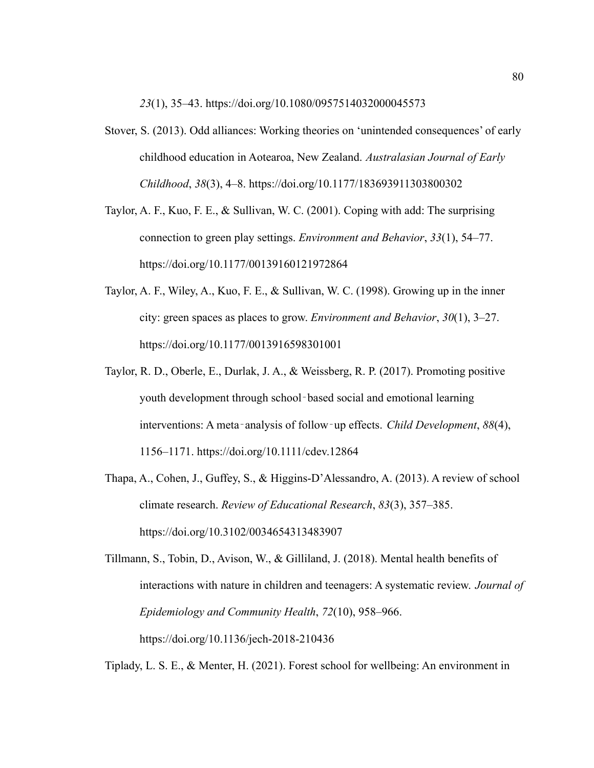*23*(1), 35–43. https://doi.org/10.1080/0957514032000045573

- Stover, S. (2013). Odd alliances: Working theories on 'unintended consequences' of early childhood education in Aotearoa, New Zealand. *Australasian Journal of Early Childhood*, *38*(3), 4–8. https://doi.org/10.1177/183693911303800302
- Taylor, A. F., Kuo, F. E., & Sullivan, W. C. (2001). Coping with add: The surprising connection to green play settings. *Environment and Behavior*, *33*(1), 54–77. https://doi.org/10.1177/00139160121972864
- Taylor, A. F., Wiley, A., Kuo, F. E., & Sullivan, W. C. (1998). Growing up in the inner city: green spaces as places to grow. *Environment and Behavior*, *30*(1), 3–27. https://doi.org/10.1177/0013916598301001
- Taylor, R. D., Oberle, E., Durlak, J. A., & Weissberg, R. P. (2017). Promoting positive youth development through school‐based social and emotional learning interventions: A meta‐analysis of follow‐up effects. *Child Development*, *88*(4), 1156–1171. https://doi.org/10.1111/cdev.12864
- Thapa, A., Cohen, J., Guffey, S., & Higgins-D'Alessandro, A. (2013). A review of school climate research. *Review of Educational Research*, *83*(3), 357–385. https://doi.org/10.3102/0034654313483907

Tillmann, S., Tobin, D., Avison, W., & Gilliland, J. (2018). Mental health benefits of interactions with nature in children and teenagers: A systematic review. *Journal of Epidemiology and Community Health*, *72*(10), 958–966. https://doi.org/10.1136/jech-2018-210436

Tiplady, L. S. E., & Menter, H. (2021). Forest school for wellbeing: An environment in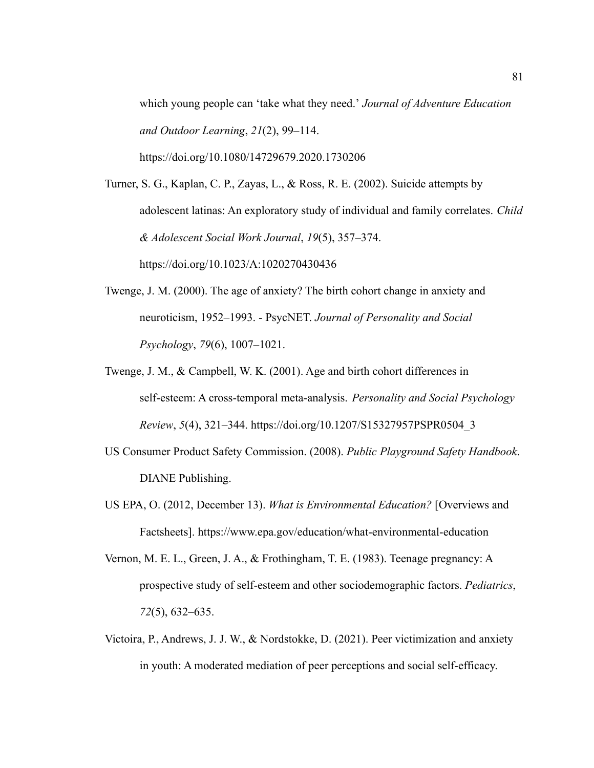which young people can 'take what they need.' *Journal of Adventure Education and Outdoor Learning*, *21*(2), 99–114. https://doi.org/10.1080/14729679.2020.1730206

Turner, S. G., Kaplan, C. P., Zayas, L., & Ross, R. E. (2002). Suicide attempts by adolescent latinas: An exploratory study of individual and family correlates. *Child & Adolescent Social Work Journal*, *19*(5), 357–374. https://doi.org/10.1023/A:1020270430436

- Twenge, J. M. (2000). The age of anxiety? The birth cohort change in anxiety and neuroticism, 1952–1993. - PsycNET. *Journal of Personality and Social Psychology*, *79*(6), 1007–1021.
- Twenge, J. M., & Campbell, W. K. (2001). Age and birth cohort differences in self-esteem: A cross-temporal meta-analysis. *Personality and Social Psychology Review*, *5*(4), 321–344. https://doi.org/10.1207/S15327957PSPR0504\_3
- US Consumer Product Safety Commission. (2008). *Public Playground Safety Handbook*. DIANE Publishing.
- US EPA, O. (2012, December 13). *What is Environmental Education?* [Overviews and Factsheets]. https://www.epa.gov/education/what-environmental-education
- Vernon, M. E. L., Green, J. A., & Frothingham, T. E. (1983). Teenage pregnancy: A prospective study of self-esteem and other sociodemographic factors. *Pediatrics*, *72*(5), 632–635.
- Victoira, P., Andrews, J. J. W., & Nordstokke, D. (2021). Peer victimization and anxiety in youth: A moderated mediation of peer perceptions and social self-efficacy.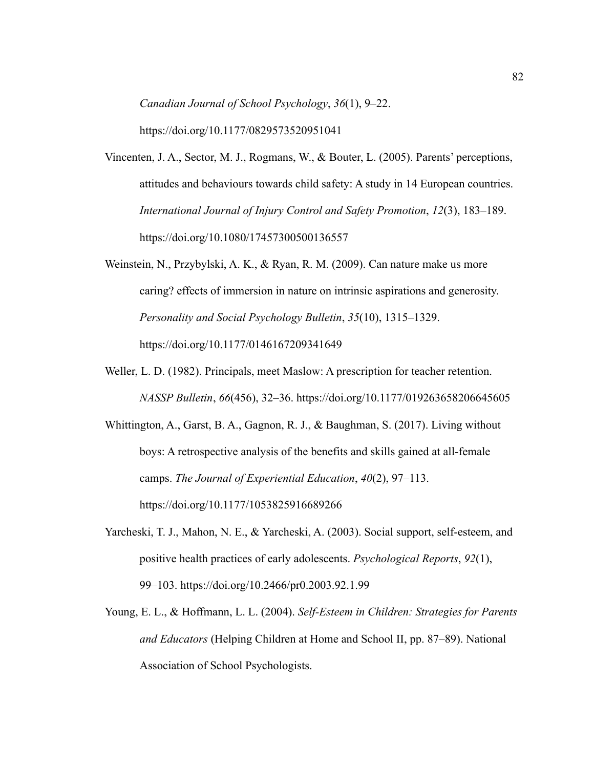*Canadian Journal of School Psychology*, *36*(1), 9–22. https://doi.org/10.1177/0829573520951041

- Vincenten, J. A., Sector, M. J., Rogmans, W., & Bouter, L. (2005). Parents' perceptions, attitudes and behaviours towards child safety: A study in 14 European countries. *International Journal of Injury Control and Safety Promotion*, *12*(3), 183–189. https://doi.org/10.1080/17457300500136557
- Weinstein, N., Przybylski, A. K., & Ryan, R. M. (2009). Can nature make us more caring? effects of immersion in nature on intrinsic aspirations and generosity. *Personality and Social Psychology Bulletin*, *35*(10), 1315–1329. https://doi.org/10.1177/0146167209341649
- Weller, L. D. (1982). Principals, meet Maslow: A prescription for teacher retention. *NASSP Bulletin*, *66*(456), 32–36. https://doi.org/10.1177/019263658206645605
- Whittington, A., Garst, B. A., Gagnon, R. J., & Baughman, S. (2017). Living without boys: A retrospective analysis of the benefits and skills gained at all-female camps. *The Journal of Experiential Education*, *40*(2), 97–113. https://doi.org/10.1177/1053825916689266
- Yarcheski, T. J., Mahon, N. E., & Yarcheski, A. (2003). Social support, self-esteem, and positive health practices of early adolescents. *Psychological Reports*, *92*(1), 99–103. https://doi.org/10.2466/pr0.2003.92.1.99
- Young, E. L., & Hoffmann, L. L. (2004). *Self-Esteem in Children: Strategies for Parents and Educators* (Helping Children at Home and School II, pp. 87–89). National Association of School Psychologists.